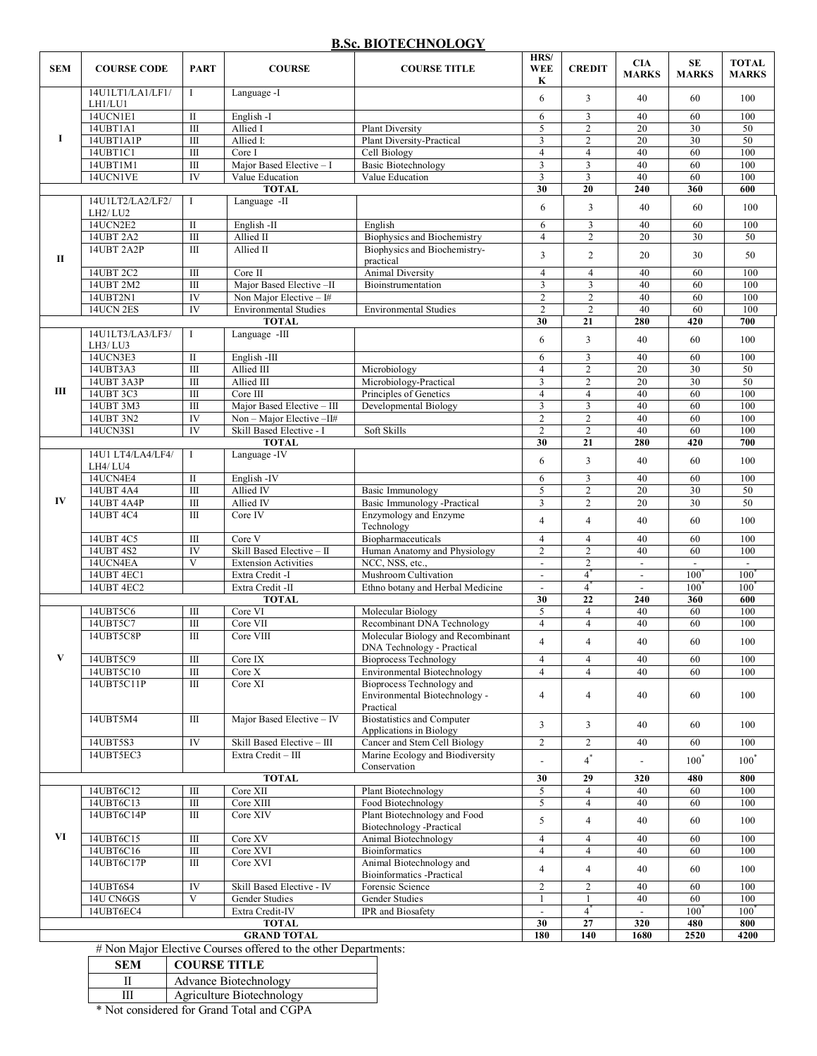#### **B.Sc. BIOTECHNOLOGY**

| <b>SEM</b>         | <b>COURSE CODE</b>          | <b>PART</b>                   | <b>COURSE</b>                | <b>COURSE TITLE</b>                                          | HRS/<br><b>WEE</b><br>K        | <b>CREDIT</b>       | <b>CIA</b><br><b>MARKS</b>      | SE<br><b>MARKS</b> | <b>TOTAL</b><br><b>MARKS</b> |
|--------------------|-----------------------------|-------------------------------|------------------------------|--------------------------------------------------------------|--------------------------------|---------------------|---------------------------------|--------------------|------------------------------|
|                    | 14U1LT1/LA1/LF1/<br>LH1/LU1 | T                             | Language -I                  |                                                              | 6                              | $\overline{3}$      | 40                              | 60                 | 100                          |
|                    | 14UCN1E1                    | $\mathbf{I}$                  | English -I                   |                                                              | 6                              | 3                   | 40                              | 60                 | 100                          |
|                    | 14UBT1A1                    | $\overline{III}$              | Allied I                     | <b>Plant Diversity</b>                                       | 5                              | $\overline{2}$      | 20                              | 30                 | 50                           |
| 1                  | 14UBT1A1P                   | Ш                             | Allied I:                    | <b>Plant Diversity-Practical</b>                             | 3                              | $\overline{2}$      | 20                              | 30                 | 50                           |
|                    | 14UBT1C1                    | $\overline{III}$              | Core I                       | Cell Biology                                                 | $\overline{4}$                 | $\overline{4}$      | 40                              | 60                 | 100                          |
|                    | 14UBT1M1                    | Ш                             | Major Based Elective - I     | <b>Basic Biotechnology</b>                                   | 3                              | 3                   | 40                              | 60                 | 100                          |
|                    | 14UCN1VE                    | IV                            | Value Education              | Value Education                                              | $\overline{\mathbf{3}}$        | $\overline{3}$      | 40                              | 60                 | 100                          |
|                    |                             |                               | <b>TOTAL</b>                 |                                                              | 30                             | 20                  | 240                             | 360                | 600                          |
|                    | 14U1LT2/LA2/LF2/            |                               | Language -II                 |                                                              | 6                              | 3                   | 40                              | 60                 | 100                          |
|                    | LH2/LU2<br>14UCN2E2         |                               |                              |                                                              |                                |                     |                                 |                    |                              |
|                    | 14UBT 2A2                   | $\mathbf{I}$<br>Ш             | English-II<br>Allied II      | English<br><b>Biophysics and Biochemistry</b>                | 6<br>$\overline{4}$            | $\mathfrak{Z}$<br>2 | 40<br>20                        | 60<br>30           | 100<br>50                    |
|                    | 14UBT 2A2P                  | $\mathbf{III}$                | Allied II                    | Biophysics and Biochemistry-                                 |                                |                     |                                 |                    |                              |
| П                  |                             |                               |                              | practical                                                    | 3                              | $\overline{2}$      | 20                              | 30                 | 50                           |
|                    | 14UBT 2C2                   | $\mathbf{III}$                | Core II                      | <b>Animal Diversity</b>                                      | $\overline{4}$                 | $\overline{4}$      | 40                              | 60                 | 100                          |
|                    | 14UBT 2M2                   | Ш                             | Major Based Elective-II      | Bioinstrumentation                                           | 3                              | 3                   | 40                              | 60                 | 100                          |
|                    | 14UBT2N1                    | IV                            | Non Major Elective $-1#$     |                                                              | $\sqrt{2}$                     | $\overline{c}$      | 40                              | 60                 | 100                          |
|                    | 14UCN 2ES                   | IV                            | <b>Environmental Studies</b> | <b>Environmental Studies</b>                                 | 2                              | $\overline{2}$      | 40                              | 60                 | 100                          |
|                    |                             |                               | <b>TOTAL</b>                 |                                                              | 30                             | 21                  | 280                             | 420                | 700                          |
|                    | 14U1LT3/LA3/LF3/            | I                             | Language -III                |                                                              |                                |                     |                                 |                    |                              |
|                    | LH3/LU3                     |                               |                              |                                                              | 6                              | $\overline{3}$      | 40                              | 60                 | 100                          |
|                    | 14UCN3E3                    | $\rm{II}$                     | English -III                 |                                                              | 6                              | 3                   | 40                              | 60                 | 100                          |
|                    | 14UBT3A3                    | $\overline{III}$              | Allied III                   | Microbiology                                                 | $\overline{4}$                 | $\overline{2}$      | 20                              | 30                 | 50                           |
|                    | 14UBT 3A3P                  | $\overline{III}$              | Allied III                   | Microbiology-Practical                                       | 3                              | $\overline{2}$      | 20                              | 30                 | 50                           |
| Ш                  | 14UBT 3C3                   | III                           | Core $\overline{\text{III}}$ | Principles of Genetics                                       | $\overline{4}$                 | $\overline{4}$      | 40                              | 60                 | 100                          |
|                    | 14UBT 3M3                   | Ш                             | Major Based Elective - III   | Developmental Biology                                        | 3                              | 3                   | 40                              | 60                 | 100                          |
|                    | 14UBT 3N2                   | IV                            | $Non-Major Electric-HH$      |                                                              | $\overline{2}$                 | $\overline{c}$      | 40                              | 60                 | 100                          |
|                    | 14UCN3S1                    | IV                            | Skill Based Elective - I     | Soft Skills                                                  | $\overline{2}$                 | $\overline{2}$      | 40                              | 60                 | 100                          |
|                    |                             |                               | <b>TOTAL</b>                 |                                                              | 30                             | $\overline{21}$     | 280                             | 420                | 700                          |
| IV                 | 14U1 LT4/LA4/LF4/           | 1                             | Language - IV                |                                                              | 6                              | 3                   | 40                              | 60                 | 100                          |
|                    | LH4/LU4                     |                               |                              |                                                              |                                |                     |                                 |                    |                              |
|                    | 14UCN4E4                    | $\rm{II}$<br>$\overline{III}$ | English-IV<br>Allied IV      |                                                              | 6<br>5                         | 3<br>$\overline{2}$ | 40<br>20                        | 60<br>30           | 100                          |
|                    | 14UBT 4A4<br>14UBT 4A4P     | Ш                             | Allied IV                    | Basic Immunology<br>Basic Immunology -Practical              | 3                              | $\overline{2}$      | 20                              | 30                 | 50<br>50                     |
|                    | 14UBT 4C4                   | III                           | Core IV                      | Enzymology and Enzyme                                        |                                |                     |                                 |                    |                              |
|                    |                             |                               |                              | Technology                                                   | $\overline{4}$                 | $\overline{4}$      | 40                              | 60                 | 100                          |
|                    | 14UBT 4C5                   | $\overline{III}$              | Core V                       | Biopharmaceuticals                                           | $\overline{4}$                 | $\overline{4}$      | 40                              | 60                 | 100                          |
|                    | 14UBT 4S2                   | IV                            | Skill Based Elective - II    | Human Anatomy and Physiology                                 | $\overline{2}$                 | $\overline{2}$      | 40                              | 60                 | 100                          |
|                    | 14UCN4EA                    | V                             | <b>Extension Activities</b>  | NCC, NSS, etc.,                                              | $\overline{\phantom{a}}$       | $\overline{c}$      | $\overline{\phantom{a}}$        |                    |                              |
|                    | 14UBT 4EC1                  |                               | Extra Credit -I              | Mushroom Cultivation                                         | $\frac{1}{2}$                  | $\overline{4}$      | $\centering \label{eq:reduced}$ | $100^{\circ}$      | 100                          |
|                    | 14UBT 4EC2                  |                               | Extra Credit -II             | Ethno botany and Herbal Medicine                             |                                | $\overline{4}$      |                                 | $100^{\circ}$      | 100                          |
| <b>TOTAL</b>       |                             |                               |                              |                                                              | 30                             | 22                  | 240                             | 360                | 600                          |
|                    | 14UBT5C6                    | $\mathbf{III}$                | Core VI                      | Molecular Biology                                            | 5                              | $\overline{4}$      | 40                              | 60                 | 100                          |
|                    | 14UBT5C7                    | Ш                             | Core VII                     | Recombinant DNA Technology                                   | $\overline{4}$                 | $\overline{4}$      | 40                              | 60                 | 100                          |
|                    | 14UBT5C8P                   | Ш                             | Core VIII                    | Molecular Biology and Recombinant                            | $\overline{4}$                 | $\overline{4}$      | 40                              | 60                 | 100                          |
|                    |                             |                               |                              | DNA Technology - Practical                                   |                                |                     |                                 |                    |                              |
| V                  | 14UBT5C9                    | $\overline{III}$              | Core IX                      | <b>Bioprocess Technology</b>                                 | $\overline{4}$                 | $\overline{4}$      | 40                              | 60                 | 100                          |
|                    | 14UBT5C10                   | $\overline{\rm III}$          | Core X                       | Environmental Biotechnology                                  | $\overline{4}$                 | $\overline{4}$      | 40                              | 60                 | 100                          |
|                    | 14UBT5C11P                  | $\overline{III}$              | Core XI                      | Bioprocess Technology and                                    |                                |                     |                                 |                    |                              |
|                    |                             |                               |                              | Environmental Biotechnology -                                | $\overline{4}$                 | $\overline{4}$      | 40                              | 60                 | 100                          |
|                    |                             |                               |                              | Practical                                                    |                                |                     |                                 |                    |                              |
|                    | 14UBT5M4                    | Ш                             | Major Based Elective - IV    | <b>Biostatistics and Computer</b><br>Applications in Biology | 3                              | $\overline{3}$      | 40                              | 60                 | 100                          |
|                    | 14UBT5S3                    | IV                            | Skill Based Elective - III   | Cancer and Stem Cell Biology                                 | $\overline{2}$                 | $\overline{2}$      | 40                              | 60                 | 100                          |
|                    | 14UBT5EC3                   |                               | Extra Credit - III           | Marine Ecology and Biodiversity                              |                                |                     |                                 |                    |                              |
|                    |                             |                               |                              | Conservation                                                 | $\overline{a}$                 | $4^*$               | $\overline{\phantom{a}}$        | $100^*$            | $100^*$                      |
|                    |                             |                               | <b>TOTAL</b>                 |                                                              | 30                             | 29                  | 320                             | 480                | 800                          |
| VI                 | 14UBT6C12                   | $\rm III$                     | Core XII                     | <b>Plant Biotechnology</b>                                   | 5                              | $\overline{4}$      | 40                              | 60                 | 100                          |
|                    | 14UBT6C13                   | $\overline{III}$              | Core XIII                    | Food Biotechnology                                           | 5                              | $\overline{4}$      | 40                              | 60                 | 100                          |
|                    | 14UBT6C14P                  | Ш                             | Core XIV                     | Plant Biotechnology and Food                                 |                                |                     |                                 |                    |                              |
|                    |                             |                               |                              | Biotechnology -Practical                                     | 5                              | $\overline{4}$      | 40                              | 60                 | 100                          |
|                    | 14UBT6C15                   | $\overline{III}$              | Core XV                      | Animal Biotechnology                                         | $\overline{4}$                 | $\overline{4}$      | 40                              | 60                 | 100                          |
|                    | 14UBT6C16                   | $\overline{III}$              | Core XVI                     | <b>Bioinformatics</b>                                        | $\overline{4}$                 | $\overline{4}$      | 40                              | 60                 | 100                          |
|                    | 14UBT6C17P                  | Ш                             | Core XVI                     | Animal Biotechnology and                                     | $\overline{4}$                 | $\overline{4}$      | 40                              | 60                 | 100                          |
|                    |                             |                               |                              | Bioinformatics -Practical                                    |                                |                     |                                 |                    |                              |
|                    | 14UBT6S4                    | IV                            | Skill Based Elective - IV    | Forensic Science                                             | $\overline{2}$                 | $\overline{2}$      | 40                              | 60                 | 100                          |
|                    | 14U CN6GS                   | V                             | Gender Studies               | Gender Studies                                               | $\mathbf{1}$                   | $\mathbf{1}$        | 40                              | 60                 | 100                          |
|                    | 14UBT6EC4                   |                               | Extra Credit-IV              | <b>IPR</b> and Biosafety                                     | $\overline{\phantom{a}}$<br>30 | $\overline{4}$      | $\overline{\phantom{a}}$        | $100^{\circ}$      | $100^{\degree}$              |
| <b>TOTAL</b>       |                             |                               |                              |                                                              |                                | 27                  | 320                             | 480                | 800                          |
| <b>GRAND TOTAL</b> |                             |                               |                              |                                                              | 180                            | 140                 | 1680                            | 2520               | 4200                         |

# Non Major Elective Courses offered to the other Departments:

| <b>SEM</b>                                     | <b>COURSE TITLE</b>                |
|------------------------------------------------|------------------------------------|
|                                                | Advance Biotechnology              |
| Ш                                              | Agriculture Biotechnology          |
| $\mathbf{A} \cdot \mathbf{A} \cdot \mathbf{A}$ | $\sim$ $\sim$ $\sim$ $\sim$ $\sim$ |

\* Not considered for Grand Total and CGPA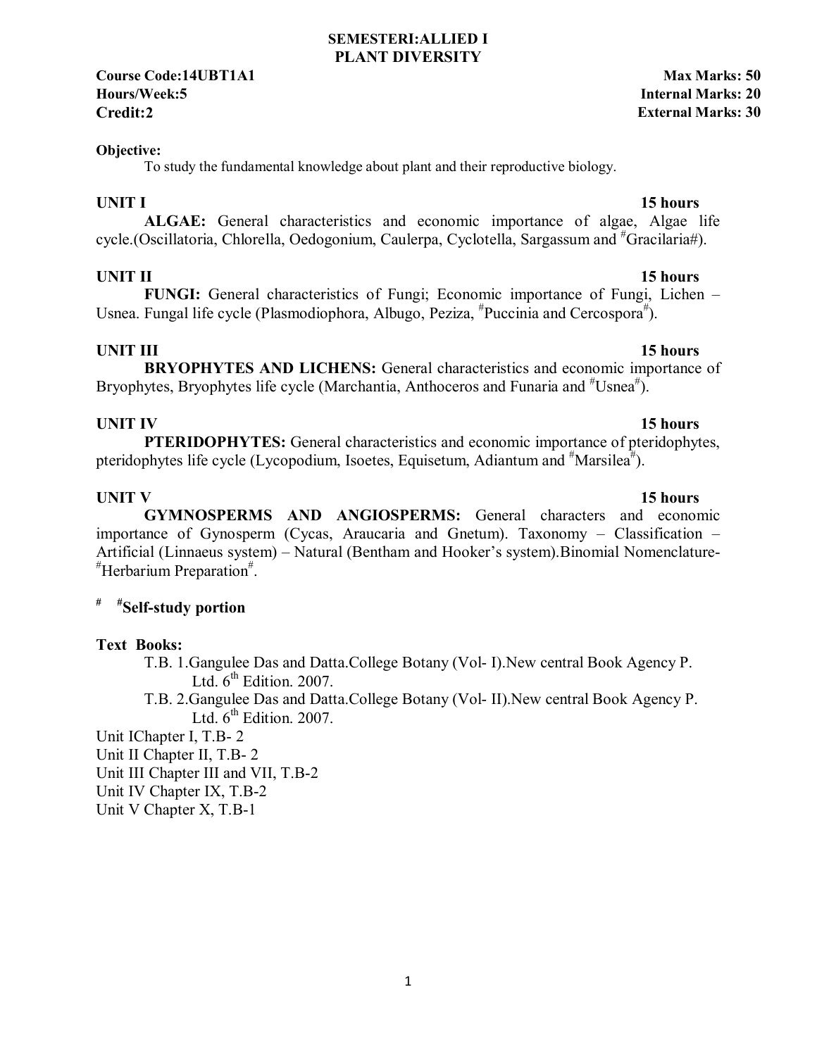**Course Code:14UBT1A1 Max Marks: 50 Hours/Week:5 Internal Marks: 20 Credit:2 External Marks: 30**

#### **Objective:**

To study the fundamental knowledge about plant and their reproductive biology.

**ALGAE:** General characteristics and economic importance of algae, Algae life cycle.(Oscillatoria, Chlorella, Oedogonium, Caulerpa, Cyclotella, Sargassum and #Gracilaria#).

### **UNIT II** 15 hours

 **FUNGI:** General characteristics of Fungi; Economic importance of Fungi, Lichen – Usnea. Fungal life cycle (Plasmodiophora, Albugo, Peziza, <sup>#</sup>Puccinia and Cercospora<sup>#</sup>).

**UNIT III** 15 hours **BRYOPHYTES AND LICHENS:** General characteristics and economic importance of Bryophytes, Bryophytes life cycle (Marchantia, Anthoceros and Funaria and <sup>#</sup>Usnea<sup>#</sup>).

# **UNIT IV** 15 hours

**PTERIDOPHYTES:** General characteristics and economic importance of pteridophytes, pteridophytes life cycle (Lycopodium, Isoetes, Equisetum, Adiantum and  $^{\#}$ Marsilea $^{\#}$ ).

### **UNIT V** 15 hours

 **GYMNOSPERMS AND ANGIOSPERMS:** General characters and economic importance of Gynosperm (Cycas, Araucaria and Gnetum). Taxonomy – Classification – Artificial (Linnaeus system) – Natural (Bentham and Hooker's system).Binomial Nomenclature- # Herbarium Preparation# .

### **# #Self-study portion**

#### **Text Books:**

- T.B. 1.Gangulee Das and Datta.College Botany (Vol- I).New central Book Agency P. Ltd.  $6<sup>th</sup>$  Edition. 2007.
- T.B. 2.Gangulee Das and Datta.College Botany (Vol- II).New central Book Agency P. Ltd.  $6<sup>th</sup>$  Edition. 2007.

Unit IChapter I, T.B- 2

Unit II Chapter II, T.B- 2

Unit III Chapter III and VII, T.B-2

Unit IV Chapter IX, T.B-2

Unit V Chapter X, T.B-1

### **UNIT I** 15 hours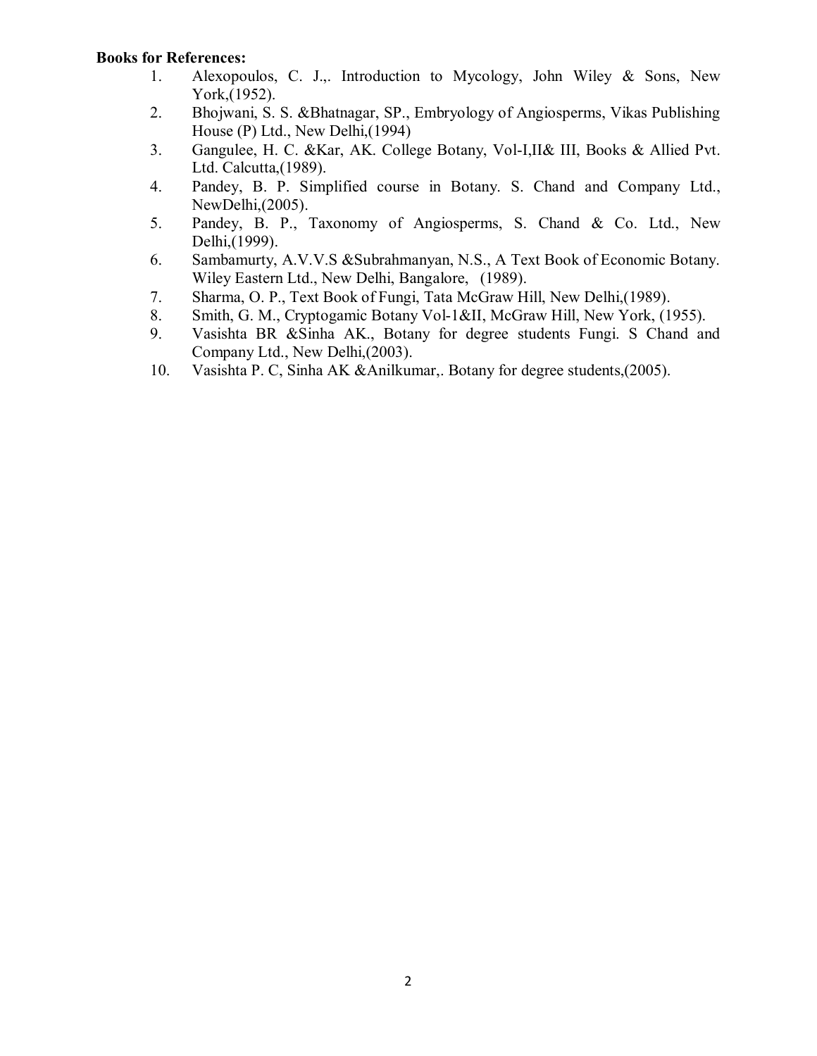- 1. Alexopoulos, C. J.,. Introduction to Mycology, John Wiley & Sons, New York,(1952).
- 2. Bhojwani, S. S. &Bhatnagar, SP., Embryology of Angiosperms, Vikas Publishing House (P) Ltd., New Delhi,(1994)
- 3. Gangulee, H. C. &Kar, AK. College Botany, Vol-I,II& III, Books & Allied Pvt. Ltd. Calcutta,(1989).
- 4. Pandey, B. P. Simplified course in Botany. S. Chand and Company Ltd., NewDelhi,(2005).
- 5. Pandey, B. P., Taxonomy of Angiosperms, S. Chand & Co. Ltd., New Delhi,(1999).
- 6. Sambamurty, A.V.V.S &Subrahmanyan, N.S., A Text Book of Economic Botany. Wiley Eastern Ltd., New Delhi, Bangalore, (1989).
- 7. Sharma, O. P., Text Book of Fungi, Tata McGraw Hill, New Delhi,(1989).
- 8. Smith, G. M., Cryptogamic Botany Vol-1&II, McGraw Hill, New York, (1955).
- 9. Vasishta BR &Sinha AK., Botany for degree students Fungi. S Chand and Company Ltd., New Delhi,(2003).
- 10. Vasishta P. C, Sinha AK &Anilkumar,. Botany for degree students,(2005).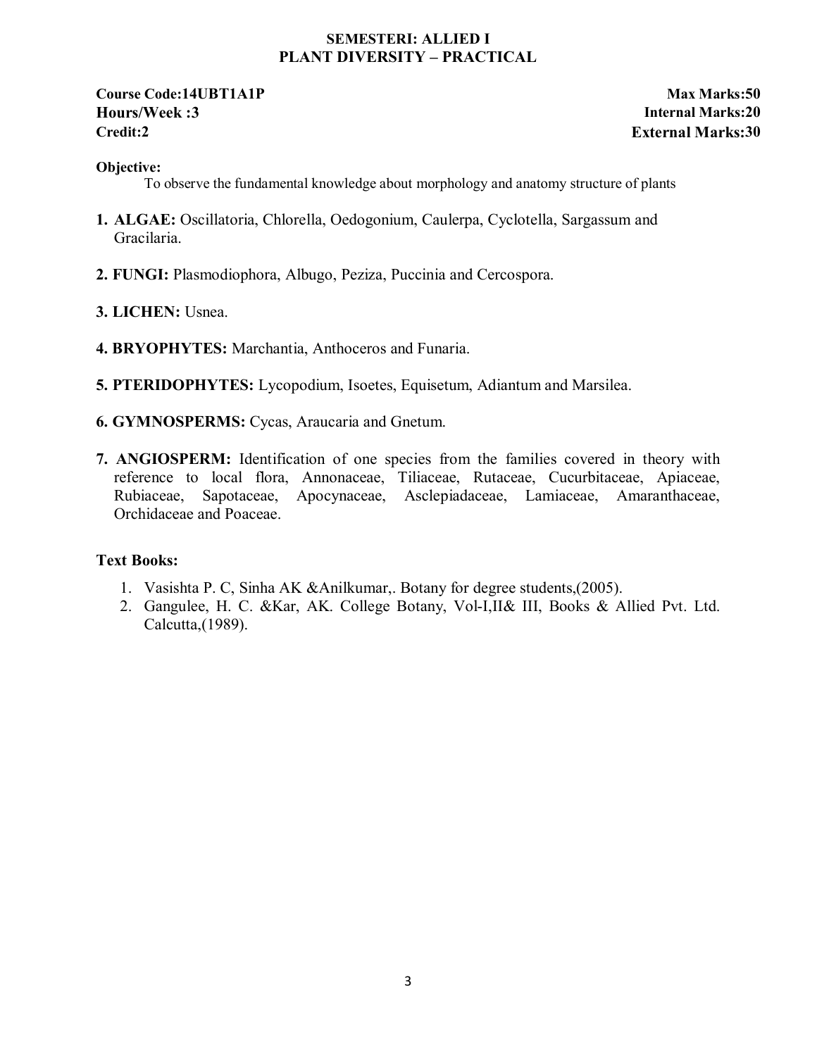#### **SEMESTERI: ALLIED I PLANT DIVERSITY – PRACTICAL**

### **Course Code:14UBT1A1P Max Marks:50 Hours/Week :3 Internal Marks:20 Credit:2 External Marks:30**

#### **Objective:**

To observe the fundamental knowledge about morphology and anatomy structure of plants

- **1. ALGAE:** Oscillatoria, Chlorella, Oedogonium, Caulerpa, Cyclotella, Sargassum and Gracilaria.
- **2. FUNGI:** Plasmodiophora, Albugo, Peziza, Puccinia and Cercospora.
- **3. LICHEN:** Usnea.
- **4. BRYOPHYTES:** Marchantia, Anthoceros and Funaria.
- **5. PTERIDOPHYTES:** Lycopodium, Isoetes, Equisetum, Adiantum and Marsilea.
- **6. GYMNOSPERMS:** Cycas, Araucaria and Gnetum.
- **7. ANGIOSPERM:** Identification of one species from the families covered in theory with reference to local flora, Annonaceae, Tiliaceae, Rutaceae, Cucurbitaceae, Apiaceae, Rubiaceae, Sapotaceae, Apocynaceae, Asclepiadaceae, Lamiaceae, Amaranthaceae, Orchidaceae and Poaceae.

#### **Text Books:**

- 1. Vasishta P. C, Sinha AK &Anilkumar,. Botany for degree students,(2005).
- 2. Gangulee, H. C. &Kar, AK. College Botany, Vol-I,II& III, Books & Allied Pvt. Ltd. Calcutta,(1989).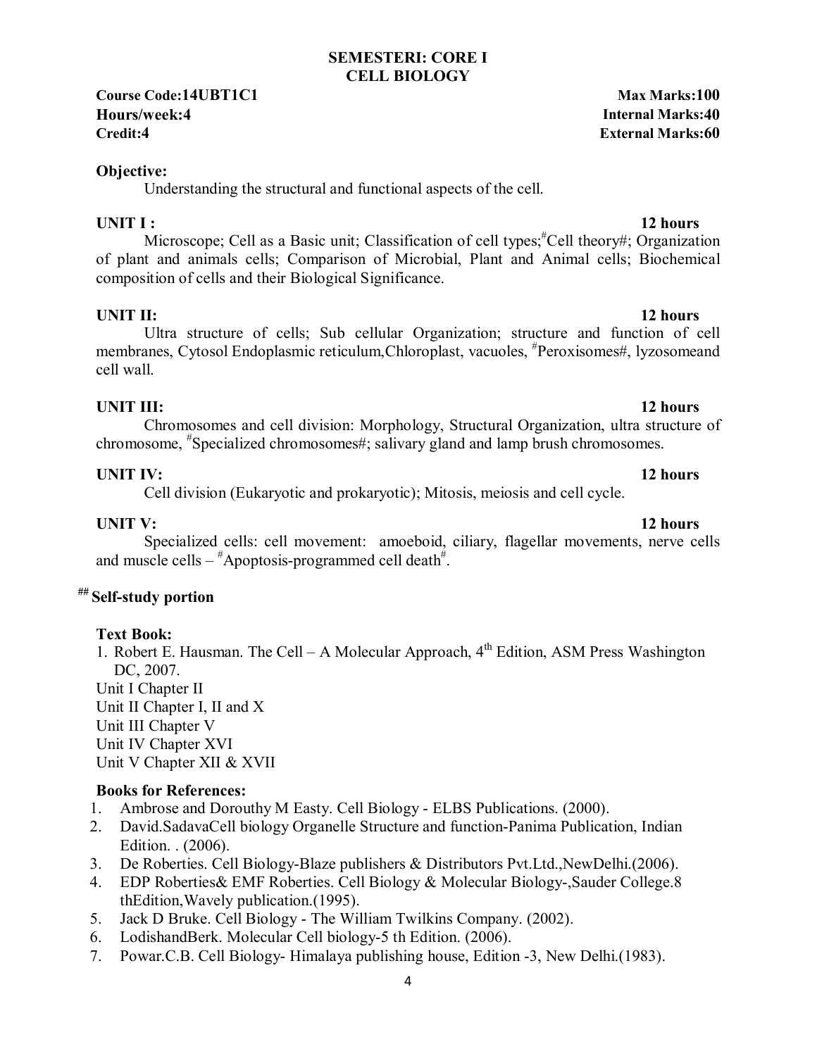### **SEMESTERI: CORE I CELL BIOLOGY**

**Course Code:14UBT1C1 Max Marks:100 Hours/week:4 Internal Marks:40 Credit:4 External Marks:60**

### **Objective:**

Understanding the structural and functional aspects of the cell.

**UNIT I :** 12 hours Microscope; Cell as a Basic unit; Classification of cell types; <sup>#</sup>Cell theory#; Organization of plant and animals cells; Comparison of Microbial, Plant and Animal cells; Biochemical composition of cells and their Biological Significance.

# **UNIT II:** 12 hours

 Ultra structure of cells; Sub cellular Organization; structure and function of cell membranes, Cytosol Endoplasmic reticulum, Chloroplast, vacuoles, <sup>#</sup>Peroxisomes#, lyzosomeand cell wall.

**UNIT III:** 12 hours Chromosomes and cell division: Morphology, Structural Organization, ultra structure of chromosome, # Specialized chromosomes#; salivary gland and lamp brush chromosomes.

# **UNIT IV:** 12 hours

Cell division (Eukaryotic and prokaryotic); Mitosis, meiosis and cell cycle.

**UNIT V:** 12 hours Specialized cells: cell movement: amoeboid, ciliary, flagellar movements, nerve cells and muscle cells  $*$ Apoptosis-programmed cell death $*$ .

# **## Self-study portion**

# **Text Book:**

1. Robert E. Hausman. The Cell – A Molecular Approach,  $4<sup>th</sup>$  Edition, ASM Press Washington DC, 2007. Unit I Chapter II Unit II Chapter I, II and X Unit III Chapter V Unit IV Chapter XVI Unit V Chapter XII & XVII

- 1. Ambrose and Dorouthy M Easty. Cell Biology ELBS Publications. (2000).
- 2. David.SadavaCell biology Organelle Structure and function-Panima Publication, Indian Edition. . (2006).
- 3. De Roberties. Cell Biology-Blaze publishers & Distributors Pvt.Ltd.,NewDelhi.(2006).
- 4. EDP Roberties& EMF Roberties. Cell Biology & Molecular Biology-,Sauder College.8 thEdition,Wavely publication.(1995).
- 5. Jack D Bruke. Cell Biology The William Twilkins Company. (2002).
- 6. LodishandBerk. Molecular Cell biology-5 th Edition. (2006).
- 7. Powar.C.B. Cell Biology- Himalaya publishing house, Edition -3, New Delhi.(1983).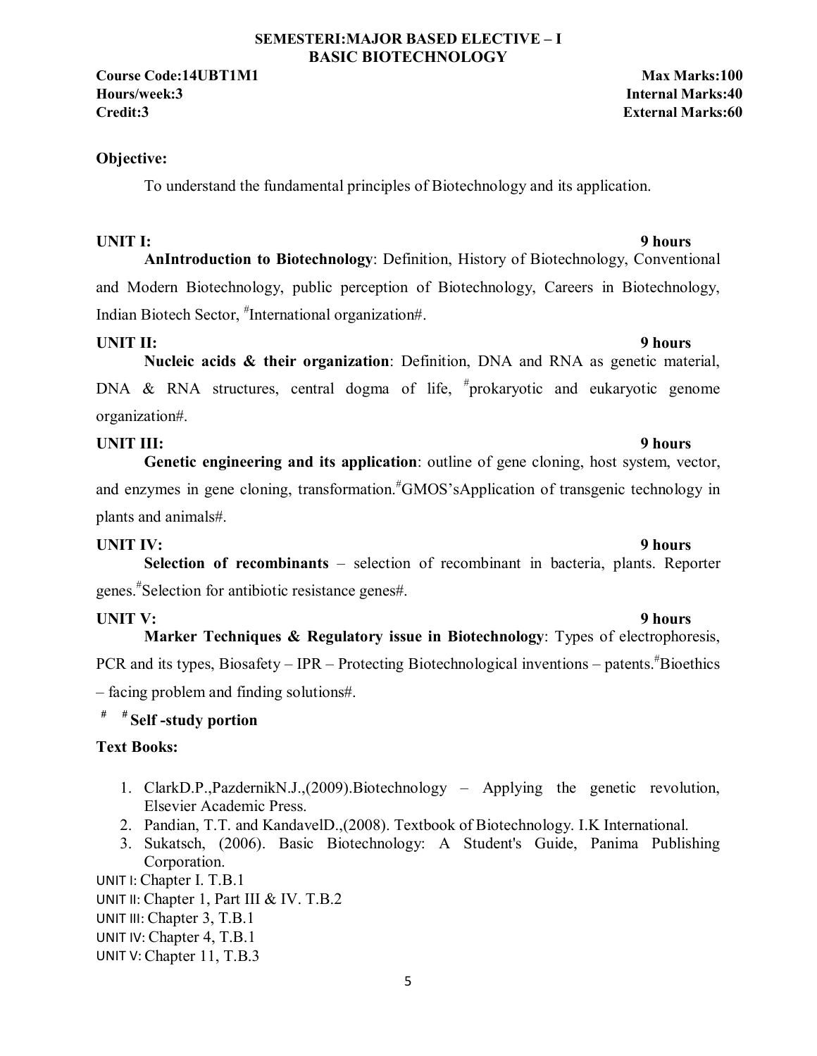#### **SEMESTERI:MAJOR BASED ELECTIVE – I BASIC BIOTECHNOLOGY**

**Course Code:14UBT1M1 Max Marks:100 Hours/week:3 Internal Marks:40 Credit:3 External Marks:60**

#### **Objective:**

To understand the fundamental principles of Biotechnology and its application.

### UNIT I: 9 hours

**AnIntroduction to Biotechnology**: Definition, History of Biotechnology, Conventional and Modern Biotechnology, public perception of Biotechnology, Careers in Biotechnology, Indian Biotech Sector, # International organization#.

### **UNIT II:** 9 hours

**Nucleic acids & their organization**: Definition, DNA and RNA as genetic material, DNA & RNA structures, central dogma of life,  $*$ prokaryotic and eukaryotic genome organization#.

### **UNIT III:** 9 hours

**Genetic engineering and its application**: outline of gene cloning, host system, vector, and enzymes in gene cloning, transformation.<sup>#</sup>GMOS'sApplication of transgenic technology in plants and animals#.

### UNIT IV: 9 hours

**Selection of recombinants** – selection of recombinant in bacteria, plants. Reporter genes.# Selection for antibiotic resistance genes#.

### UNIT V: 9 hours

**Marker Techniques & Regulatory issue in Biotechnology**: Types of electrophoresis, PCR and its types, Biosafety – IPR – Protecting Biotechnological inventions – patents. <sup>#</sup>Bioethics – facing problem and finding solutions#.

### **# # Self -study portion**

### **Text Books:**

- 1. ClarkD.P.,PazdernikN.J.,(2009).Biotechnology Applying the genetic revolution, Elsevier Academic Press.
- 2. Pandian, T.T. and KandavelD.,(2008). Textbook of Biotechnology. I.K International.
- 3. Sukatsch, (2006). Basic Biotechnology: A Student's Guide, Panima Publishing Corporation.

UNIT I: Chapter I. T.B.1 UNIT II: Chapter 1, Part III & IV. T.B.2 UNIT III: Chapter 3, T.B.1 UNIT IV: Chapter 4, T.B.1 UNIT V: Chapter 11, T.B.3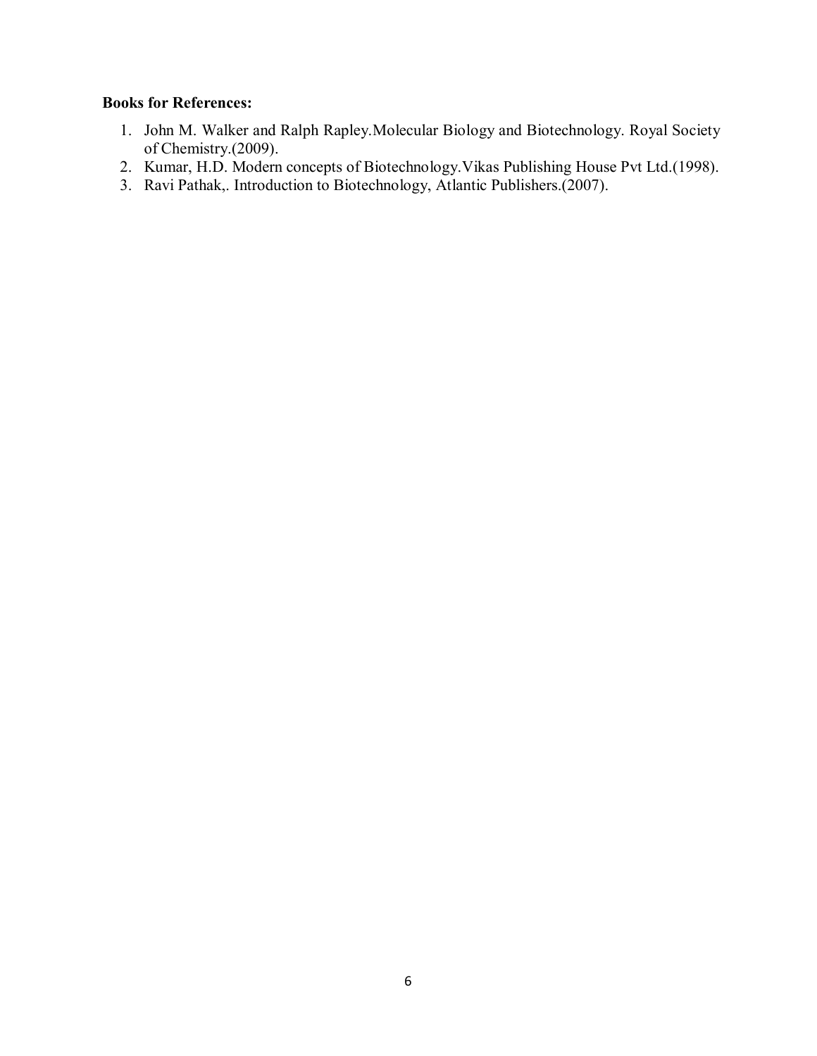- 1. John M. Walker and Ralph Rapley.Molecular Biology and Biotechnology. Royal Society of Chemistry.(2009).
- 2. Kumar, H.D. Modern concepts of Biotechnology.Vikas Publishing House Pvt Ltd.(1998).
- 3. Ravi Pathak,. Introduction to Biotechnology, Atlantic Publishers.(2007).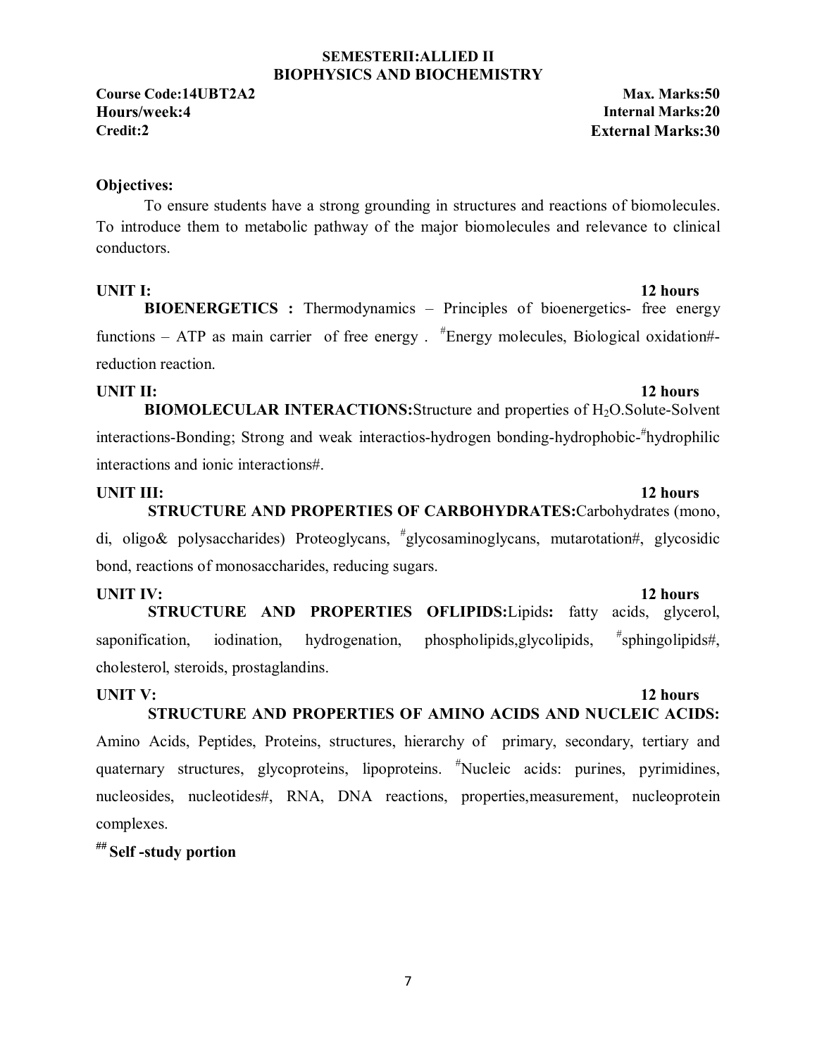#### **SEMESTERII:ALLIED II BIOPHYSICS AND BIOCHEMISTRY**

**Course Code:14UBT2A2 Max. Marks:50 Hours/week:4 Internal Marks:20 Credit:2 External Marks:30**

### **Objectives:**

To ensure students have a strong grounding in structures and reactions of biomolecules. To introduce them to metabolic pathway of the major biomolecules and relevance to clinical conductors.

**UNIT I:** 12 hours

**BIOENERGETICS :** Thermodynamics – Principles of bioenergetics- free energy functions – ATP as main carrier of free energy . <sup>#</sup>Energy molecules, Biological oxidation#reduction reaction.

#### **UNIT II:** 12 hours

**BIOMOLECULAR INTERACTIONS:** Structure and properties of H<sub>2</sub>O. Solute-Solvent interactions-Bonding; Strong and weak interactios-hydrogen bonding-hydrophobic-#hydrophilic interactions and ionic interactions#.

**UNIT III:** 12 hours  **STRUCTURE AND PROPERTIES OF CARBOHYDRATES:**Carbohydrates (mono, di, oligo& polysaccharides) Proteoglycans, # glycosaminoglycans, mutarotation#, glycosidic bond, reactions of monosaccharides, reducing sugars.

**UNIT IV:** 12 hours  **STRUCTURE AND PROPERTIES OFLIPIDS:**Lipids**:** fatty acids, glycerol, saponification, iodination, hydrogenation, phospholipids, glycolipids,  $*$ sphingolipids#, cholesterol, steroids, prostaglandins.

#### **UNIT V:** 12 hours  **STRUCTURE AND PROPERTIES OF AMINO ACIDS AND NUCLEIC ACIDS:**

Amino Acids, Peptides, Proteins, structures, hierarchy of primary, secondary, tertiary and quaternary structures, glycoproteins, lipoproteins. # Nucleic acids: purines, pyrimidines, nucleosides, nucleotides#, RNA, DNA reactions, properties,measurement, nucleoprotein complexes.

### **## Self -study portion**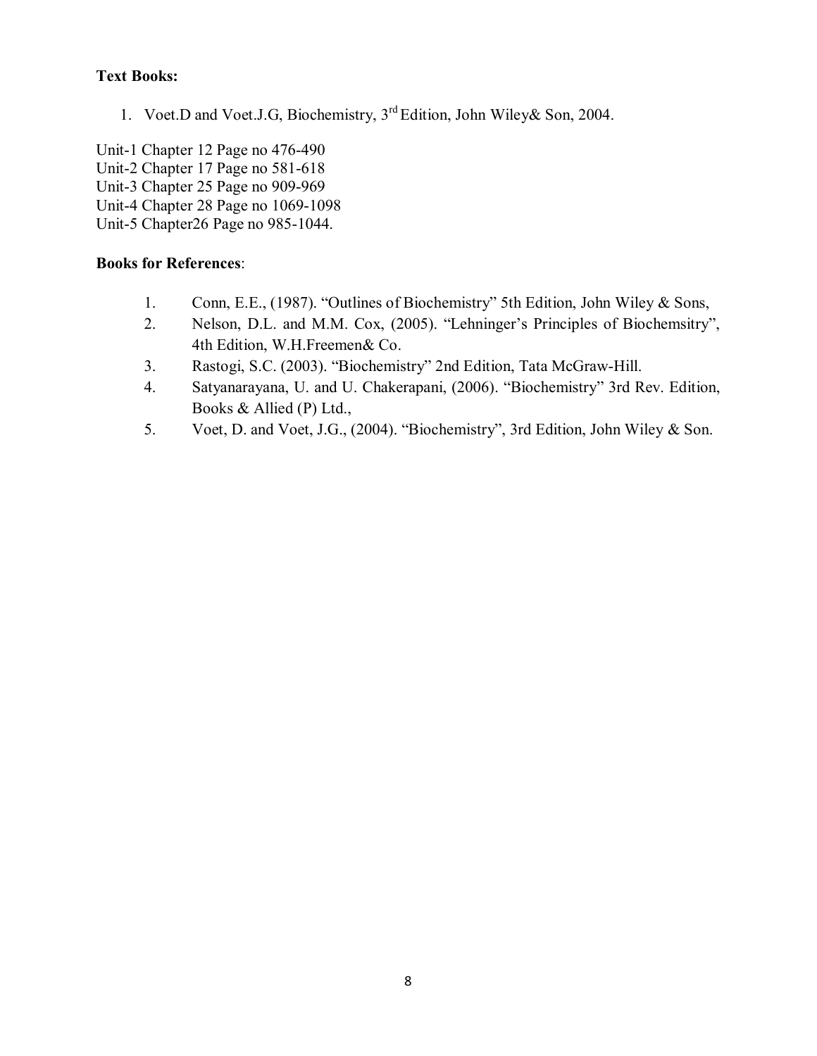# **Text Books:**

1. Voet.D and Voet.J.G, Biochemistry, 3rd Edition, John Wiley& Son, 2004.

Unit-1 Chapter 12 Page no 476-490 Unit-2 Chapter 17 Page no 581-618 Unit-3 Chapter 25 Page no 909-969 Unit-4 Chapter 28 Page no 1069-1098 Unit-5 Chapter26 Page no 985-1044.

- 1. Conn, E.E., (1987). "Outlines of Biochemistry" 5th Edition, John Wiley & Sons,
- 2. Nelson, D.L. and M.M. Cox, (2005). "Lehninger's Principles of Biochemsitry", 4th Edition, W.H.Freemen& Co.
- 3. Rastogi, S.C. (2003). "Biochemistry" 2nd Edition, Tata McGraw-Hill.
- 4. Satyanarayana, U. and U. Chakerapani, (2006). "Biochemistry" 3rd Rev. Edition, Books & Allied (P) Ltd.,
- 5. Voet, D. and Voet, J.G., (2004). "Biochemistry", 3rd Edition, John Wiley & Son.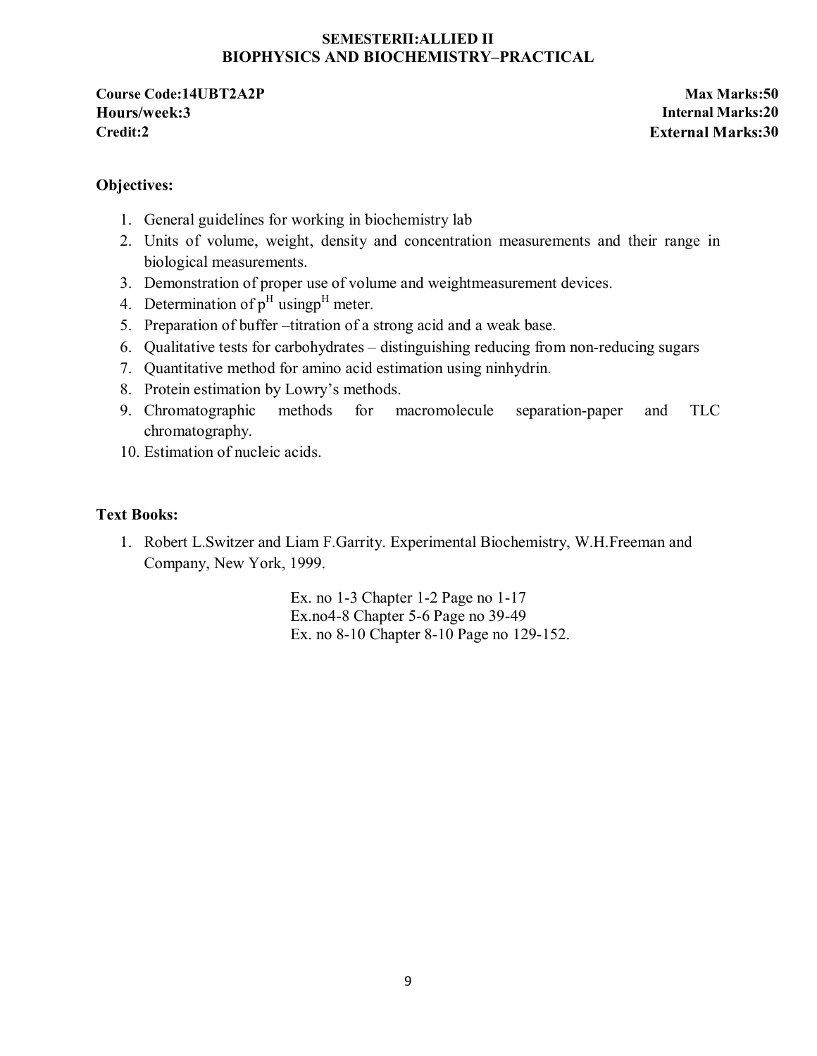#### **SEMESTERII:ALLIED II BIOPHYSICS AND BIOCHEMISTRY–PRACTICAL**

**Course Code:14UBT2A2P Max Marks:50 Hours/week:3 Internal Marks:20 Credit:2 External Marks:30**

### **Objectives:**

- 1. General guidelines for working in biochemistry lab
- 2. Units of volume, weight, density and concentration measurements and their range in biological measurements.
- 3. Demonstration of proper use of volume and weightmeasurement devices.
- 4. Determination of  $p<sup>H</sup>$  using <sup>H</sup> meter.
- 5. Preparation of buffer –titration of a strong acid and a weak base.
- 6. Qualitative tests for carbohydrates distinguishing reducing from non-reducing sugars
- 7. Quantitative method for amino acid estimation using ninhydrin.
- 8. Protein estimation by Lowry's methods.
- 9. Chromatographic methods for macromolecule separation-paper and TLC chromatography.
- 10. Estimation of nucleic acids.

### **Text Books:**

1. Robert L.Switzer and Liam F.Garrity. Experimental Biochemistry, W.H.Freeman and Company, New York, 1999.

> Ex. no 1-3 Chapter 1-2 Page no 1-17 Ex.no4-8 Chapter 5-6 Page no 39-49 Ex. no 8-10 Chapter 8-10 Page no 129-152.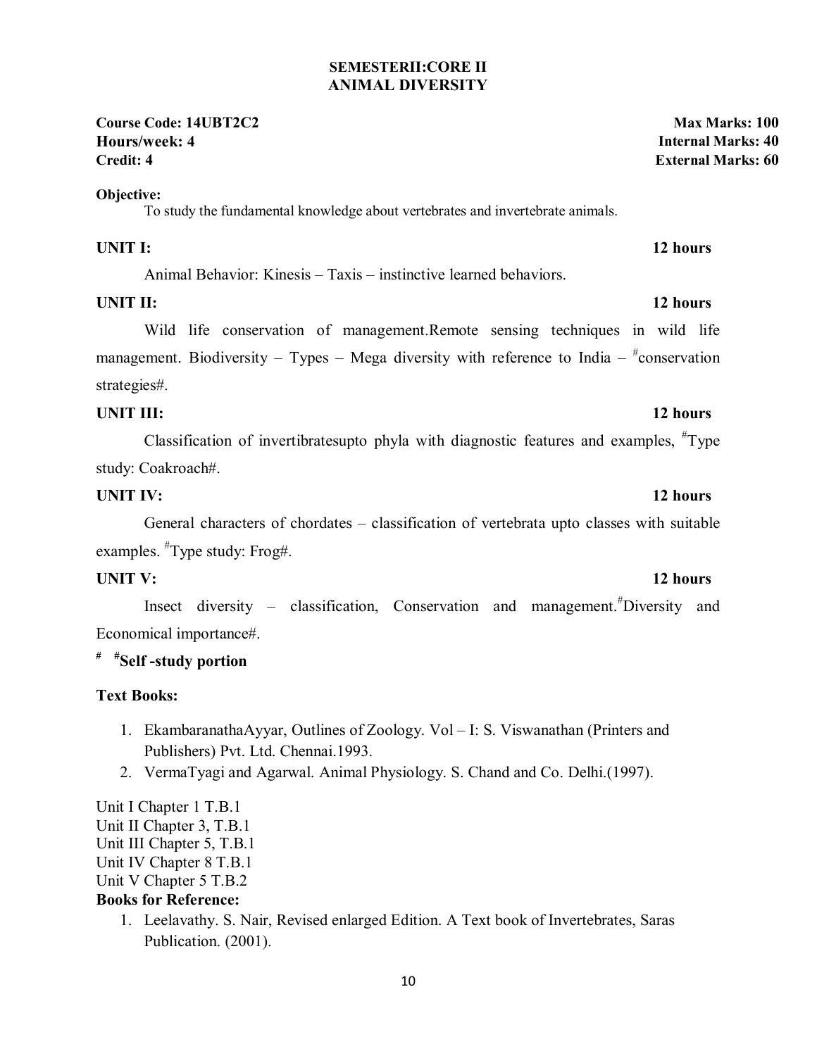### **SEMESTERII:CORE II ANIMAL DIVERSITY**

#### **Course Code: 14UBT2C2 Max Marks: 100 Hours/week: 4 Internal Marks: 40 Credit: 4 External Marks: 60**

#### **Objective:**

To study the fundamental knowledge about vertebrates and invertebrate animals.

#### **UNIT I:** 12 hours

Animal Behavior: Kinesis – Taxis – instinctive learned behaviors.

### **UNIT II:** 12 hours

Wild life conservation of management.Remote sensing techniques in wild life management. Biodiversity – Types – Mega diversity with reference to India –  $*$ conservation strategies#.

### **UNIT III:** 12 hours

Classification of invertibratesupto phyla with diagnostic features and examples,  $\text{HType}$ study: Coakroach#.

### **UNIT IV:** 12 hours

General characters of chordates – classification of vertebrata upto classes with suitable examples. # Type study: Frog#.

Insect diversity – classification, Conservation and management.# Diversity and Economical importance#.

# **# #Self -study portion**

### **Text Books:**

- 1. EkambaranathaAyyar, Outlines of Zoology. Vol I: S. Viswanathan (Printers and Publishers) Pvt. Ltd. Chennai.1993.
- 2. VermaTyagi and Agarwal. Animal Physiology. S. Chand and Co. Delhi.(1997).

Unit I Chapter 1 T.B.1 Unit II Chapter 3, T.B.1 Unit III Chapter 5, T.B.1 Unit IV Chapter 8 T.B.1 Unit V Chapter 5 T.B.2 **Books for Reference:** 

> 1. Leelavathy. S. Nair, Revised enlarged Edition. A Text book of Invertebrates, Saras Publication. (2001).

# **UNIT V:** 12 hours

### 10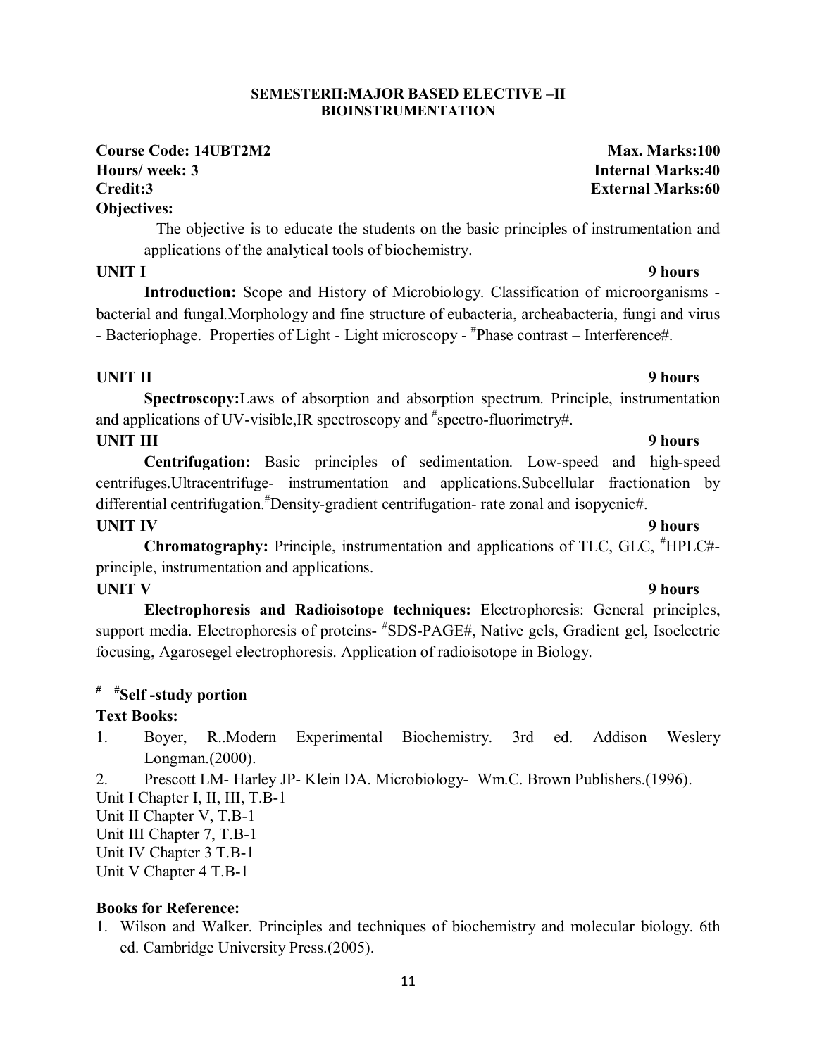# **UNIT I** 9 hours

applications of the analytical tools of biochemistry.

**SEMESTERII:MAJOR BASED ELECTIVE –II**

 **Introduction:** Scope and History of Microbiology. Classification of microorganisms bacterial and fungal.Morphology and fine structure of eubacteria, archeabacteria, fungi and virus - Bacteriophage. Properties of Light - Light microscopy - #Phase contrast - Interference#.

#### **UNIT II** 9 hours

**Objectives:** 

**Spectroscopy:**Laws of absorption and absorption spectrum. Principle, instrumentation and applications of UV-visible, IR spectroscopy and  $*$  spectro-fluorimetry#.

#### **UNIT III** 9 hours

**Centrifugation:** Basic principles of sedimentation. Low-speed and high-speed centrifuges.Ultracentrifuge- instrumentation and applications.Subcellular fractionation by differential centrifugation.# Density-gradient centrifugation- rate zonal and isopycnic#.

**UNIT IV** 9 hours

**Chromatography:** Principle, instrumentation and applications of TLC, GLC, # HPLC# principle, instrumentation and applications.

#### **UNIT V** 9 hours

**Electrophoresis and Radioisotope techniques:** Electrophoresis: General principles, support media. Electrophoresis of proteins- #SDS-PAGE#, Native gels, Gradient gel, Isoelectric focusing, Agarosegel electrophoresis. Application of radioisotope in Biology.

# **# #Self -study portion**

#### **Text Books:**

1. Boyer, R..Modern Experimental Biochemistry. 3rd ed. Addison Weslery Longman.(2000).

2. Prescott LM- Harley JP- Klein DA. Microbiology- Wm.C. Brown Publishers.(1996).

Unit I Chapter I, II, III, T.B-1

Unit II Chapter V, T.B-1

Unit III Chapter 7, T.B-1

Unit IV Chapter 3 T.B-1

Unit V Chapter 4 T.B-1

#### **Books for Reference:**

1. Wilson and Walker. Principles and techniques of biochemistry and molecular biology. 6th ed. Cambridge University Press.(2005).

# **BIOINSTRUMENTATION**

The objective is to educate the students on the basic principles of instrumentation and

# **Course Code: 14UBT2M2 Max. Marks:100 Hours/ week: 3 Internal Marks:40 Credit:3 External Marks:60**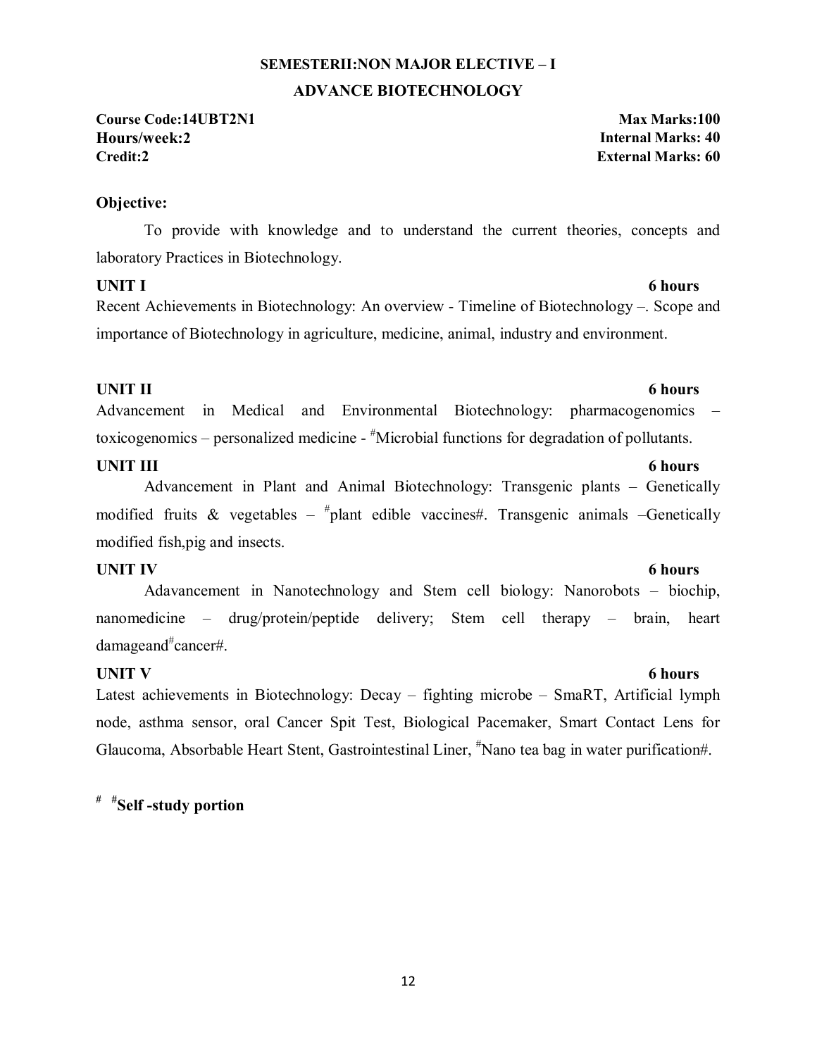# **SEMESTERII:NON MAJOR ELECTIVE – I ADVANCE BIOTECHNOLOGY**

**Course Code:14UBT2N1 Max Marks:100 Hours/week:2 Internal Marks: 40 Credit:2 External Marks: 60**

#### **Objective:**

To provide with knowledge and to understand the current theories, concepts and laboratory Practices in Biotechnology.

### **UNIT I** 6 hours

Recent Achievements in Biotechnology: An overview - Timeline of Biotechnology –. Scope and importance of Biotechnology in agriculture, medicine, animal, industry and environment.

#### **UNIT II** 6 hours

Advancement in Medical and Environmental Biotechnology: pharmacogenomics – toxicogenomics – personalized medicine - "Microbial functions for degradation of pollutants.

#### **UNIT III** 6 hours

Advancement in Plant and Animal Biotechnology: Transgenic plants – Genetically modified fruits & vegetables –  $^{\#}$ plant edible vaccines#. Transgenic animals –Genetically modified fish,pig and insects.

### **UNIT IV** 6 hours

Adavancement in Nanotechnology and Stem cell biology: Nanorobots – biochip, nanomedicine – drug/protein/peptide delivery; Stem cell therapy – brain, heart damageand# cancer#.

### **UNIT V** 6 hours

Latest achievements in Biotechnology: Decay – fighting microbe – SmaRT, Artificial lymph node, asthma sensor, oral Cancer Spit Test, Biological Pacemaker, Smart Contact Lens for Glaucoma, Absorbable Heart Stent, Gastrointestinal Liner, <sup>#</sup>Nano tea bag in water purification#.

**# #Self -study portion** 

#### 12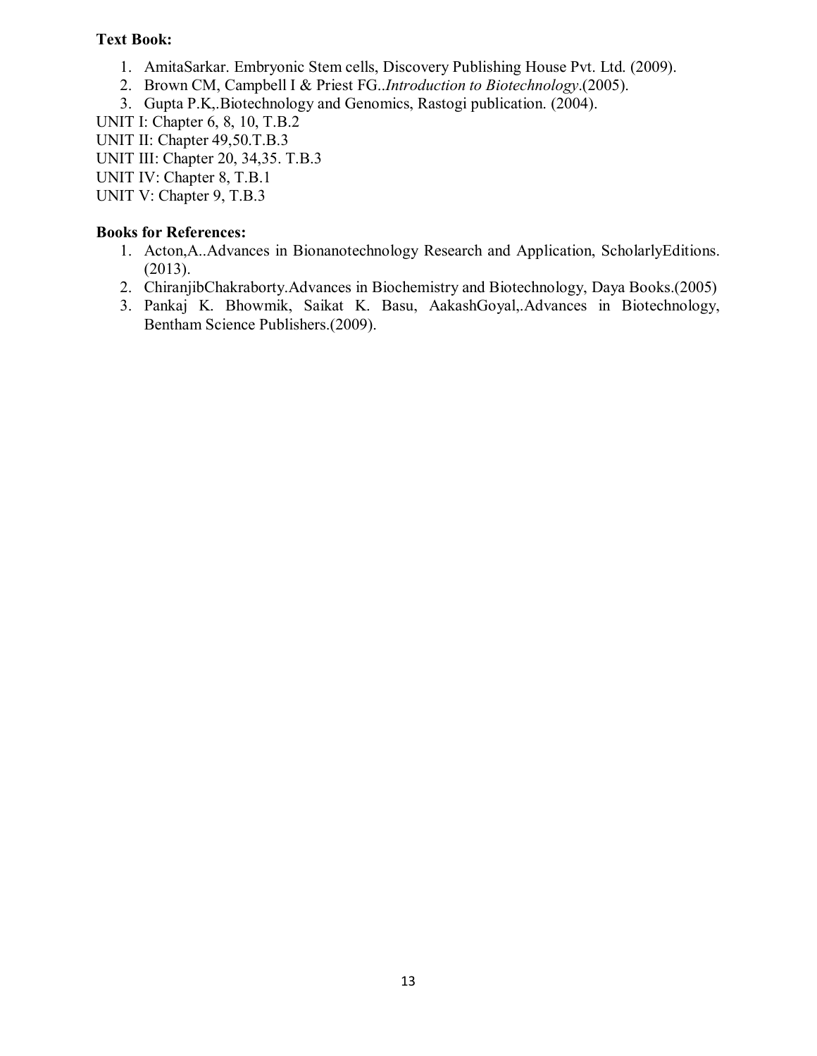### **Text Book:**

- 1. AmitaSarkar. Embryonic Stem cells, Discovery Publishing House Pvt. Ltd. (2009).
- 2. Brown CM, Campbell I & Priest FG..*Introduction to Biotechnology*.(2005).
- 3. Gupta P.K,.Biotechnology and Genomics, Rastogi publication. (2004).

UNIT I: Chapter 6, 8, 10, T.B.2

UNIT II: Chapter 49,50.T.B.3

UNIT III: Chapter 20, 34,35. T.B.3

UNIT IV: Chapter 8, T.B.1

UNIT V: Chapter 9, T.B.3

- 1. Acton,A..Advances in Bionanotechnology Research and Application, ScholarlyEditions. (2013).
- 2. ChiranjibChakraborty.Advances in Biochemistry and Biotechnology, Daya Books.(2005)
- 3. Pankaj K. Bhowmik, Saikat K. Basu, AakashGoyal,.Advances in Biotechnology, Bentham Science Publishers.(2009).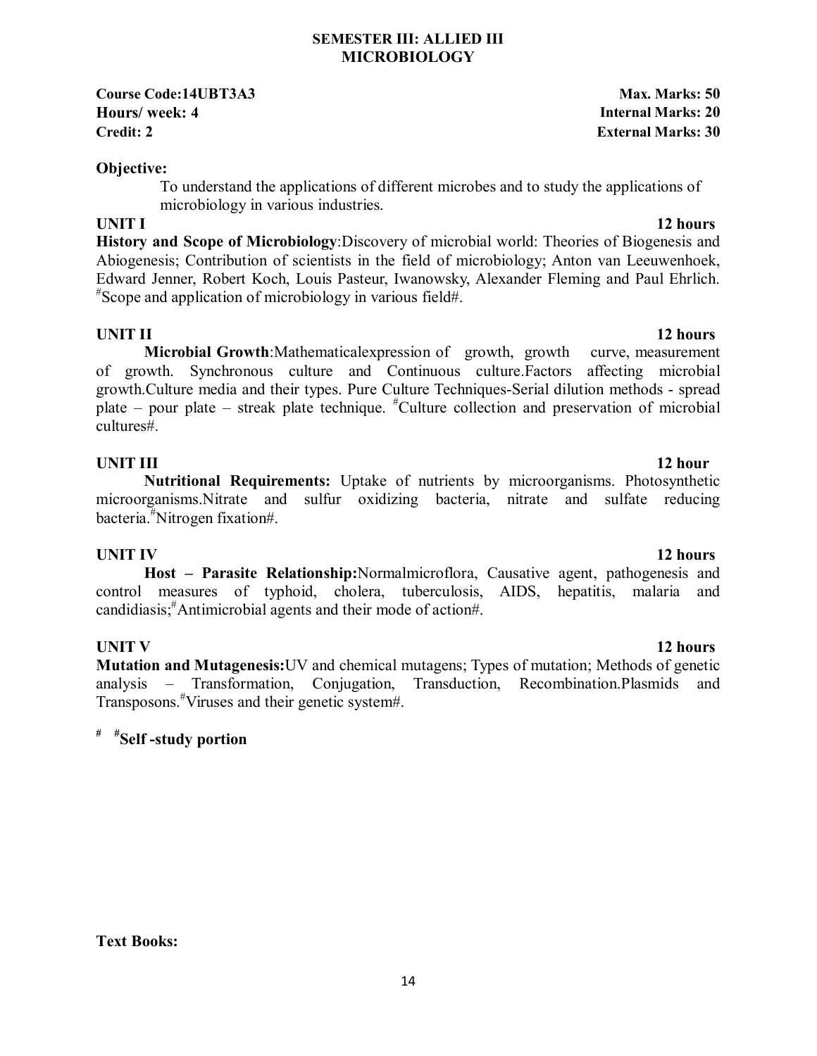#### **SEMESTER III: ALLIED III MICROBIOLOGY**

**Course Code:14UBT3A3 Max. Marks: 50 Hours/ week: 4 Internal Marks: 20 Credit: 2 External Marks: 30**

#### **Objective:**

To understand the applications of different microbes and to study the applications of microbiology in various industries.

#### **UNIT I** 12 hours

**History and Scope of Microbiology**:Discovery of microbial world: Theories of Biogenesis and Abiogenesis; Contribution of scientists in the field of microbiology; Anton van Leeuwenhoek, Edward Jenner, Robert Koch, Louis Pasteur, Iwanowsky, Alexander Fleming and Paul Ehrlich. # Scope and application of microbiology in various field#.

 **Microbial Growth**:Mathematicalexpression of growth, growth curve, measurement of growth. Synchronous culture and Continuous culture.Factors affecting microbial growth.Culture media and their types. Pure Culture Techniques-Serial dilution methods - spread plate – pour plate – streak plate technique. # Culture collection and preservation of microbial cultures#.

### **UNIT III** 12 hour

**Nutritional Requirements:** Uptake of nutrients by microorganisms. Photosynthetic microorganisms.Nitrate and sulfur oxidizing bacteria, nitrate and sulfate reducing bacteria.# Nitrogen fixation#.

### **UNIT IV** 12 hours

**Host – Parasite Relationship:**Normalmicroflora, Causative agent, pathogenesis and control measures of typhoid, cholera, tuberculosis, AIDS, hepatitis, malaria and candidiasis;# Antimicrobial agents and their mode of action#.

**Mutation and Mutagenesis:**UV and chemical mutagens; Types of mutation; Methods of genetic analysis – Transformation, Conjugation, Transduction, Recombination.Plasmids and Transposons.# Viruses and their genetic system#.

# **# #Self -study portion**

**Text Books:** 

### **UNIT II** 12 hours

# **UNIT V** 12 hours

#### 14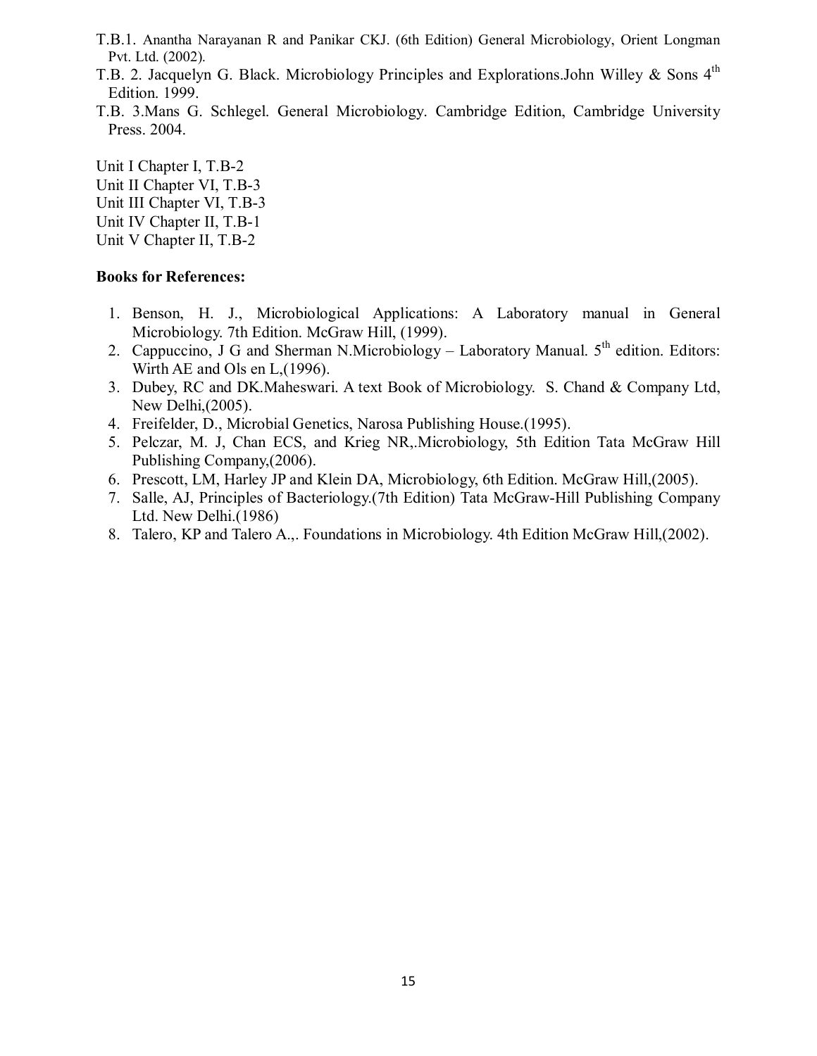- T.B.1. Anantha Narayanan R and Panikar CKJ. (6th Edition) General Microbiology, Orient Longman Pvt. Ltd. (2002).
- T.B. 2. Jacquelyn G. Black. Microbiology Principles and Explorations.John Willey & Sons 4<sup>th</sup> Edition. 1999.
- T.B. 3.Mans G. Schlegel. General Microbiology. Cambridge Edition, Cambridge University Press. 2004.

Unit I Chapter I, T.B-2 Unit II Chapter VI, T.B-3 Unit III Chapter VI, T.B-3 Unit IV Chapter II, T.B-1 Unit V Chapter II, T.B-2

- 1. Benson, H. J., Microbiological Applications: A Laboratory manual in General Microbiology. 7th Edition. McGraw Hill, (1999).
- 2. Cappuccino, J G and Sherman N.Microbiology Laboratory Manual.  $5<sup>th</sup>$  edition. Editors: Wirth AE and Ols en L,(1996).
- 3. Dubey, RC and DK.Maheswari. A text Book of Microbiology. S. Chand & Company Ltd, New Delhi,(2005).
- 4. Freifelder, D., Microbial Genetics, Narosa Publishing House.(1995).
- 5. Pelczar, M. J, Chan ECS, and Krieg NR,.Microbiology, 5th Edition Tata McGraw Hill Publishing Company,(2006).
- 6. Prescott, LM, Harley JP and Klein DA, Microbiology, 6th Edition. McGraw Hill,(2005).
- 7. Salle, AJ, Principles of Bacteriology.(7th Edition) Tata McGraw-Hill Publishing Company Ltd. New Delhi.(1986)
- 8. Talero, KP and Talero A.,. Foundations in Microbiology. 4th Edition McGraw Hill,(2002).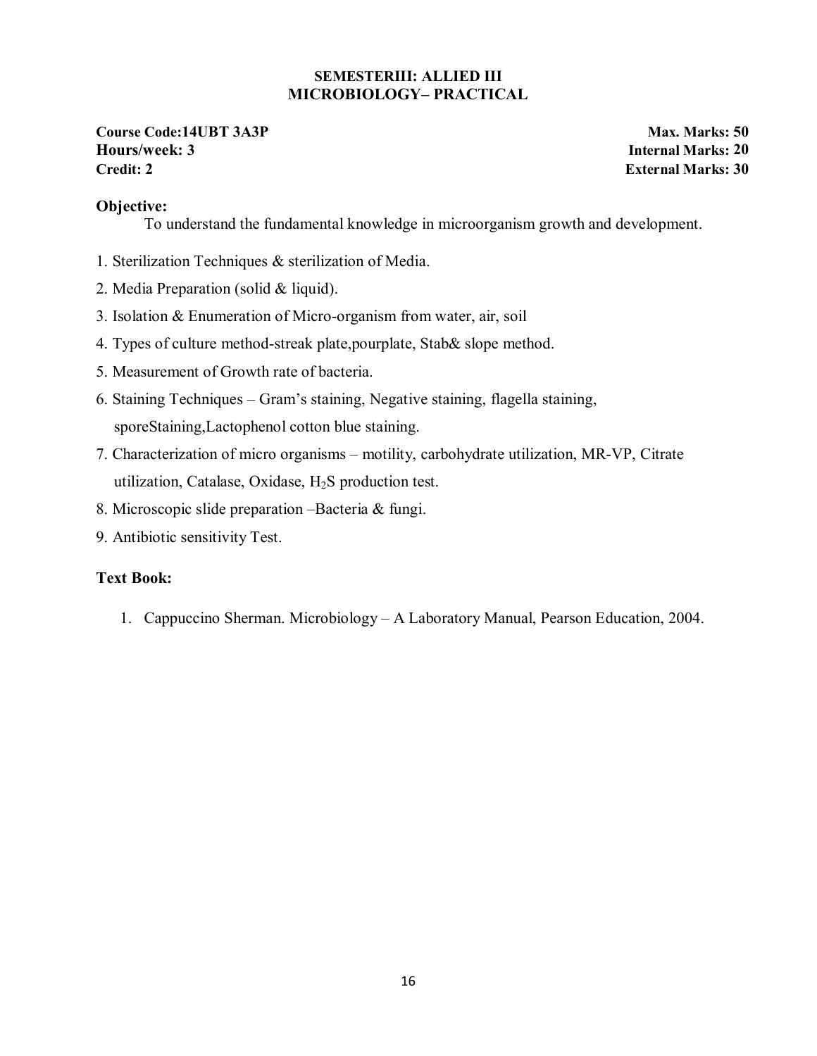#### **SEMESTERIII: ALLIED III MICROBIOLOGY– PRACTICAL**

**Course Code:14UBT 3A3P Max. Marks: 50 Hours/week: 3 Internal Marks: 20 Credit: 2 External Marks: 30**

### **Objective:**

To understand the fundamental knowledge in microorganism growth and development.

- 1. Sterilization Techniques & sterilization of Media.
- 2. Media Preparation (solid & liquid).
- 3. Isolation & Enumeration of Micro-organism from water, air, soil
- 4. Types of culture method-streak plate,pourplate, Stab& slope method.
- 5. Measurement of Growth rate of bacteria.
- 6. Staining Techniques Gram's staining, Negative staining, flagella staining, sporeStaining,Lactophenol cotton blue staining.
- 7. Characterization of micro organisms motility, carbohydrate utilization, MR-VP, Citrate utilization, Catalase, Oxidase,  $H_2S$  production test.
- 8. Microscopic slide preparation –Bacteria & fungi.
- 9. Antibiotic sensitivity Test.

### **Text Book:**

1. Cappuccino Sherman. Microbiology – A Laboratory Manual, Pearson Education, 2004.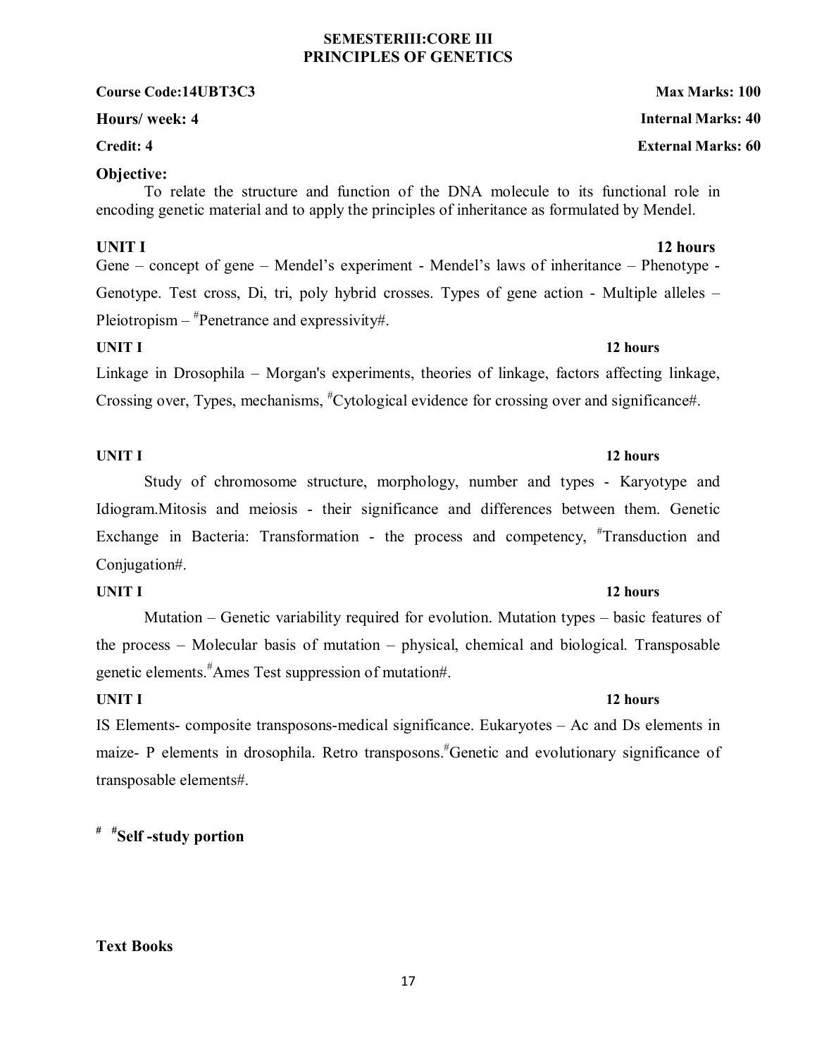#### **SEMESTERIII:CORE III PRINCIPLES OF GENETICS**

#### **Course Code:14UBT3C3 Max Marks: 100**

#### **Objective:**

To relate the structure and function of the DNA molecule to its functional role in encoding genetic material and to apply the principles of inheritance as formulated by Mendel.

### **UNIT I** 12 hours

Gene – concept of gene – Mendel's experiment - Mendel's laws of inheritance – Phenotype - Genotype. Test cross, Di, tri, poly hybrid crosses. Types of gene action - Multiple alleles – Pleiotropism – <sup>#</sup>Penetrance and expressivity#.

#### **UNIT I** 12 hours

Linkage in Drosophila – Morgan's experiments, theories of linkage, factors affecting linkage, Crossing over, Types, mechanisms, "Cytological evidence for crossing over and significance#.

#### **UNIT I** 12 hours

Study of chromosome structure, morphology, number and types - Karyotype and Idiogram.Mitosis and meiosis - their significance and differences between them. Genetic Exchange in Bacteria: Transformation - the process and competency, #Transduction and Conjugation#.

Mutation – Genetic variability required for evolution. Mutation types – basic features of the process – Molecular basis of mutation – physical, chemical and biological. Transposable genetic elements.# Ames Test suppression of mutation#.

IS Elements- composite transposons-medical significance. Eukaryotes – Ac and Ds elements in maize- P elements in drosophila. Retro transposons.<sup>#</sup>Genetic and evolutionary significance of transposable elements#.

# **# #Self -study portion**

# **Text Books**

#### 17

#### **Hours/ week: 4 Internal Marks: 40**

#### **Credit: 4 External Marks: 60**

# **UNIT I** 12 hours

# **UNIT I** 12 hours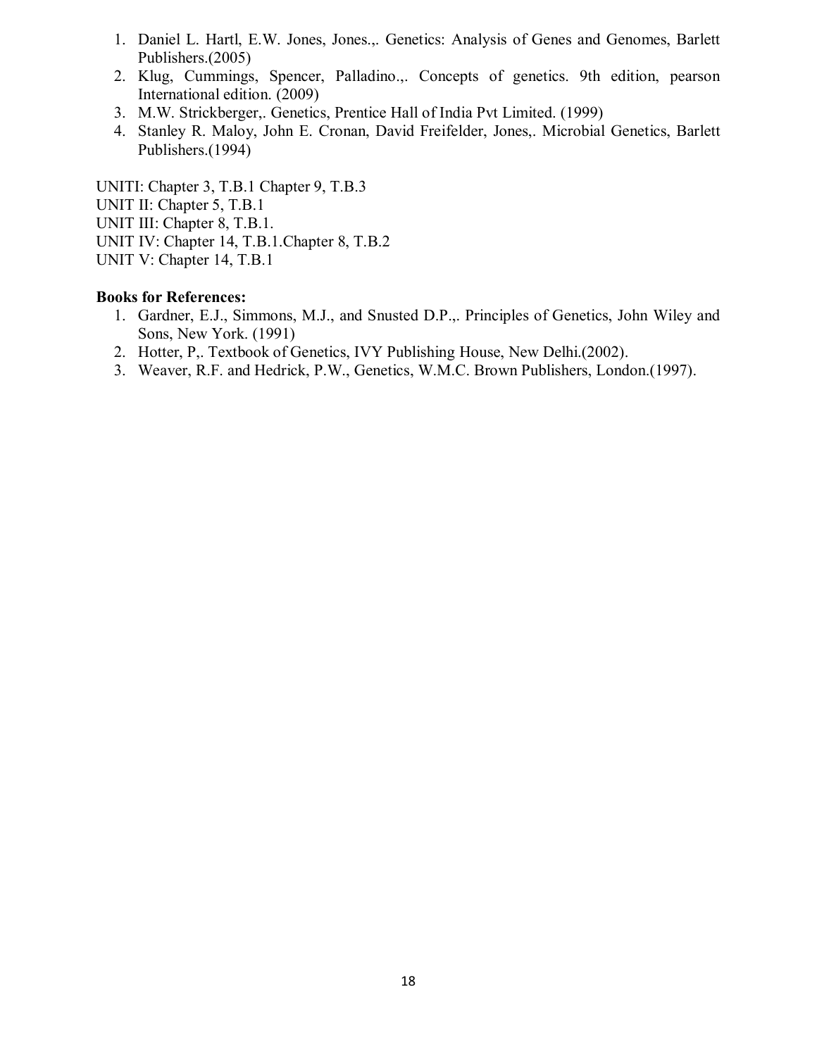- 1. Daniel L. Hartl, E.W. Jones, Jones.,. Genetics: Analysis of Genes and Genomes, Barlett Publishers.(2005)
- 2. Klug, Cummings, Spencer, Palladino.,. Concepts of genetics. 9th edition, pearson International edition. (2009)
- 3. M.W. Strickberger,. Genetics, Prentice Hall of India Pvt Limited. (1999)
- 4. Stanley R. Maloy, John E. Cronan, David Freifelder, Jones,. Microbial Genetics, Barlett Publishers.(1994)

UNITI: Chapter 3, T.B.1 Chapter 9, T.B.3 UNIT II: Chapter 5, T.B.1 UNIT III: Chapter 8, T.B.1. UNIT IV: Chapter 14, T.B.1.Chapter 8, T.B.2 UNIT V: Chapter 14, T.B.1

- 1. Gardner, E.J., Simmons, M.J., and Snusted D.P.,. Principles of Genetics, John Wiley and Sons, New York. (1991)
- 2. Hotter, P,. Textbook of Genetics, IVY Publishing House, New Delhi.(2002).
- 3. Weaver, R.F. and Hedrick, P.W., Genetics, W.M.C. Brown Publishers, London.(1997).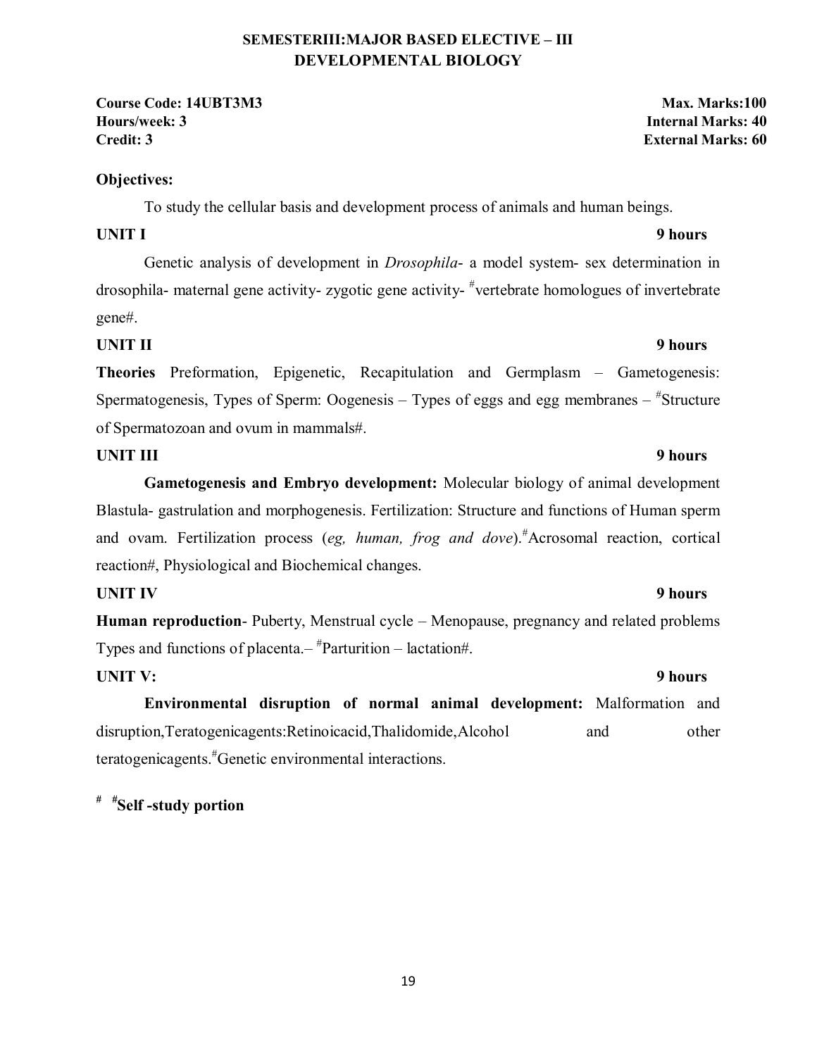### **SEMESTERIII:MAJOR BASED ELECTIVE – III DEVELOPMENTAL BIOLOGY**

**Course Code: 14UBT3M3 Max. Marks:100 Hours/week: 3 Internal Marks: 40 Credit: 3 External Marks: 60**

### **Objectives:**

To study the cellular basis and development process of animals and human beings.

### **UNIT I** 9 hours

Genetic analysis of development in *Drosophila*- a model system- sex determination in drosophila- maternal gene activity- zygotic gene activity- # vertebrate homologues of invertebrate gene#.

# **UNIT II** 9 hours

**Theories** Preformation, Epigenetic, Recapitulation and Germplasm – Gametogenesis: Spermatogenesis, Types of Sperm: Oogenesis – Types of eggs and egg membranes – "Structure of Spermatozoan and ovum in mammals#.

### **UNIT III** 9 hours

**Gametogenesis and Embryo development:** Molecular biology of animal development Blastula- gastrulation and morphogenesis. Fertilization: Structure and functions of Human sperm and ovam. Fertilization process (eg, human, frog and dove).<sup>#</sup>Acrosomal reaction, cortical reaction#, Physiological and Biochemical changes.

# **UNIT IV** 9 hours

**Human reproduction**- Puberty, Menstrual cycle – Menopause, pregnancy and related problems Types and functions of placenta.– # Parturition – lactation#.

# UNIT V: 9 hours

**Environmental disruption of normal animal development:** Malformation and disruption,Teratogenicagents:Retinoicacid,Thalidomide,Alcohol and other teratogenicagents.# Genetic environmental interactions.

# *# #***Self -study portion**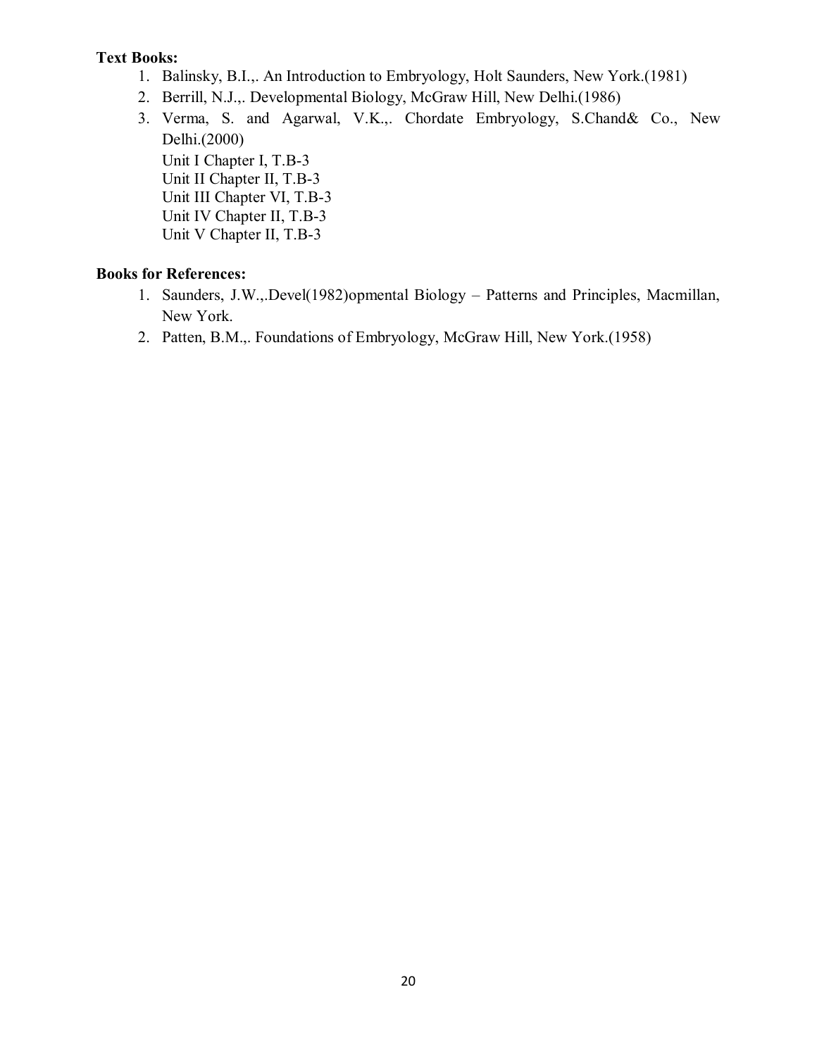### **Text Books:**

- 1. Balinsky, B.I.,. An Introduction to Embryology, Holt Saunders, New York.(1981)
- 2. Berrill, N.J.,. Developmental Biology, McGraw Hill, New Delhi.(1986)
- 3. Verma, S. and Agarwal, V.K.,. Chordate Embryology, S.Chand& Co., New Delhi.(2000) Unit I Chapter I, T.B-3 Unit II Chapter II, T.B-3 Unit III Chapter VI, T.B-3 Unit IV Chapter II, T.B-3 Unit V Chapter II, T.B-3

- 1. Saunders, J.W.,.Devel(1982)opmental Biology Patterns and Principles, Macmillan, New York.
- 2. Patten, B.M.,. Foundations of Embryology, McGraw Hill, New York.(1958)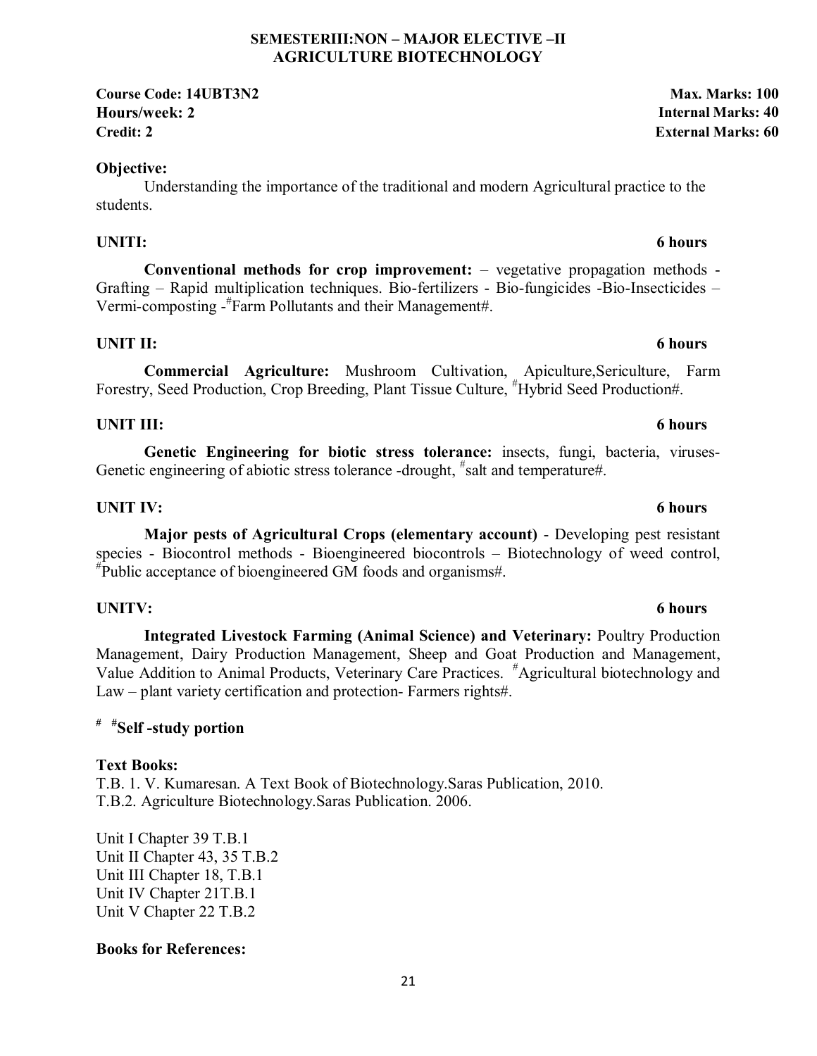### **SEMESTERIII:NON – MAJOR ELECTIVE –II AGRICULTURE BIOTECHNOLOGY**

**Course Code: 14UBT3N2 Max. Marks: 100 Hours/week: 2 Internal Marks: 40 Credit: 2 External Marks: 60**

# **Objective:**

Understanding the importance of the traditional and modern Agricultural practice to the students.

# **UNITI: 6 hours**

**Conventional methods for crop improvement:** – vegetative propagation methods - Grafting – Rapid multiplication techniques. Bio-fertilizers - Bio-fungicides -Bio-Insecticides – Vermi-composting -# Farm Pollutants and their Management#.

# **UNIT II:** 6 hours

**Commercial Agriculture:** Mushroom Cultivation, Apiculture,Sericulture, Farm Forestry, Seed Production, Crop Breeding, Plant Tissue Culture, "Hybrid Seed Production#.

# **UNIT III:** 6 hours

**Genetic Engineering for biotic stress tolerance:** insects, fungi, bacteria, viruses-Genetic engineering of abiotic stress tolerance -drought, "salt and temperature#.

# **UNIT IV:** 6 hours

**Major pests of Agricultural Crops (elementary account)** - Developing pest resistant species - Biocontrol methods - Bioengineered biocontrols – Biotechnology of weed control, # Public acceptance of bioengineered GM foods and organisms#.

# **UNITV: 6 hours**

**Integrated Livestock Farming (Animal Science) and Veterinary:** Poultry Production Management, Dairy Production Management, Sheep and Goat Production and Management, Value Addition to Animal Products, Veterinary Care Practices. # Agricultural biotechnology and Law – plant variety certification and protection- Farmers rights#.

# **# #Self -study portion**

# **Text Books:**

T.B. 1. V. Kumaresan. A Text Book of Biotechnology.Saras Publication, 2010. T.B.2. Agriculture Biotechnology.Saras Publication. 2006.

Unit I Chapter 39 T.B.1 Unit II Chapter 43, 35 T.B.2 Unit III Chapter 18, T.B.1 Unit IV Chapter 21T.B.1 Unit V Chapter 22 T.B.2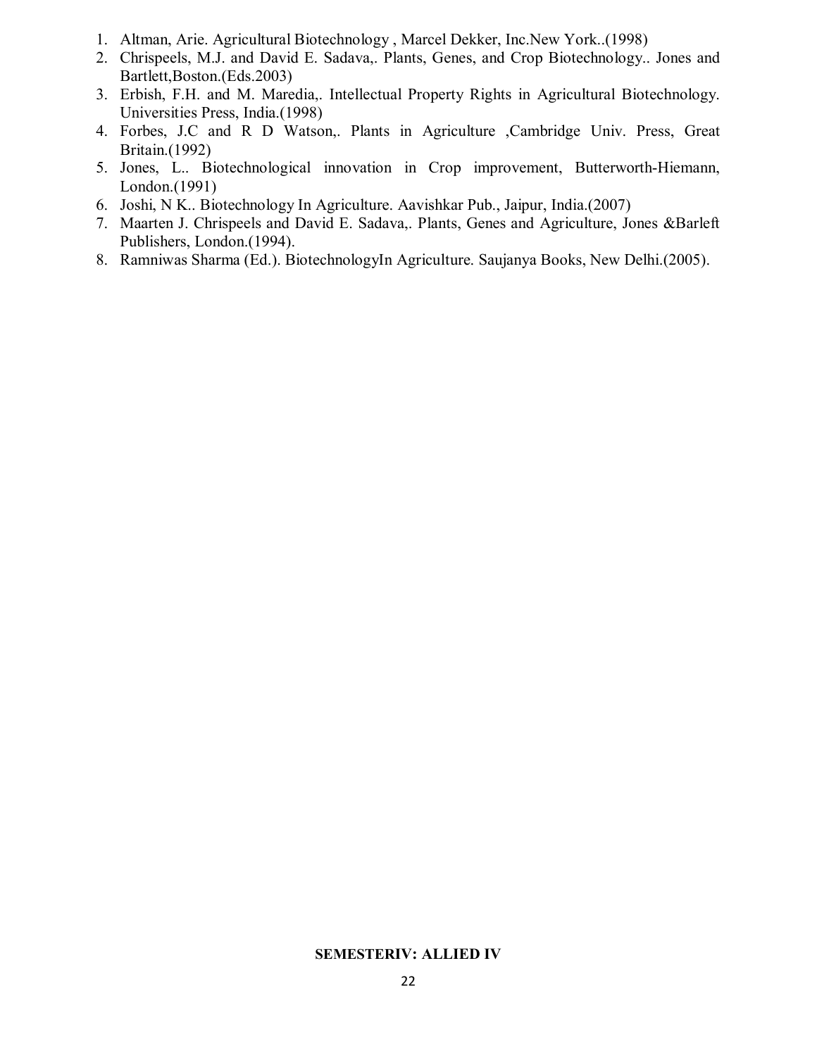- 1. Altman, Arie. Agricultural Biotechnology , Marcel Dekker, Inc.New York..(1998)
- 2. Chrispeels, M.J. and David E. Sadava,. Plants, Genes, and Crop Biotechnology.. Jones and Bartlett,Boston.(Eds.2003)
- 3. Erbish, F.H. and M. Maredia,. Intellectual Property Rights in Agricultural Biotechnology. Universities Press, India.(1998)
- 4. Forbes, J.C and R D Watson,. Plants in Agriculture ,Cambridge Univ. Press, Great Britain.(1992)
- 5. Jones, L.. Biotechnological innovation in Crop improvement, Butterworth-Hiemann, London.(1991)
- 6. Joshi, N K.. Biotechnology In Agriculture. Aavishkar Pub., Jaipur, India.(2007)
- 7. Maarten J. Chrispeels and David E. Sadava,. Plants, Genes and Agriculture, Jones &Barleft Publishers, London.(1994).
- 8. Ramniwas Sharma (Ed.). BiotechnologyIn Agriculture. Saujanya Books, New Delhi.(2005).

#### **SEMESTERIV: ALLIED IV**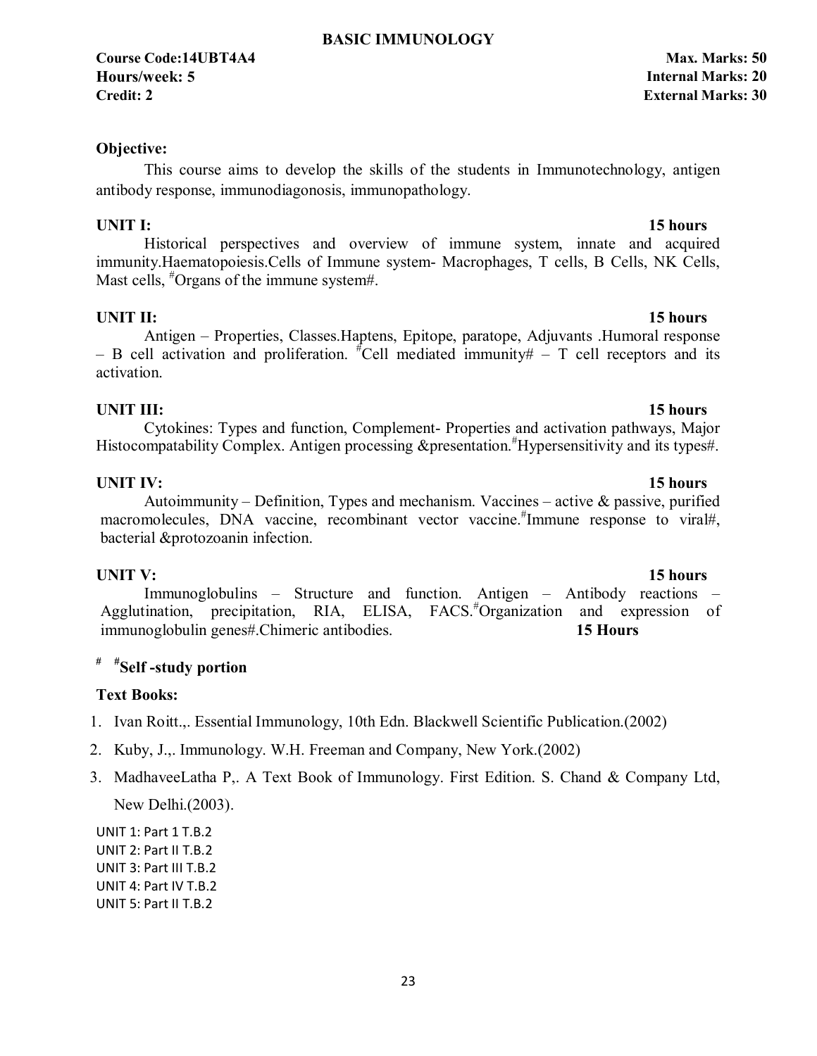**Course Code:14UBT4A4 Max. Marks: 50 Hours/week: 5 Internal Marks: 20 Credit: 2 External Marks: 30**

### **Objective:**

This course aims to develop the skills of the students in Immunotechnology, antigen antibody response, immunodiagonosis, immunopathology.

Historical perspectives and overview of immune system, innate and acquired immunity.Haematopoiesis.Cells of Immune system- Macrophages, T cells, B Cells, NK Cells, Mast cells, <sup>#</sup>Organs of the immune system#.

### **UNIT II:** 15 hours

Antigen – Properties, Classes.Haptens, Epitope, paratope, Adjuvants .Humoral response  $-$  B cell activation and proliferation. <sup>#</sup>Cell mediated immunity#  $-$  T cell receptors and its activation.

### **UNIT III:** 15 hours

Cytokines: Types and function, Complement- Properties and activation pathways, Major Histocompatability Complex. Antigen processing &presentation.<sup>#</sup>Hypersensitivity and its types#.

### **UNIT IV:** 15 hours

### Autoimmunity – Definition, Types and mechanism. Vaccines – active & passive, purified macromolecules, DNA vaccine, recombinant vector vaccine.<sup>#</sup>Immune response to viral#, bacterial &protozoanin infection.

**UNIT V:** 15 hours Immunoglobulins – Structure and function. Antigen – Antibody reactions – Agglutination, precipitation, RIA, ELISA, FACS.# Organization and expression of immunoglobulin genes#.Chimeric antibodies. **15 Hours** 

# **# #Self -study portion**

#### **Text Books:**

- 1. Ivan Roitt.,. Essential Immunology, 10th Edn. Blackwell Scientific Publication.(2002)
- 2. Kuby, J.,. Immunology. W.H. Freeman and Company, New York.(2002)
- 3. MadhaveeLatha P,. A Text Book of Immunology. First Edition. S. Chand & Company Ltd, New Delhi.(2003).

UNIT 1: Part 1 T.B.2 UNIT 2: Part II T.B.2 UNIT 3: Part III T.B.2 UNIT 4: Part IV T.B.2 UNIT 5: Part II T.B.2

#### **UNIT I:** 15 hours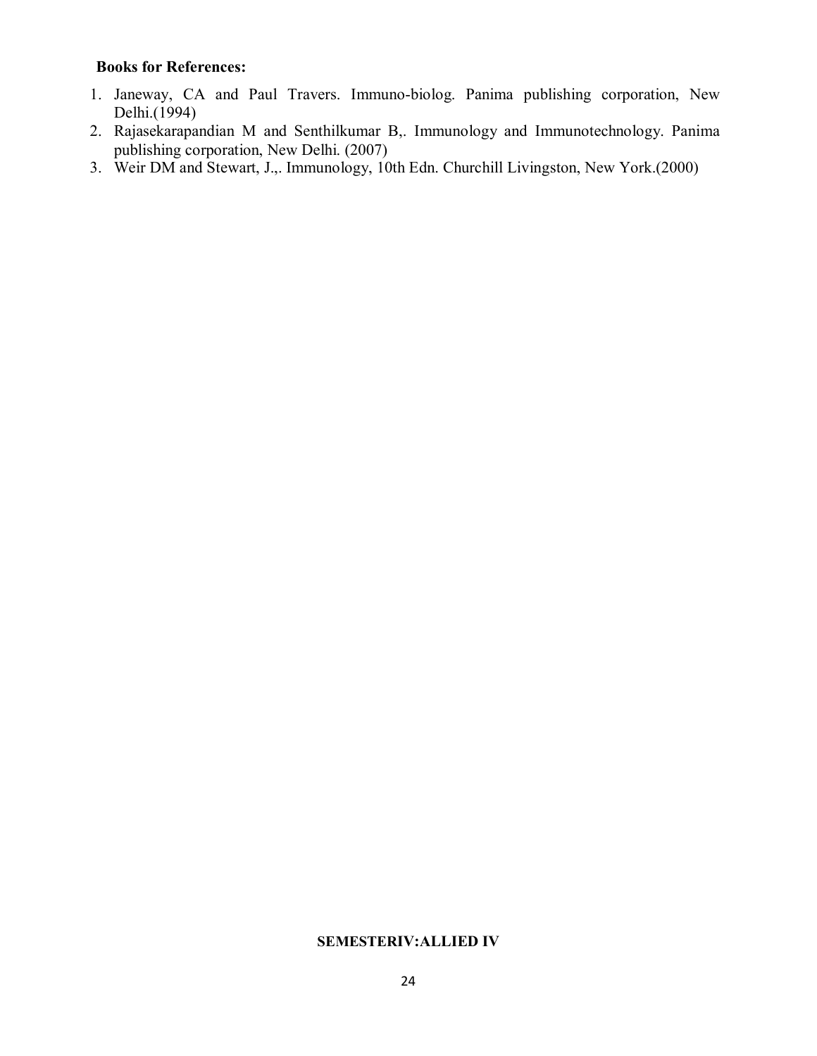### **Books for References:**

- 1. Janeway, CA and Paul Travers. Immuno-biolog. Panima publishing corporation, New Delhi.(1994)
- 2. Rajasekarapandian M and Senthilkumar B,. Immunology and Immunotechnology. Panima publishing corporation, New Delhi. (2007)
- 3. Weir DM and Stewart, J.,. Immunology, 10th Edn. Churchill Livingston, New York.(2000)

#### **SEMESTERIV:ALLIED IV**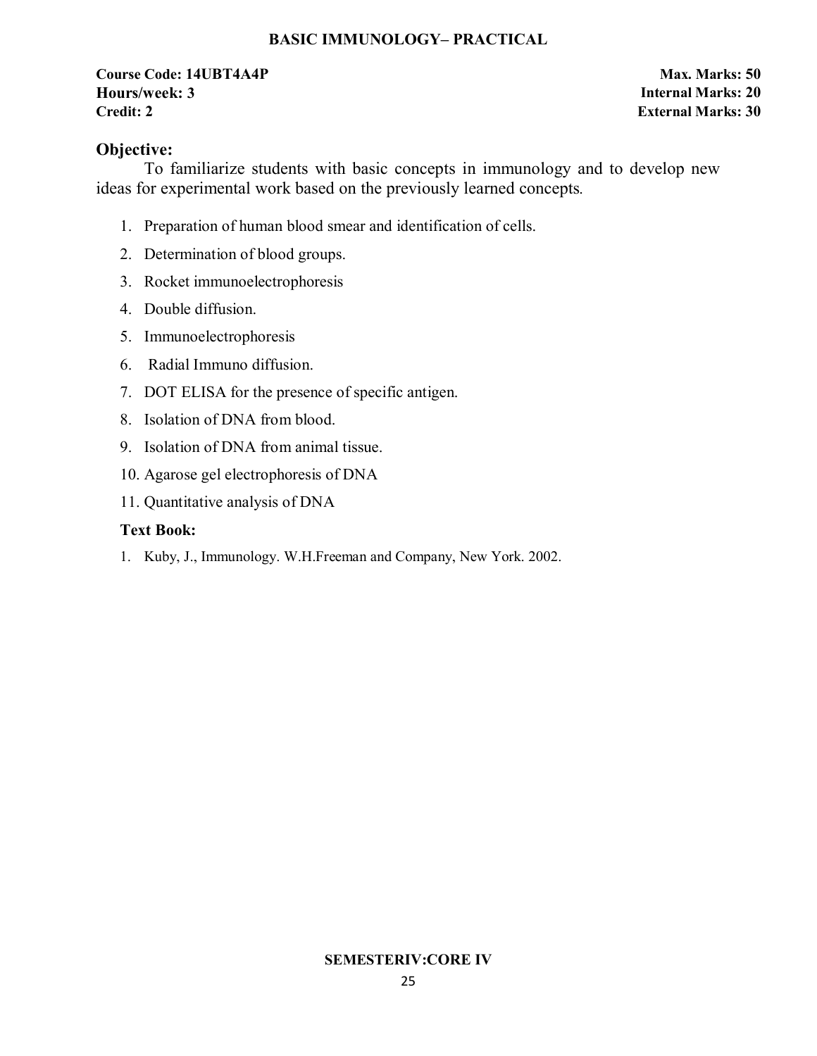### **BASIC IMMUNOLOGY– PRACTICAL**

### **Course Code: 14UBT4A4P Max. Marks: 50 Hours/week: 3 Internal Marks: 20 Credit: 2 External Marks: 30**

### **Objective:**

To familiarize students with basic concepts in immunology and to develop new ideas for experimental work based on the previously learned concepts*.* 

- 1. Preparation of human blood smear and identification of cells.
- 2. Determination of blood groups.
- 3. Rocket immunoelectrophoresis
- 4. Double diffusion.
- 5. Immunoelectrophoresis
- 6. Radial Immuno diffusion.
- 7. DOT ELISA for the presence of specific antigen.
- 8. Isolation of DNA from blood.
- 9. Isolation of DNA from animal tissue.
- 10. Agarose gel electrophoresis of DNA
- 11. Quantitative analysis of DNA

### **Text Book:**

1. Kuby, J., Immunology. W.H.Freeman and Company, New York. 2002.

#### **SEMESTERIV:CORE IV**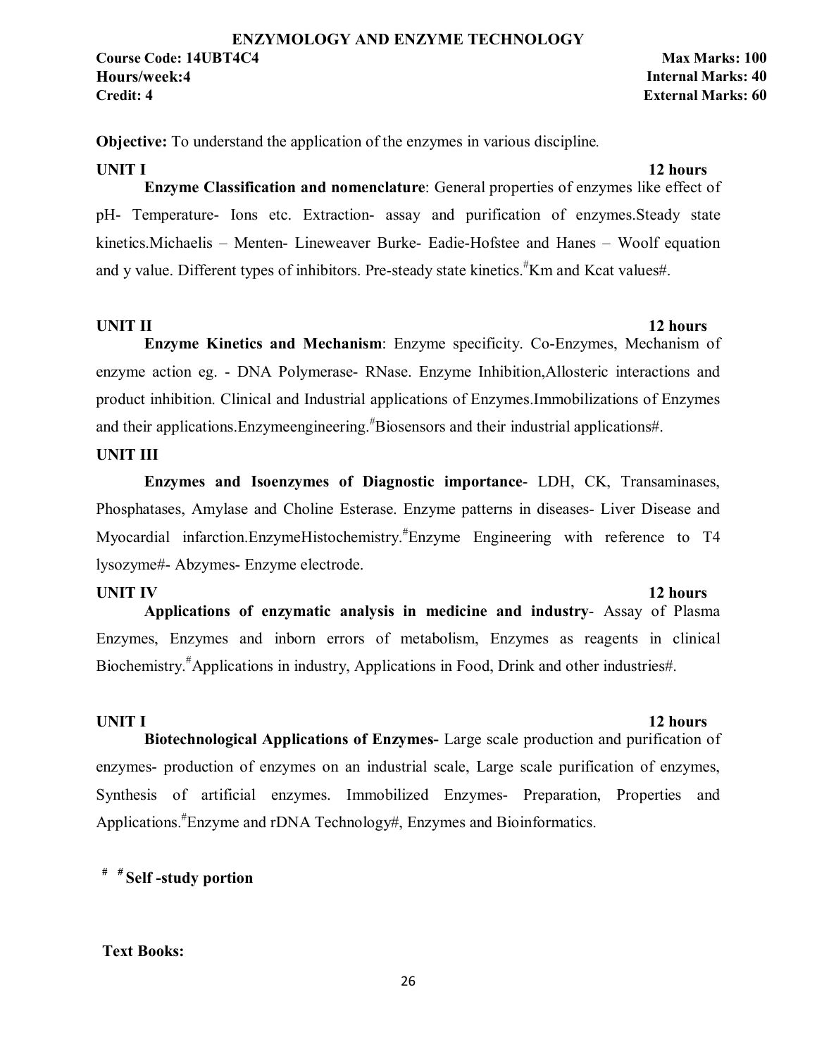**Objective:** To understand the application of the enzymes in various discipline*.* 

#### **UNIT I** 12 hours

**Enzyme Classification and nomenclature**: General properties of enzymes like effect of pH- Temperature- Ions etc. Extraction- assay and purification of enzymes.Steady state kinetics.Michaelis – Menten- Lineweaver Burke- Eadie-Hofstee and Hanes – Woolf equation and y value. Different types of inhibitors. Pre-steady state kinetics.<sup>#</sup>Km and Kcat values#.

**UNIT II** 12 hours

**Enzyme Kinetics and Mechanism**: Enzyme specificity. Co-Enzymes, Mechanism of enzyme action eg. - DNA Polymerase- RNase. Enzyme Inhibition,Allosteric interactions and product inhibition. Clinical and Industrial applications of Enzymes.Immobilizations of Enzymes and their applications. Enzymeengineering.<sup>#</sup>Biosensors and their industrial applications#.

### **UNIT III**

**Enzymes and Isoenzymes of Diagnostic importance**- LDH, CK, Transaminases, Phosphatases, Amylase and Choline Esterase. Enzyme patterns in diseases- Liver Disease and Myocardial infarction.EnzymeHistochemistry.# Enzyme Engineering with reference to T4 lysozyme#- Abzymes- Enzyme electrode.

**UNIT IV** 12 hours **Applications of enzymatic analysis in medicine and industry**- Assay of Plasma Enzymes, Enzymes and inborn errors of metabolism, Enzymes as reagents in clinical Biochemistry.# Applications in industry, Applications in Food, Drink and other industries#.

#### **UNIT I** 12 hours

**Biotechnological Applications of Enzymes-** Large scale production and purification of enzymes- production of enzymes on an industrial scale, Large scale purification of enzymes, Synthesis of artificial enzymes. Immobilized Enzymes- Preparation, Properties and Applications.<sup>#</sup>Enzyme and rDNA Technology#, Enzymes and Bioinformatics.

# **# # Self -study portion**

#### **Text Books:**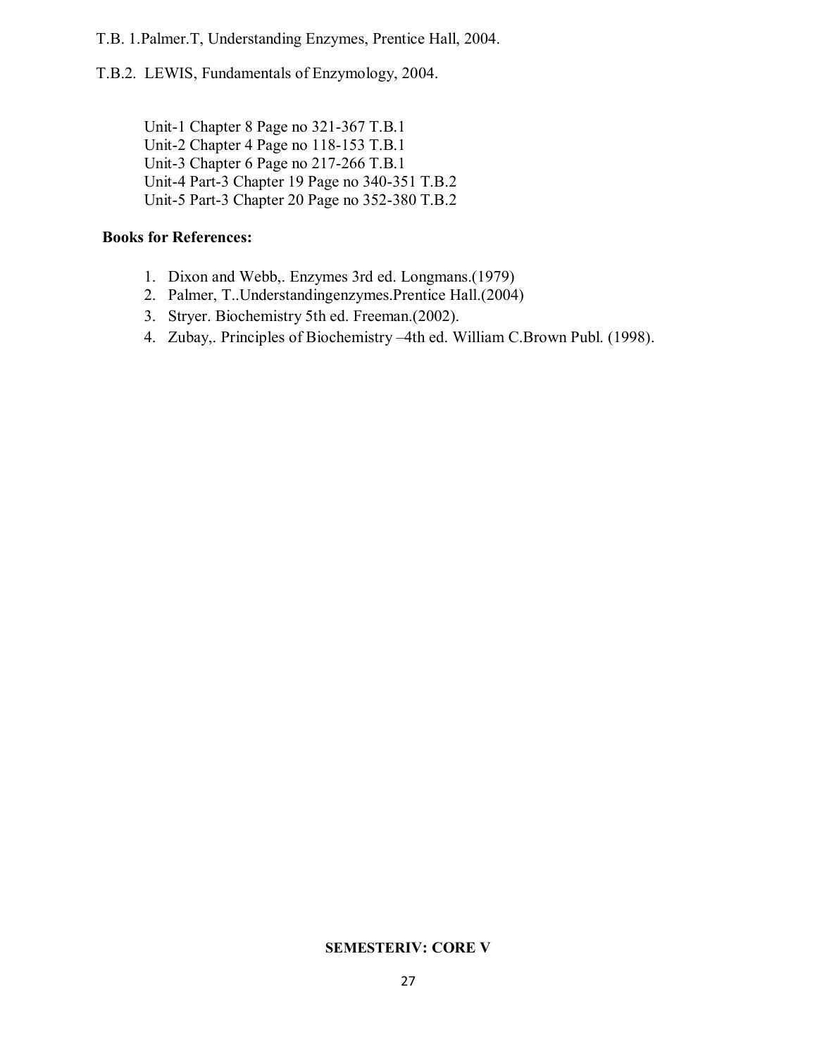T.B. 1.Palmer.T, Understanding Enzymes, Prentice Hall, 2004.

T.B.2. LEWIS, Fundamentals of Enzymology, 2004.

Unit-1 Chapter 8 Page no 321-367 T.B.1 Unit-2 Chapter 4 Page no 118-153 T.B.1 Unit-3 Chapter 6 Page no 217-266 T.B.1 Unit-4 Part-3 Chapter 19 Page no 340-351 T.B.2 Unit-5 Part-3 Chapter 20 Page no 352-380 T.B.2

### **Books for References:**

- 1. Dixon and Webb,. Enzymes 3rd ed. Longmans.(1979)
- 2. Palmer, T..Understandingenzymes.Prentice Hall.(2004)
- 3. Stryer. Biochemistry 5th ed. Freeman.(2002).
- 4. Zubay,. Principles of Biochemistry –4th ed. William C.Brown Publ. (1998).

### **SEMESTERIV: CORE V**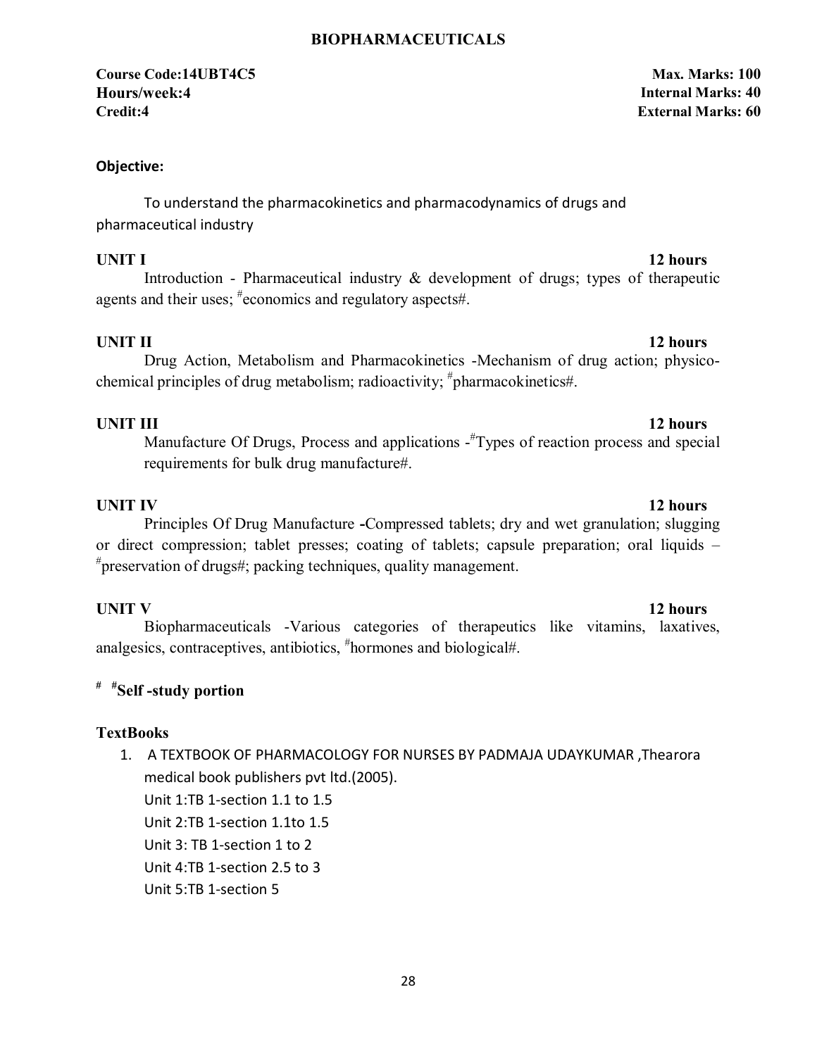### **BIOPHARMACEUTICALS**

### **Course Code:14UBT4C5 Max. Marks: 100 Hours/week:4 Internal Marks: 40 Credit:4 External Marks: 60**

#### **Objective:**

To understand the pharmacokinetics and pharmacodynamics of drugs and pharmaceutical industry

**UNIT I** 12 hours

Introduction - Pharmaceutical industry  $\&$  development of drugs; types of therapeutic agents and their uses; # economics and regulatory aspects#.

**UNIT II** 12 hours

Drug Action, Metabolism and Pharmacokinetics -Mechanism of drug action; physicochemical principles of drug metabolism; radioactivity; <sup>#</sup>pharmacokinetics#.

### **UNIT III** 12 hours

Manufacture Of Drugs, Process and applications - Types of reaction process and special requirements for bulk drug manufacture#.

**UNIT IV** 12 hours Principles Of Drug Manufacture **-**Compressed tablets; dry and wet granulation; slugging or direct compression; tablet presses; coating of tablets; capsule preparation; oral liquids – # preservation of drugs#; packing techniques, quality management.

**UNIT V** 12 hours Biopharmaceuticals -Various categories of therapeutics like vitamins, laxatives, analgesics, contraceptives, antibiotics, # hormones and biological#.

### **# #Self -study portion**

#### **TextBooks**

1. A TEXTBOOK OF PHARMACOLOGY FOR NURSES BY PADMAJA UDAYKUMAR ,Thearora medical book publishers pvt ltd.(2005).

Unit 1:TB 1-section 1.1 to 1.5

Unit 2:TB 1-section 1.1to 1.5

Unit 3: TB 1-section 1 to 2

Unit 4:TB 1-section 2.5 to 3

Unit 5:TB 1-section 5

#### 28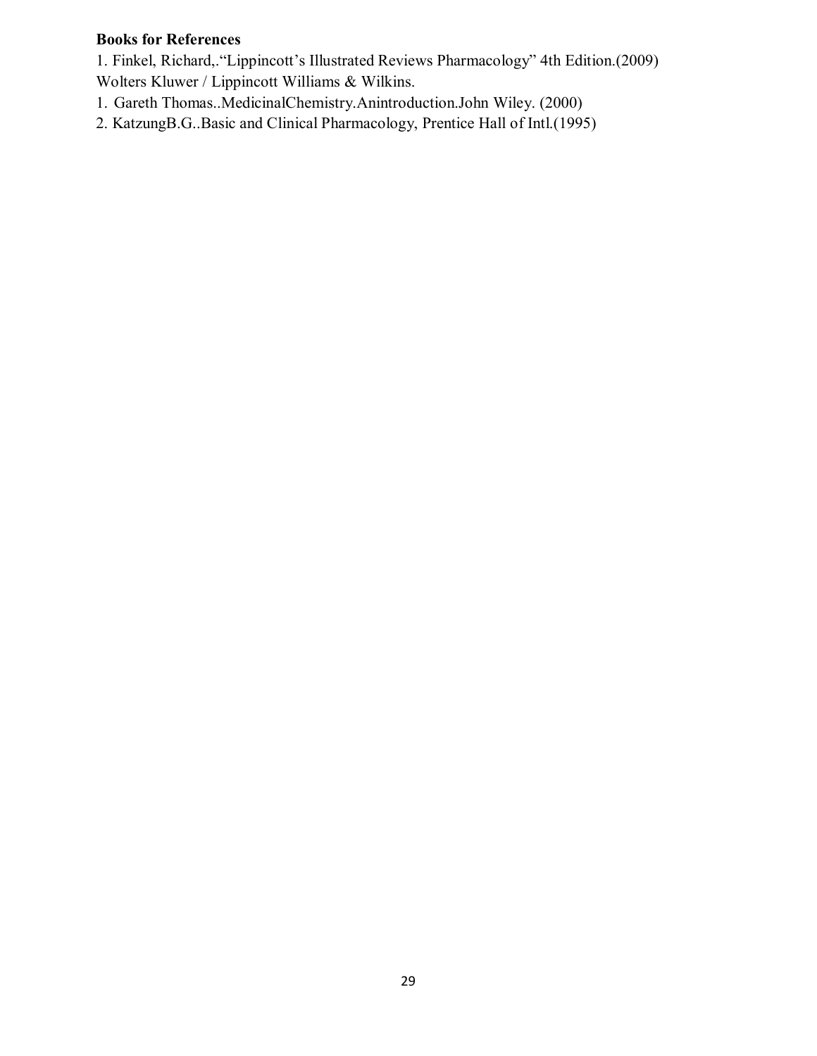# **Books for References**

1. Finkel, Richard,."Lippincott's Illustrated Reviews Pharmacology" 4th Edition.(2009) Wolters Kluwer / Lippincott Williams & Wilkins.

- 1. Gareth Thomas..MedicinalChemistry.Anintroduction.John Wiley. (2000)
- 2. KatzungB.G..Basic and Clinical Pharmacology, Prentice Hall of Intl.(1995)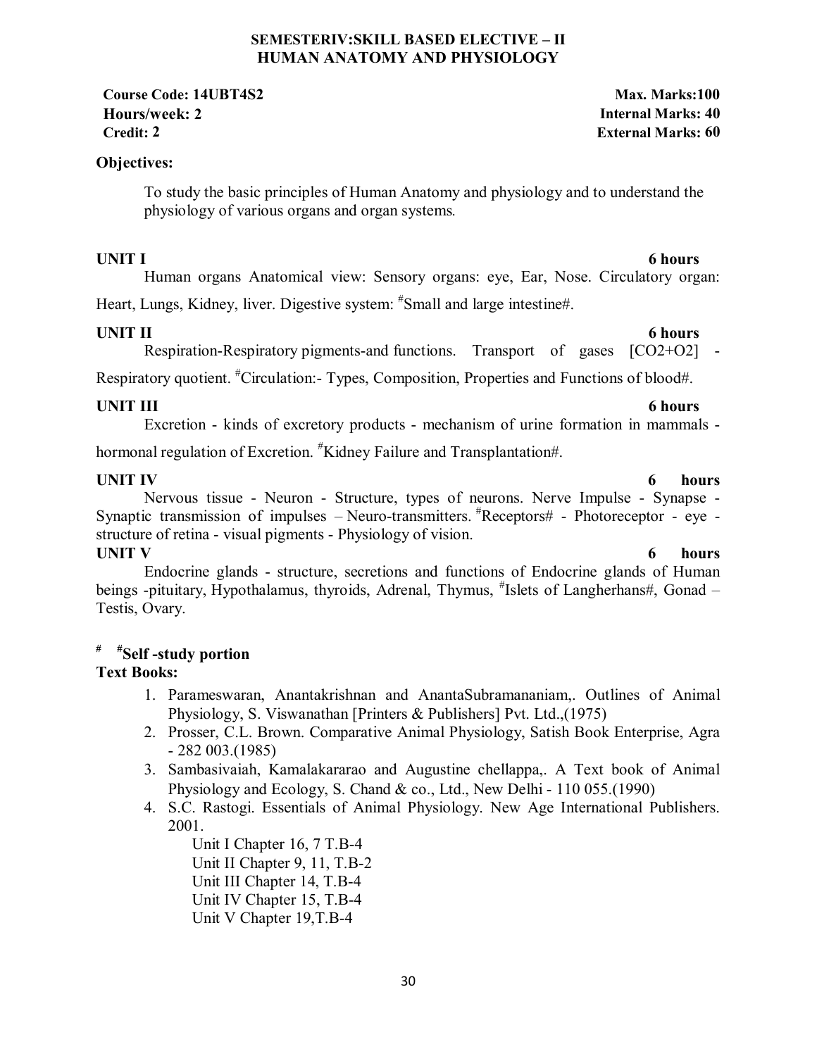#### **SEMESTERIV:SKILL BASED ELECTIVE – II HUMAN ANATOMY AND PHYSIOLOGY**

**Course Code: 14UBT4S2 Max. Marks:100 Hours/week: 2 Internal Marks: 40 Credit: 2 External Marks: 60**

### **Objectives:**

To study the basic principles of Human Anatomy and physiology and to understand the physiology of various organs and organ systems*.* 

**UNIT I** 6 hours

Human organs Anatomical view: Sensory organs: eye, Ear, Nose. Circulatory organ:

Heart, Lungs, Kidney, liver. Digestive system: "Small and large intestine#.

### **UNIT II** 6 hours

# Respiration-Respiratory pigments-and functions. Transport of gases [CO2+O2] -

Respiratory quotient. <sup>#</sup>Circulation: Types, Composition, Properties and Functions of blood#.

**UNIT III** 6 hours Excretion - kinds of excretory products - mechanism of urine formation in mammals -

hormonal regulation of Excretion. <sup>#</sup>Kidney Failure and Transplantation#.

**UNIT IV** 6 hours Nervous tissue - Neuron - Structure, types of neurons. Nerve Impulse - Synapse - Synaptic transmission of impulses - Neuro-transmitters.  ${}^{\#}$ Receptors# - Photoreceptor - eye structure of retina - visual pigments - Physiology of vision. **UNIT V** 6 hours

Endocrine glands - structure, secretions and functions of Endocrine glands of Human beings -pituitary, Hypothalamus, thyroids, Adrenal, Thymus, #Islets of Langherhans#, Gonad -Testis, Ovary.

# **# #Self -study portion**

# **Text Books:**

- 1. Parameswaran, Anantakrishnan and AnantaSubramananiam,. Outlines of Animal Physiology, S. Viswanathan [Printers & Publishers] Pvt. Ltd.,(1975)
- 2. Prosser, C.L. Brown. Comparative Animal Physiology, Satish Book Enterprise, Agra - 282 003.(1985)
- 3. Sambasivaiah, Kamalakararao and Augustine chellappa,. A Text book of Animal Physiology and Ecology, S. Chand & co., Ltd., New Delhi - 110 055.(1990)
- 4. S.C. Rastogi. Essentials of Animal Physiology. New Age International Publishers. 2001.

 Unit I Chapter 16, 7 T.B-4 Unit II Chapter 9, 11, T.B-2 Unit III Chapter 14, T.B-4 Unit IV Chapter 15, T.B-4 Unit V Chapter 19,T.B-4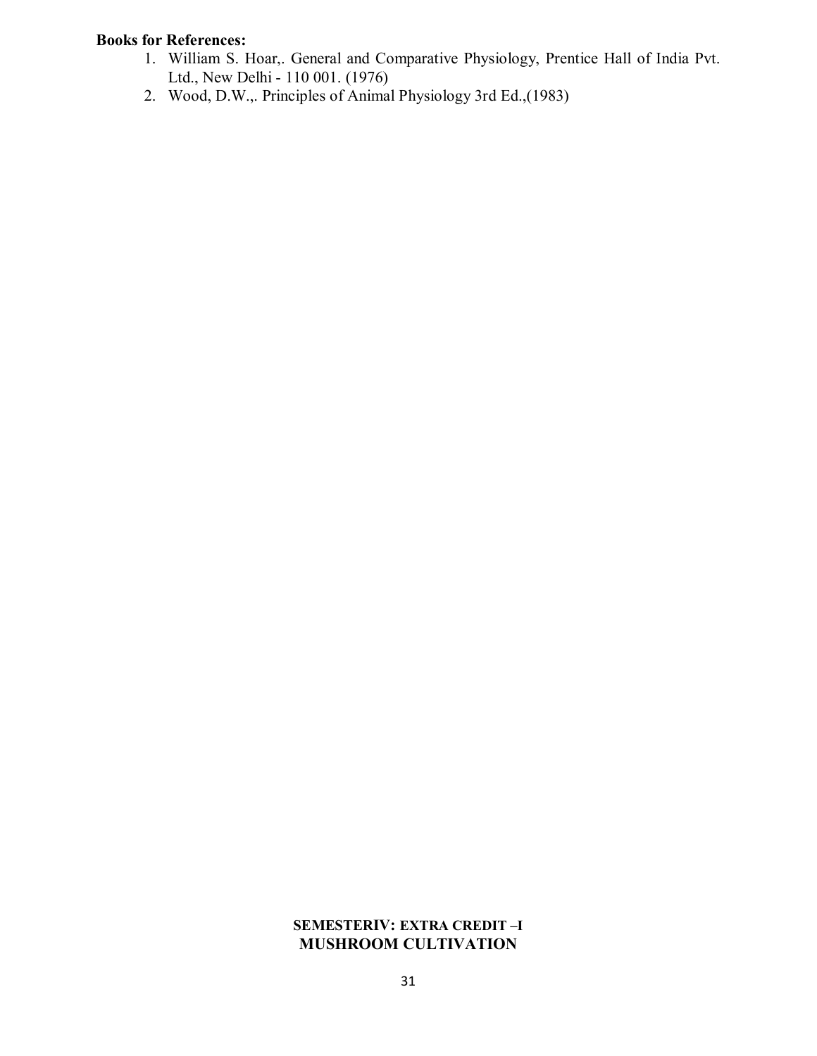# **Books for References:**

- 1. William S. Hoar,. General and Comparative Physiology, Prentice Hall of India Pvt. Ltd., New Delhi - 110 001. (1976)
- 2. Wood, D.W.,. Principles of Animal Physiology 3rd Ed.,(1983)

### **SEMESTERIV: EXTRA CREDIT –I MUSHROOM CULTIVATION**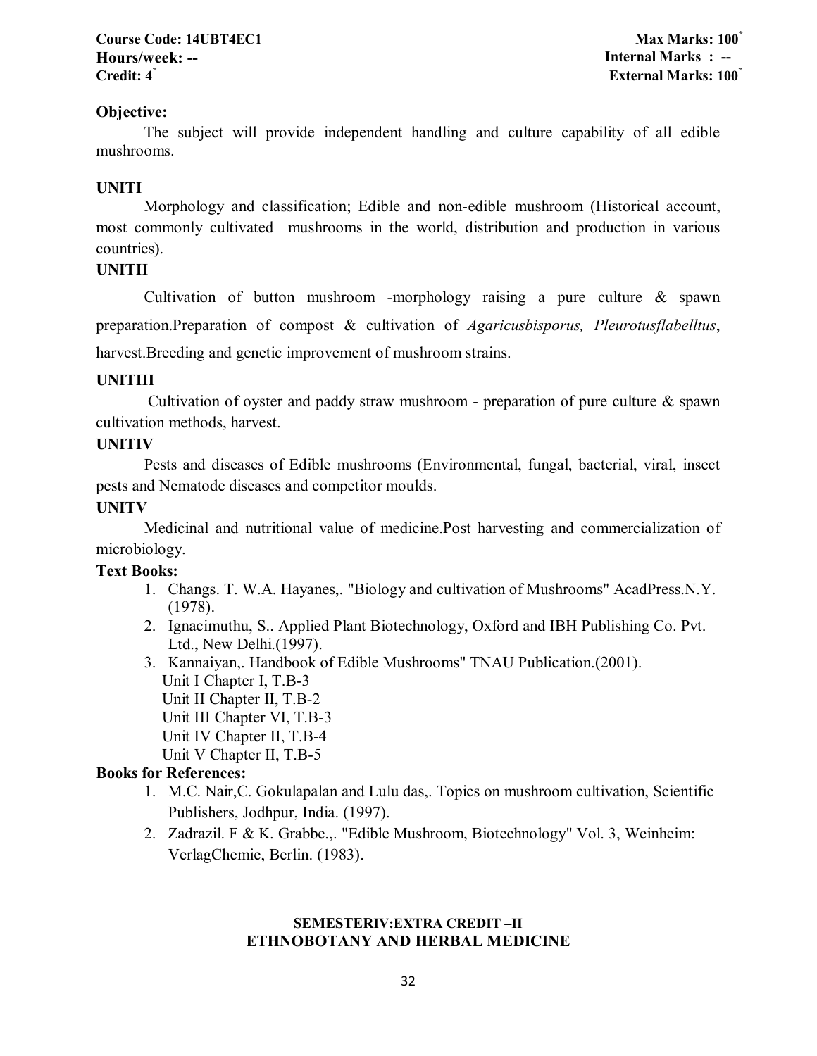### **Course Code: 14UBT4EC1 Max Marks: 100\* Hours/week: -- Internal Marks : -- Credit: 4\* External Marks: 100\***

### **Objective:**

The subject will provide independent handling and culture capability of all edible mushrooms.

### **UNITI**

Morphology and classification; Edible and non-edible mushroom (Historical account, most commonly cultivated mushrooms in the world, distribution and production in various countries).

### **UNITII**

Cultivation of button mushroom -morphology raising a pure culture & spawn preparation.Preparation of compost & cultivation of *Agaricusbisporus, Pleurotusflabelltus*, harvest.Breeding and genetic improvement of mushroom strains.

### **UNITIII**

Cultivation of oyster and paddy straw mushroom - preparation of pure culture  $\&$  spawn cultivation methods, harvest.

#### **UNITIV**

Pests and diseases of Edible mushrooms (Environmental, fungal, bacterial, viral, insect pests and Nematode diseases and competitor moulds.

### **UNITV**

Medicinal and nutritional value of medicine.Post harvesting and commercialization of microbiology.

#### **Text Books:**

- 1. Changs. T. W.A. Hayanes,. "Biology and cultivation of Mushrooms" AcadPress.N.Y. (1978).
- 2. Ignacimuthu, S.. Applied Plant Biotechnology, Oxford and IBH Publishing Co. Pvt. Ltd., New Delhi.(1997).
- 3. Kannaiyan,. Handbook of Edible Mushrooms" TNAU Publication.(2001). Unit I Chapter I, T.B-3 Unit II Chapter II, T.B-2 Unit III Chapter VI, T.B-3 Unit IV Chapter II, T.B-4 Unit V Chapter II, T.B-5

### **Books for References:**

- 1. M.C. Nair,C. Gokulapalan and Lulu das,. Topics on mushroom cultivation, Scientific Publishers, Jodhpur, India. (1997).
- 2. Zadrazil. F & K. Grabbe.,. "Edible Mushroom, Biotechnology" Vol. 3, Weinheim: VerlagChemie, Berlin. (1983).

#### **SEMESTERIV:EXTRA CREDIT –II ETHNOBOTANY AND HERBAL MEDICINE**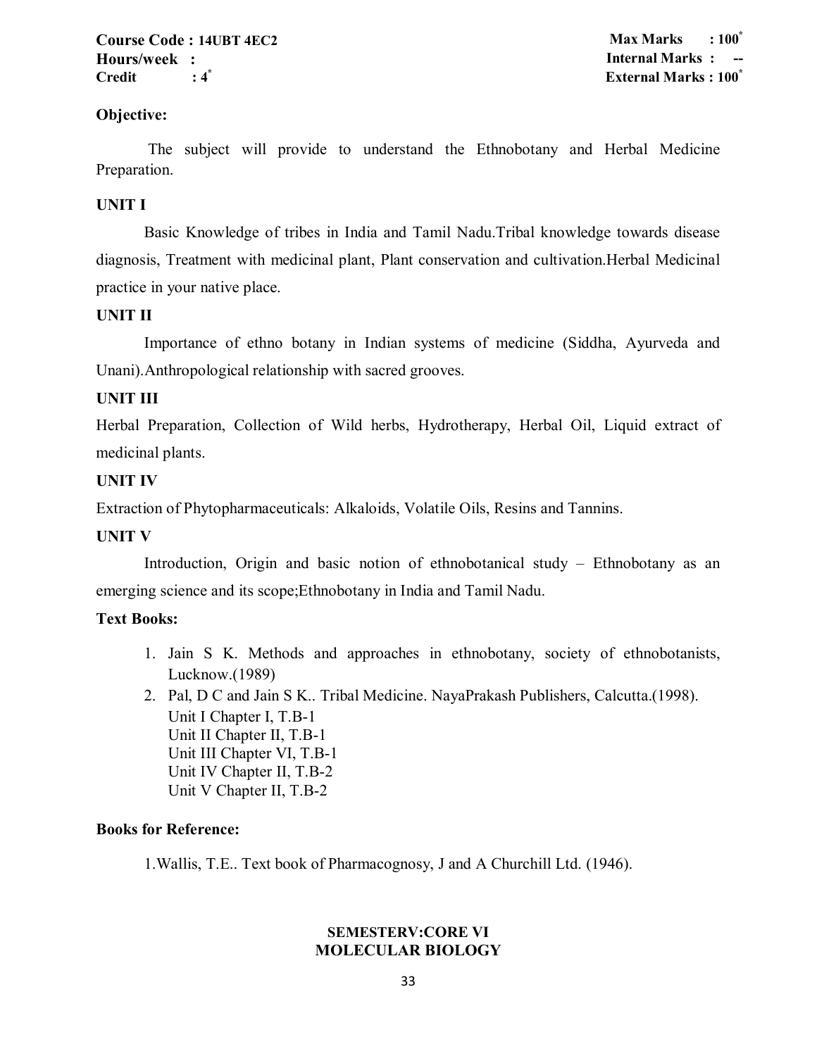#### **Course Code : 14UBT 4EC2 Max Marks : 100\* Hours/week :** Internal Marks : **Credit : 4\* External Marks : 100\***

### **Objective:**

 The subject will provide to understand the Ethnobotany and Herbal Medicine Preparation.

### **UNIT I**

Basic Knowledge of tribes in India and Tamil Nadu.Tribal knowledge towards disease diagnosis, Treatment with medicinal plant, Plant conservation and cultivation.Herbal Medicinal practice in your native place.

#### **UNIT II**

Importance of ethno botany in Indian systems of medicine (Siddha, Ayurveda and Unani).Anthropological relationship with sacred grooves.

#### **UNIT III**

Herbal Preparation, Collection of Wild herbs, Hydrotherapy, Herbal Oil, Liquid extract of medicinal plants.

#### **UNIT IV**

Extraction of Phytopharmaceuticals: Alkaloids, Volatile Oils, Resins and Tannins.

#### **UNIT V**

Introduction, Origin and basic notion of ethnobotanical study – Ethnobotany as an emerging science and its scope;Ethnobotany in India and Tamil Nadu.

#### **Text Books:**

- 1. Jain S K. Methods and approaches in ethnobotany, society of ethnobotanists, Lucknow.(1989)
- 2. Pal, D C and Jain S K.. Tribal Medicine. NayaPrakash Publishers, Calcutta.(1998). Unit I Chapter I, T.B-1 Unit II Chapter II, T.B-1 Unit III Chapter VI, T.B-1 Unit IV Chapter II, T.B-2 Unit V Chapter II, T.B-2

#### **Books for Reference:**

1.Wallis, T.E.. Text book of Pharmacognosy, J and A Churchill Ltd. (1946).

### **SEMESTERV:CORE VI MOLECULAR BIOLOGY**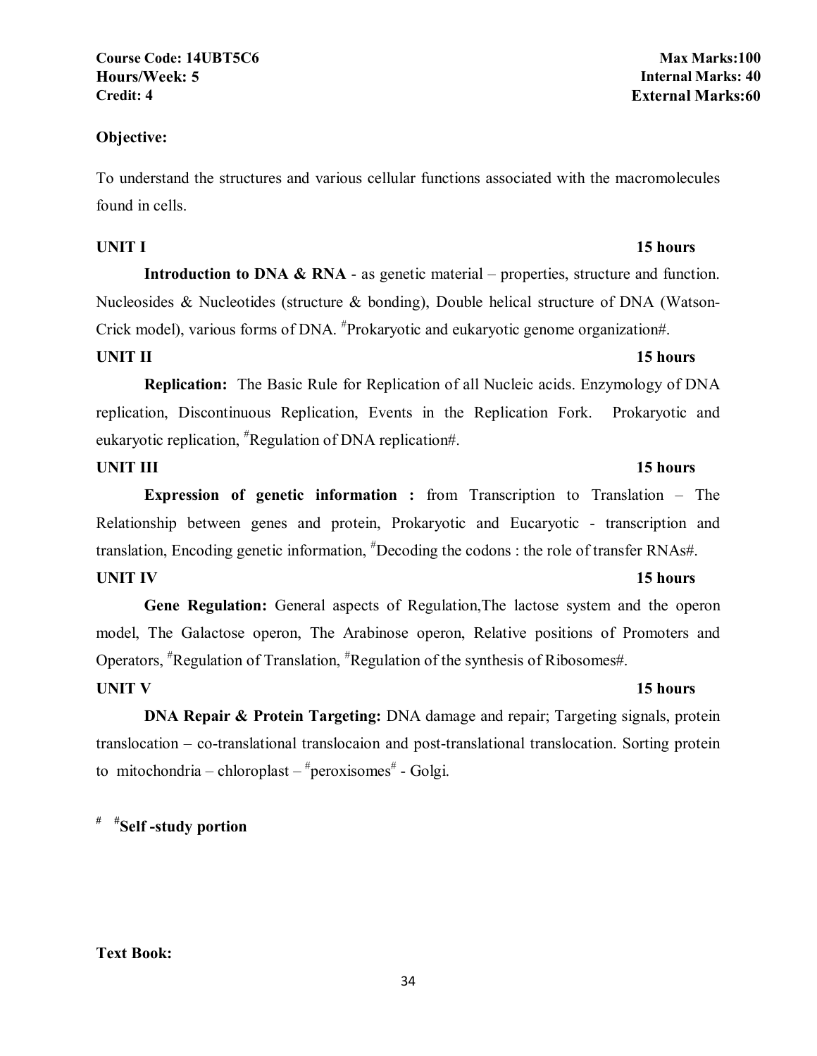**Course Code: 14UBT5C6 Max Marks:100 Hours/Week: 5 Internal Marks: 40**

#### **Objective:**

To understand the structures and various cellular functions associated with the macromolecules found in cells.

### **UNIT I** 15 hours

**Introduction to DNA & RNA** - as genetic material – properties, structure and function. Nucleosides & Nucleotides (structure & bonding), Double helical structure of DNA (Watson-Crick model), various forms of DNA. <sup>#</sup>Prokaryotic and eukaryotic genome organization#.

### **UNIT II** 15 hours

**Replication:** The Basic Rule for Replication of all Nucleic acids. Enzymology of DNA replication, Discontinuous Replication, Events in the Replication Fork. Prokaryotic and eukaryotic replication, <sup>#</sup>Regulation of DNA replication#.

#### **UNIT III** 15 hours

**Expression of genetic information :** from Transcription to Translation – The Relationship between genes and protein, Prokaryotic and Eucaryotic - transcription and translation, Encoding genetic information, <sup>#</sup>Decoding the codons : the role of transfer RNAs#. **UNIT IV** 15 hours

**Gene Regulation:** General aspects of Regulation,The lactose system and the operon model, The Galactose operon, The Arabinose operon, Relative positions of Promoters and Operators, <sup>#</sup>Regulation of Translation, <sup>#</sup>Regulation of the synthesis of Ribosomes#.

**DNA Repair & Protein Targeting:** DNA damage and repair; Targeting signals, protein translocation – co-translational translocaion and post-translational translocation. Sorting protein to mitochondria – chloroplast –  $*$ peroxisomes $*$  - Golgi.

**# #Self -study portion** 

### **Text Book:**

# **Credit: 4 External Marks:60**

#### **UNIT V** 15 hours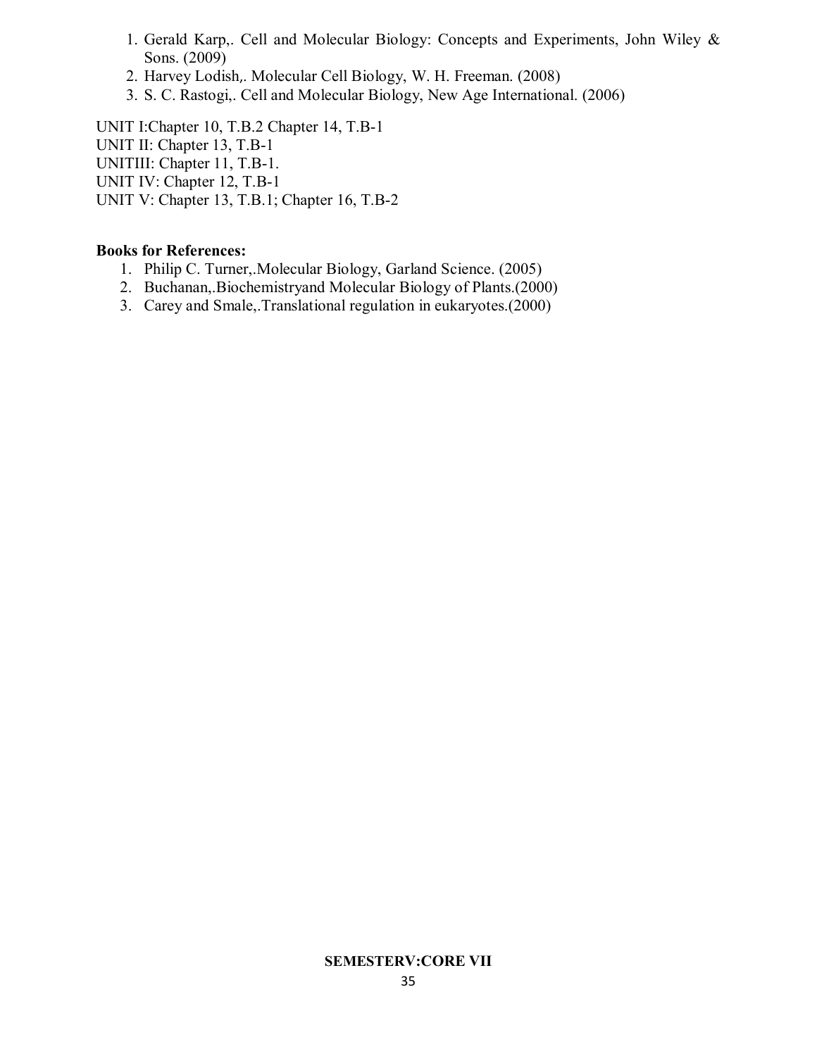- 1. Gerald Karp,. Cell and Molecular Biology: Concepts and Experiments, John Wiley & Sons. (2009)
- 2. Harvey Lodish,. Molecular Cell Biology, W. H. Freeman. (2008)
- 3. S. C. Rastogi,. Cell and Molecular Biology, New Age International. (2006)

UNIT I:Chapter 10, T.B.2 Chapter 14, T.B-1 UNIT II: Chapter 13, T.B-1 UNITIII: Chapter 11, T.B-1. UNIT IV: Chapter 12, T.B-1 UNIT V: Chapter 13, T.B.1; Chapter 16, T.B-2

### **Books for References:**

- 1. Philip C. Turner,.Molecular Biology, Garland Science. (2005)
- 2. Buchanan,.Biochemistryand Molecular Biology of Plants.(2000)
- 3. Carey and Smale,.Translational regulation in eukaryotes.(2000)

#### **SEMESTERV:CORE VII**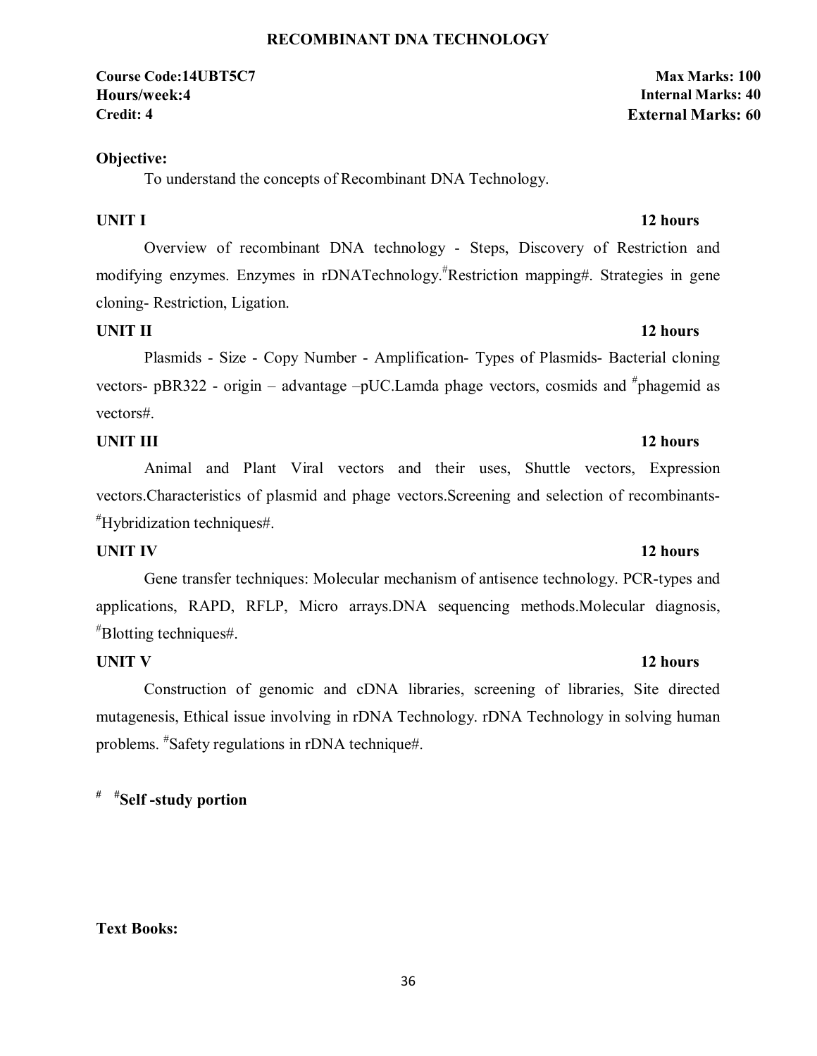#### 36

#### **RECOMBINANT DNA TECHNOLOGY**

#### **Course Code:14UBT5C7 Max Marks: 100 Hours/week:4 Internal Marks: 40 Credit: 4 External Marks: 60**

### **Objective:**

To understand the concepts of Recombinant DNA Technology.

Overview of recombinant DNA technology - Steps, Discovery of Restriction and modifying enzymes. Enzymes in rDNATechnology.# Restriction mapping#. Strategies in gene cloning- Restriction, Ligation.

### **UNIT II** 12 hours

Plasmids - Size - Copy Number - Amplification- Types of Plasmids- Bacterial cloning vectors- pBR322 - origin – advantage -pUC. Lamda phage vectors, cosmids and #phagemid as vectors#.

### **UNIT III** 12 hours

Animal and Plant Viral vectors and their uses, Shuttle vectors, Expression vectors.Characteristics of plasmid and phage vectors.Screening and selection of recombinants- # Hybridization techniques#.

### **UNIT IV** 12 hours

Gene transfer techniques: Molecular mechanism of antisence technology. PCR-types and applications, RAPD, RFLP, Micro arrays.DNA sequencing methods.Molecular diagnosis, # Blotting techniques#.

### **UNIT V** 12 hours

Construction of genomic and cDNA libraries, screening of libraries, Site directed mutagenesis, Ethical issue involving in rDNA Technology. rDNA Technology in solving human problems. # Safety regulations in rDNA technique#.

**# #Self -study portion** 

# **Text Books:**

# **UNIT I** 12 hours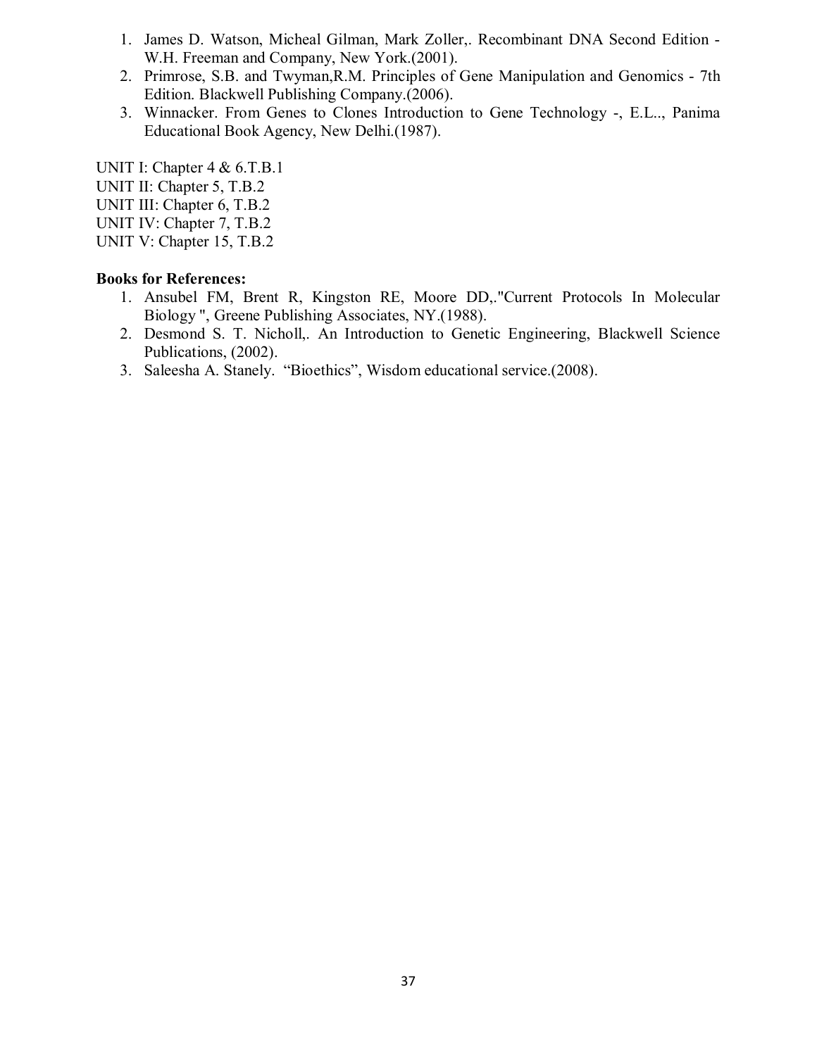- 1. James D. Watson, Micheal Gilman, Mark Zoller,. Recombinant DNA Second Edition W.H. Freeman and Company, New York.(2001).
- 2. Primrose, S.B. and Twyman,R.M. Principles of Gene Manipulation and Genomics 7th Edition. Blackwell Publishing Company.(2006).
- 3. Winnacker. From Genes to Clones Introduction to Gene Technology -, E.L.., Panima Educational Book Agency, New Delhi.(1987).

UNIT I: Chapter 4 & 6.T.B.1 UNIT II: Chapter 5, T.B.2 UNIT III: Chapter 6, T.B.2 UNIT IV: Chapter 7, T.B.2 UNIT V: Chapter 15, T.B.2

- 1. Ansubel FM, Brent R, Kingston RE, Moore DD,."Current Protocols In Molecular Biology ", Greene Publishing Associates, NY.(1988).
- 2. Desmond S. T. Nicholl,. An Introduction to Genetic Engineering, Blackwell Science Publications, (2002).
- 3. Saleesha A. Stanely. "Bioethics", Wisdom educational service.(2008).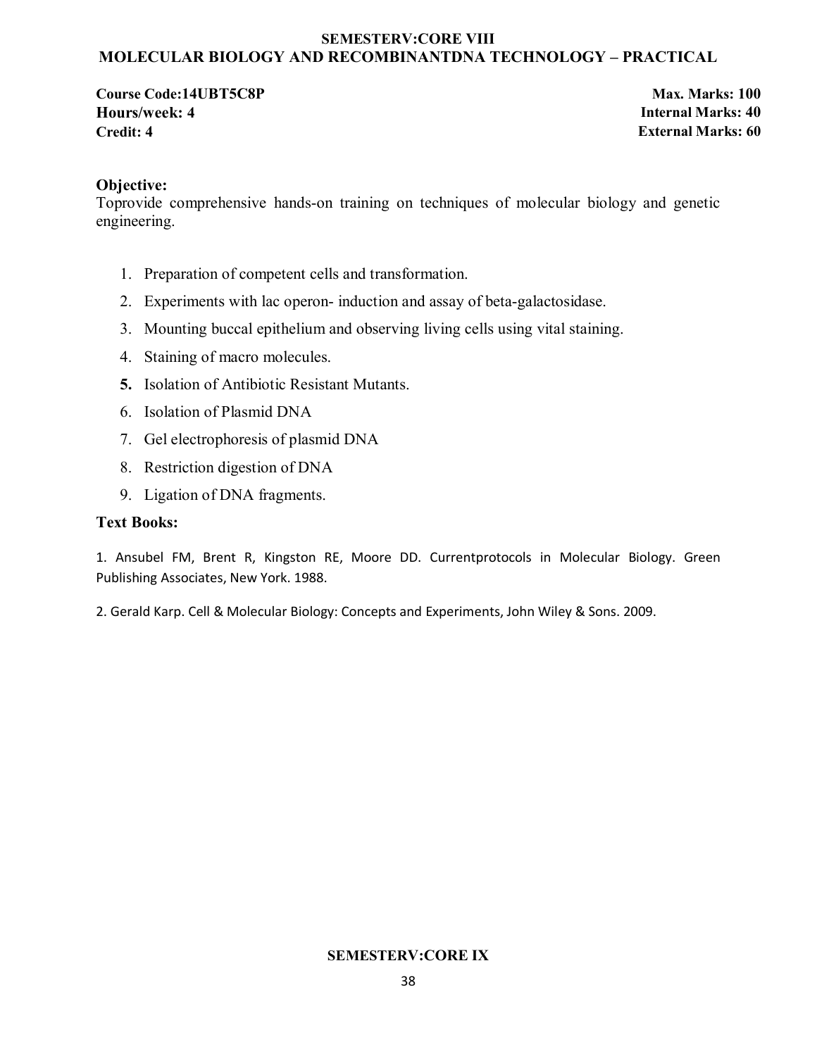#### **SEMESTERV:CORE VIII MOLECULAR BIOLOGY AND RECOMBINANTDNA TECHNOLOGY – PRACTICAL**

**Course Code:14UBT5C8P Max. Marks: 100 Hours/week: 4 Internal Marks: 40 Credit: 4 External Marks: 60**

### **Objective:**

Toprovide comprehensive hands-on training on techniques of molecular biology and genetic engineering.

- 1. Preparation of competent cells and transformation.
- 2. Experiments with lac operon- induction and assay of beta-galactosidase.
- 3. Mounting buccal epithelium and observing living cells using vital staining.
- 4. Staining of macro molecules.
- **5.** Isolation of Antibiotic Resistant Mutants.
- 6. Isolation of Plasmid DNA
- 7. Gel electrophoresis of plasmid DNA
- 8. Restriction digestion of DNA
- 9. Ligation of DNA fragments.

#### **Text Books:**

1. Ansubel FM, Brent R, Kingston RE, Moore DD. Currentprotocols in Molecular Biology. Green Publishing Associates, New York. 1988.

2. Gerald Karp. Cell & Molecular Biology: Concepts and Experiments, John Wiley & Sons. 2009.

#### **SEMESTERV:CORE IX**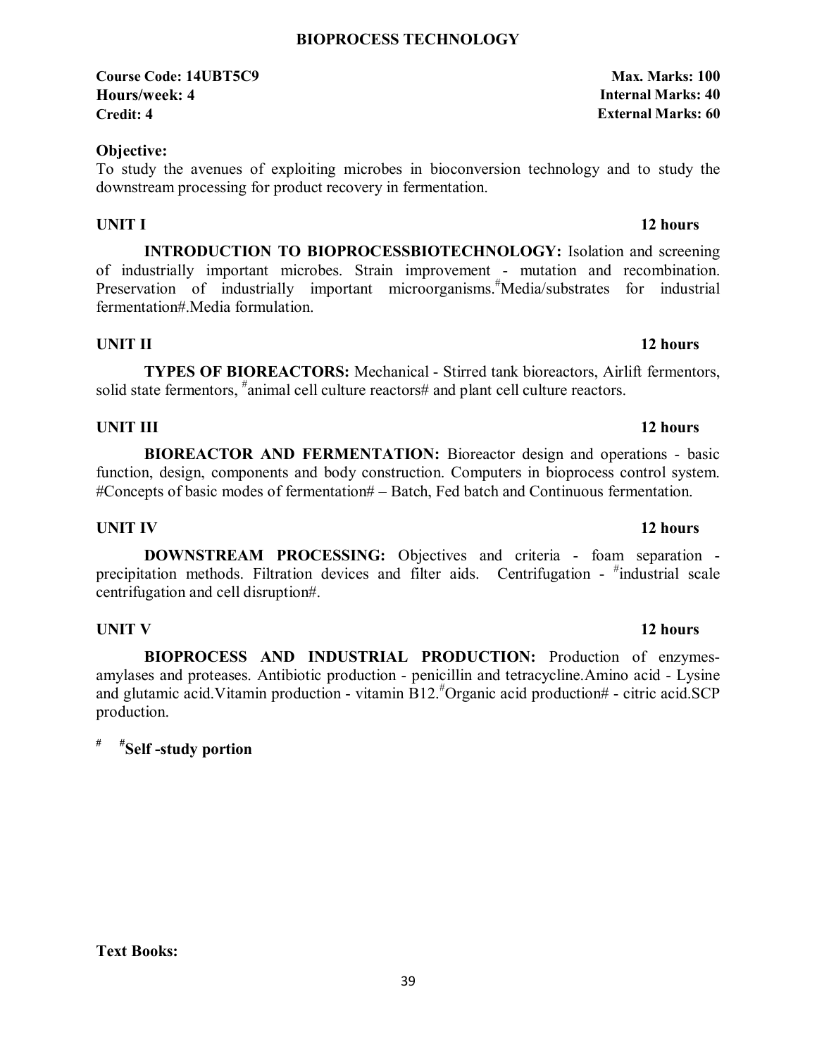#### **BIOPROCESS TECHNOLOGY**

### **Course Code: 14UBT5C9 Max. Marks: 100 Hours/week: 4 Internal Marks: 40 Credit: 4 External Marks: 60**

### **Objective:**

To study the avenues of exploiting microbes in bioconversion technology and to study the downstream processing for product recovery in fermentation.

### **UNIT I** 12 hours

**INTRODUCTION TO BIOPROCESSBIOTECHNOLOGY:** Isolation and screening of industrially important microbes. Strain improvement - mutation and recombination. Preservation of industrially important microorganisms.<sup>#</sup>Media/substrates for industrial fermentation#.Media formulation.

# **UNIT II** 12 hours

**TYPES OF BIOREACTORS:** Mechanical - Stirred tank bioreactors, Airlift fermentors, solid state fermentors, <sup>#</sup>animal cell culture reactors# and plant cell culture reactors.

# **UNIT III** 12 hours

**BIOREACTOR AND FERMENTATION:** Bioreactor design and operations - basic function, design, components and body construction. Computers in bioprocess control system. #Concepts of basic modes of fermentation# – Batch, Fed batch and Continuous fermentation.

# **UNIT IV** 12 hours

**DOWNSTREAM PROCESSING:** Objectives and criteria - foam separation precipitation methods. Filtration devices and filter aids. Centrifugation - #industrial scale centrifugation and cell disruption#.

 **BIOPROCESS AND INDUSTRIAL PRODUCTION:** Production of enzymesamylases and proteases. Antibiotic production - penicillin and tetracycline.Amino acid - Lysine and glutamic acid.Vitamin production - vitamin B12.# Organic acid production# - citric acid.SCP production.

### **# #Self -study portion**

# 39

# **UNIT V** 12 hours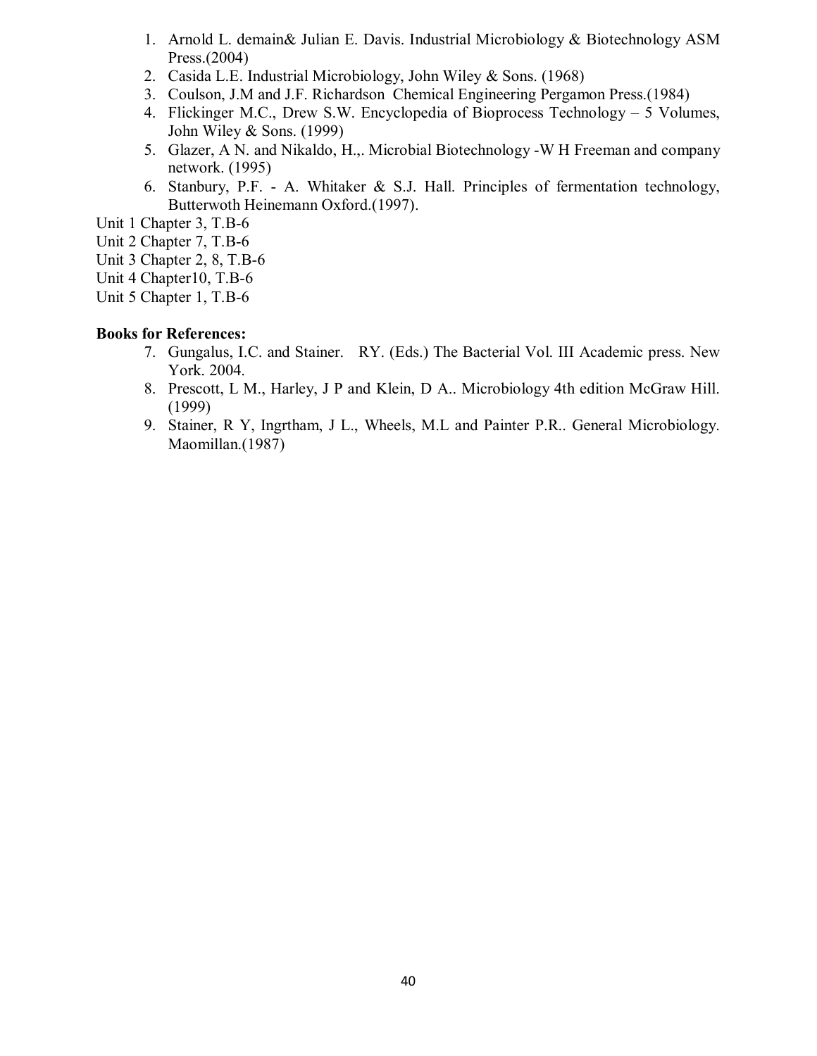- 1. Arnold L. demain& Julian E. Davis. Industrial Microbiology & Biotechnology ASM Press.(2004)
- 2. Casida L.E. Industrial Microbiology, John Wiley & Sons. (1968)
- 3. Coulson, J.M and J.F. Richardson Chemical Engineering Pergamon Press.(1984)
- 4. Flickinger M.C., Drew S.W. Encyclopedia of Bioprocess Technology 5 Volumes, John Wiley & Sons. (1999)
- 5. Glazer, A N. and Nikaldo, H.,. Microbial Biotechnology -W H Freeman and company network. (1995)
- 6. Stanbury, P.F. A. Whitaker & S.J. Hall. Principles of fermentation technology, Butterwoth Heinemann Oxford.(1997).
- Unit 1 Chapter 3, T.B-6
- Unit 2 Chapter 7, T.B-6
- Unit 3 Chapter 2, 8, T.B-6
- Unit 4 Chapter10, T.B-6
- Unit 5 Chapter 1, T.B-6

- 7. Gungalus, I.C. and Stainer. RY. (Eds.) The Bacterial Vol. III Academic press. New York. 2004.
- 8. Prescott, L M., Harley, J P and Klein, D A.. Microbiology 4th edition McGraw Hill. (1999)
- 9. Stainer, R Y, Ingrtham, J L., Wheels, M.L and Painter P.R.. General Microbiology. Maomillan.(1987)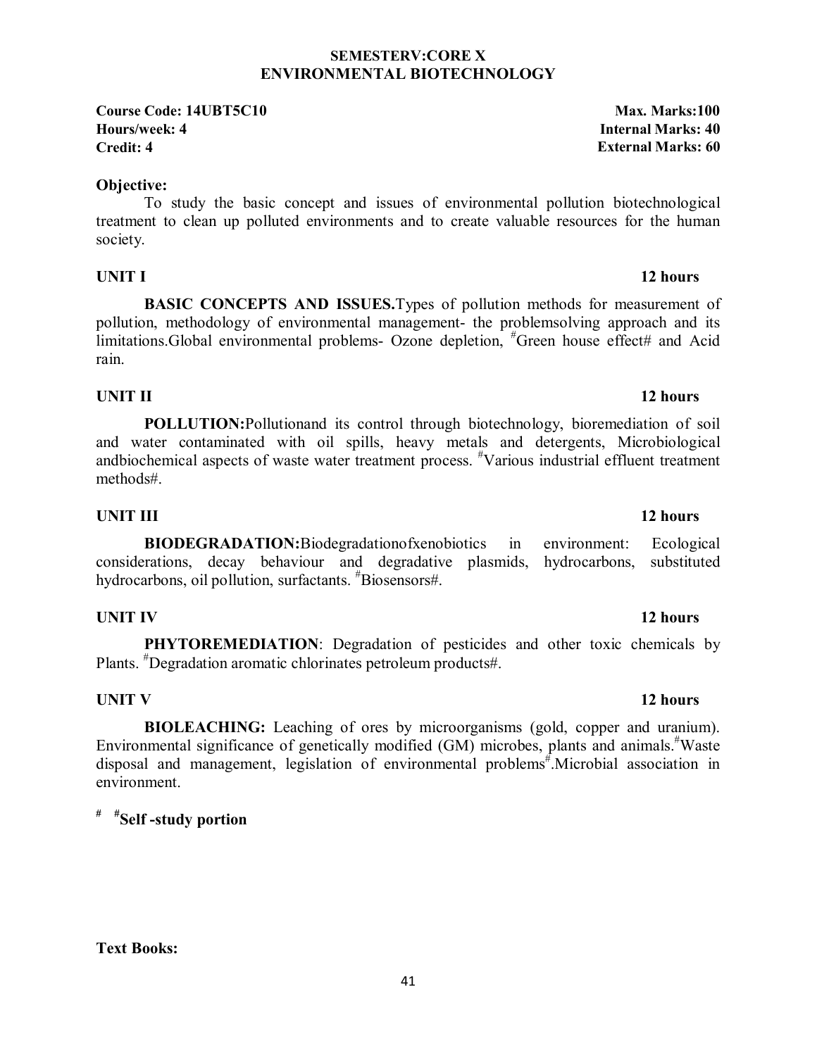#### **SEMESTERV:CORE X ENVIRONMENTAL BIOTECHNOLOGY**

**Course Code: 14UBT5C10 Max. Marks:100 Hours/week: 4 Internal Marks: 40 Credit: 4 External Marks: 60**

#### **Objective:**

To study the basic concept and issues of environmental pollution biotechnological treatment to clean up polluted environments and to create valuable resources for the human society.

### **UNIT I** 12 hours

 **BASIC CONCEPTS AND ISSUES.**Types of pollution methods for measurement of pollution, methodology of environmental management- the problemsolving approach and its limitations.Global environmental problems- Ozone depletion, "Green house effect# and Acid rain.

### **UNIT II** 12 hours

**POLLUTION:**Pollutionand its control through biotechnology, bioremediation of soil and water contaminated with oil spills, heavy metals and detergents, Microbiological andbiochemical aspects of waste water treatment process. "Various industrial effluent treatment methods#.

### **UNIT III** 12 hours

**BIODEGRADATION:**Biodegradationofxenobiotics in environment: Ecological considerations, decay behaviour and degradative plasmids, hydrocarbons, oil pollution, surfactants. # Biosensors#.

# **UNIT IV** 12 hours

**PHYTOREMEDIATION**: Degradation of pesticides and other toxic chemicals by Plants. # Degradation aromatic chlorinates petroleum products#.

## **UNIT V** 12 hours

**BIOLEACHING:** Leaching of ores by microorganisms (gold, copper and uranium). Environmental significance of genetically modified (GM) microbes, plants and animals.<sup>#</sup>Waste disposal and management, legislation of environmental problems# .Microbial association in environment.

**# #Self -study portion** 

#### 41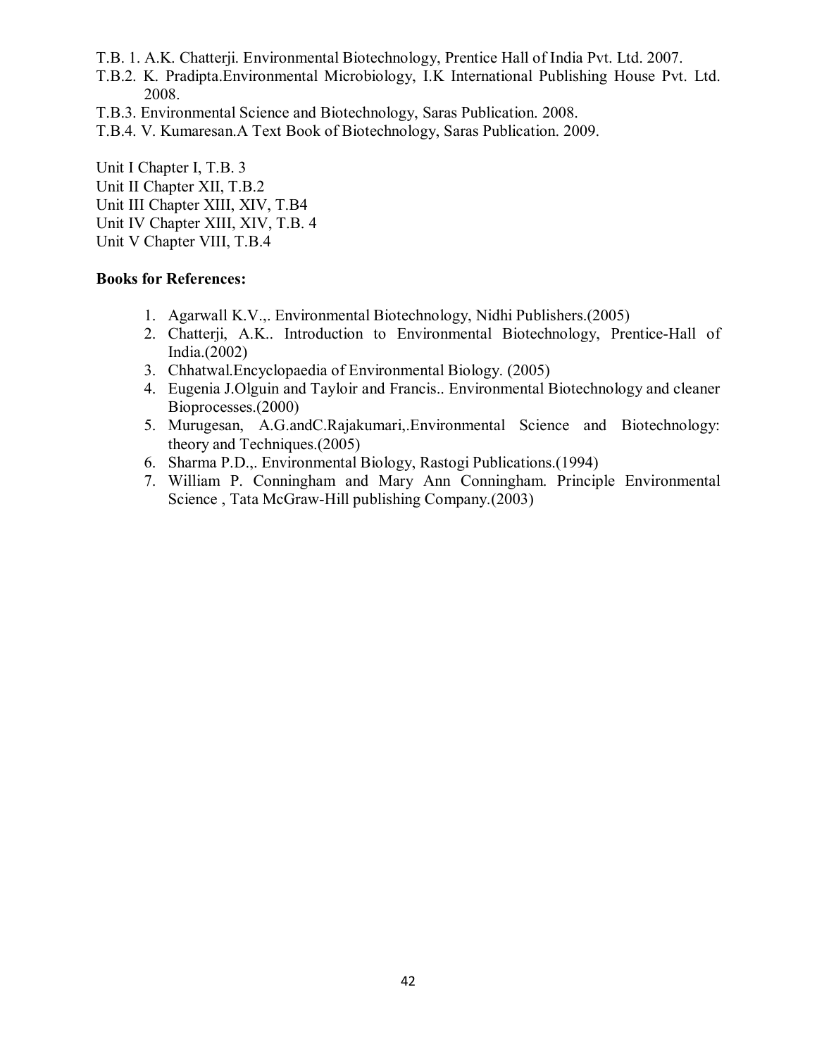- T.B. 1. A.K. Chatterji. Environmental Biotechnology, Prentice Hall of India Pvt. Ltd. 2007.
- T.B.2. K. Pradipta.Environmental Microbiology, I.K International Publishing House Pvt. Ltd. 2008.
- T.B.3. Environmental Science and Biotechnology, Saras Publication. 2008.
- T.B.4. V. Kumaresan.A Text Book of Biotechnology, Saras Publication. 2009.

Unit I Chapter I, T.B. 3 Unit II Chapter XII, T.B.2 Unit III Chapter XIII, XIV, T.B4 Unit IV Chapter XIII, XIV, T.B. 4 Unit V Chapter VIII, T.B.4

- 1. Agarwall K.V.,. Environmental Biotechnology, Nidhi Publishers.(2005)
- 2. Chatterji, A.K.. Introduction to Environmental Biotechnology, Prentice-Hall of India.(2002)
- 3. Chhatwal.Encyclopaedia of Environmental Biology. (2005)
- 4. Eugenia J.Olguin and Tayloir and Francis.. Environmental Biotechnology and cleaner Bioprocesses.(2000)
- 5. Murugesan, A.G.andC.Rajakumari,.Environmental Science and Biotechnology: theory and Techniques.(2005)
- 6. Sharma P.D.,. Environmental Biology, Rastogi Publications.(1994)
- 7. William P. Conningham and Mary Ann Conningham. Principle Environmental Science , Tata McGraw-Hill publishing Company.(2003)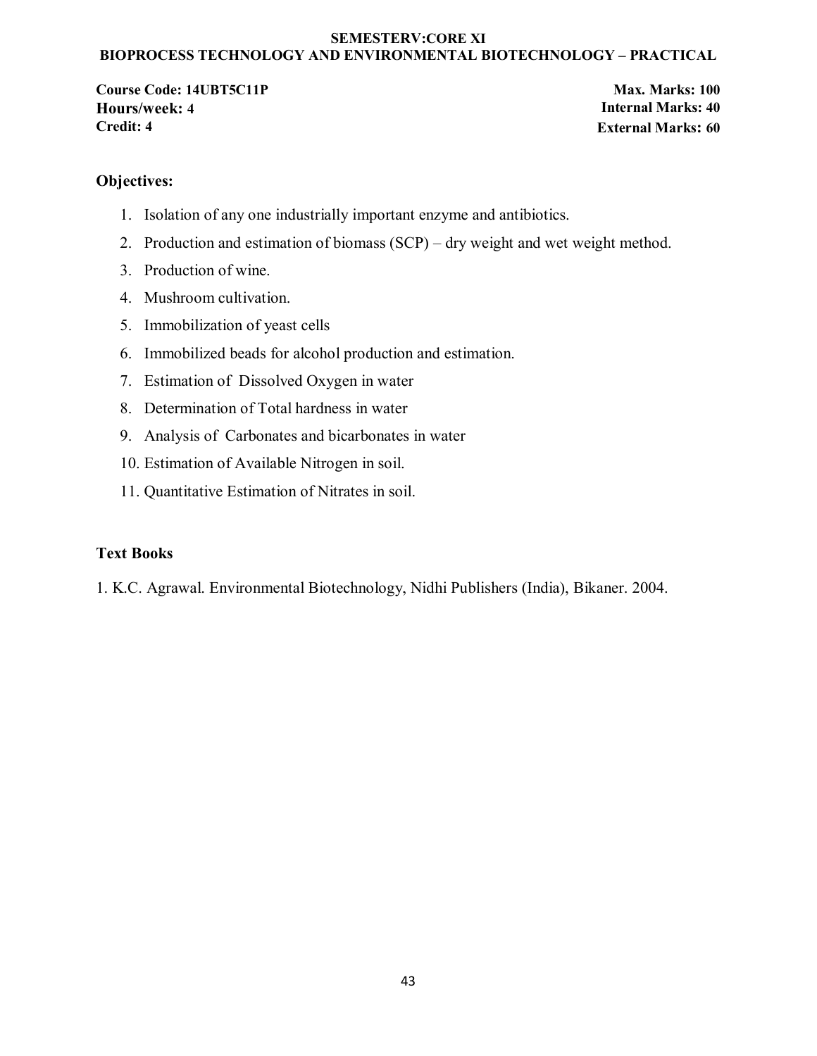#### **SEMESTERV:CORE XI BIOPROCESS TECHNOLOGY AND ENVIRONMENTAL BIOTECHNOLOGY – PRACTICAL**

**Course Code: 14UBT5C11P Max.** Marks: 100 **Hours/week: 4 Internal Marks: 40 Credit: 4 External Marks: 60**

### **Objectives:**

- 1. Isolation of any one industrially important enzyme and antibiotics.
- 2. Production and estimation of biomass (SCP) dry weight and wet weight method.
- 3. Production of wine.
- 4. Mushroom cultivation.
- 5. Immobilization of yeast cells
- 6. Immobilized beads for alcohol production and estimation.
- 7. Estimation of Dissolved Oxygen in water
- 8. Determination of Total hardness in water
- 9. Analysis of Carbonates and bicarbonates in water
- 10. Estimation of Available Nitrogen in soil.
- 11. Quantitative Estimation of Nitrates in soil.

#### **Text Books**

1. K.C. Agrawal. Environmental Biotechnology, Nidhi Publishers (India), Bikaner. 2004.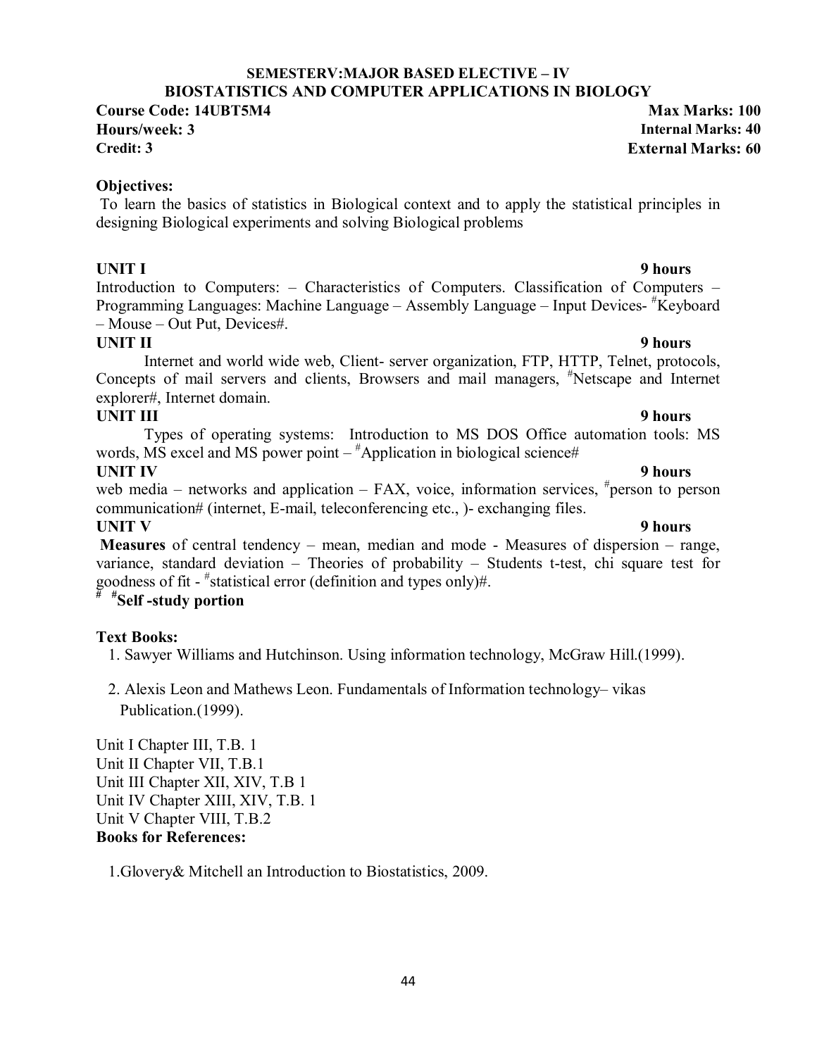#### 44

#### **SEMESTERV:MAJOR BASED ELECTIVE – IV BIOSTATISTICS AND COMPUTER APPLICATIONS IN BIOLOGY**

**Course Code: 14UBT5M4 Max Marks: 100 Hours/week: 3 Internal Marks: 40**

**Credit: 3 External Marks: 60**

#### **Objectives:**

 To learn the basics of statistics in Biological context and to apply the statistical principles in designing Biological experiments and solving Biological problems

Introduction to Computers: – Characteristics of Computers. Classification of Computers – Programming Languages: Machine Language - Assembly Language - Input Devices- #Keyboard – Mouse – Out Put, Devices#.

**UNIT II** 9 hours Internet and world wide web, Client- server organization, FTP, HTTP, Telnet, protocols, Concepts of mail servers and clients, Browsers and mail managers, # Netscape and Internet explorer#, Internet domain.

## **UNIT III** 9 hours

Types of operating systems: Introduction to MS DOS Office automation tools: MS words, MS excel and MS power point –  $^{\#}$ Application in biological science#

### **UNIT IV** 9 hours

web media – networks and application –  $FAX$ , voice, information services,  $*$  person to person communication# (internet, E-mail, teleconferencing etc., )- exchanging files.

### **UNIT V** 9 hours

 **Measures** of central tendency – mean, median and mode - Measures of dispersion – range, variance, standard deviation – Theories of probability – Students t-test, chi square test for goodness of fit - # statistical error (definition and types only)#.

# **# #Self -study portion**

### **Text Books:**

1. Sawyer Williams and Hutchinson. Using information technology, McGraw Hill.(1999).

2. Alexis Leon and Mathews Leon. Fundamentals of Information technology– vikas Publication.(1999).

Unit I Chapter III, T.B. 1 Unit II Chapter VII, T.B.1 Unit III Chapter XII, XIV, T.B 1 Unit IV Chapter XIII, XIV, T.B. 1 Unit V Chapter VIII, T.B.2 **Books for References:** 

1.Glovery& Mitchell an Introduction to Biostatistics, 2009.

# **UNIT I** 9 hours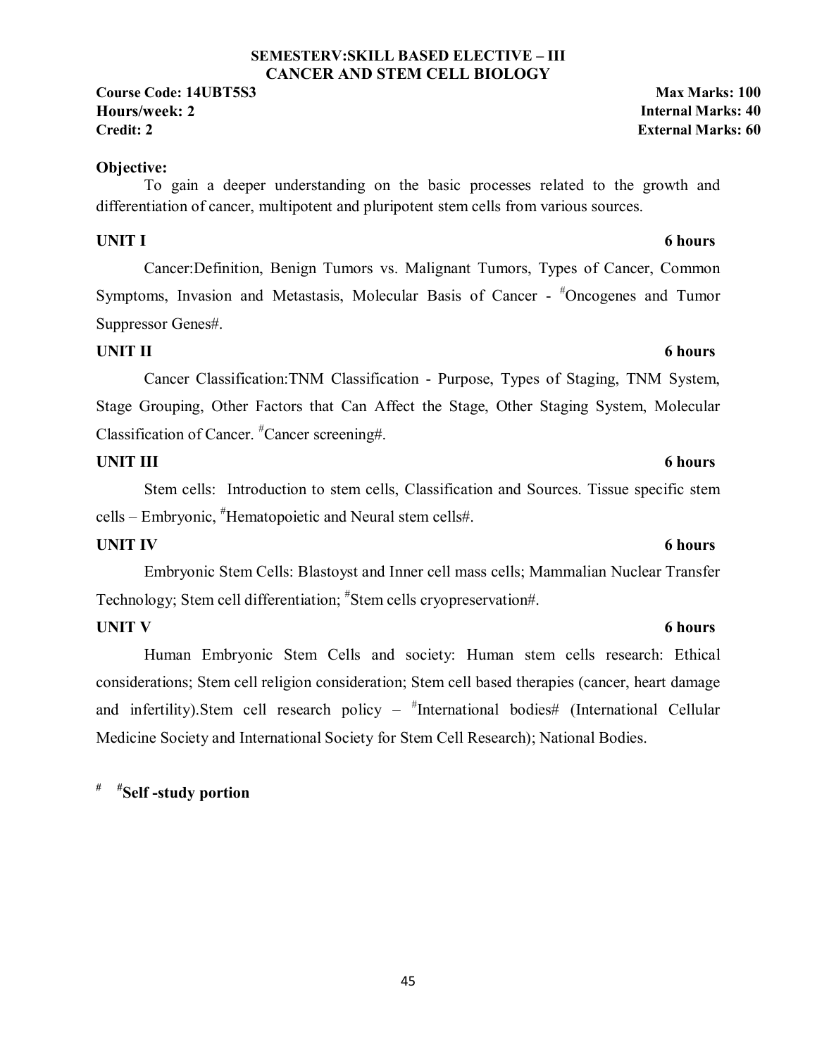#### **SEMESTERV:SKILL BASED ELECTIVE – III CANCER AND STEM CELL BIOLOGY**

**Course Code: 14UBT5S3 Max Marks: 100 Hours/week: 2 Internal Marks: 40 Credit: 2 External Marks: 60**

### **Objective:**

To gain a deeper understanding on the basic processes related to the growth and differentiation of cancer, multipotent and pluripotent stem cells from various sources.

### **UNIT I 6 hours**

Cancer:Definition, Benign Tumors vs. Malignant Tumors, Types of Cancer, Common Symptoms, Invasion and Metastasis, Molecular Basis of Cancer - #Oncogenes and Tumor Suppressor Genes#.

# **UNIT II** 6 hours

Cancer Classification:TNM Classification - Purpose, Types of Staging, TNM System, Stage Grouping, Other Factors that Can Affect the Stage, Other Staging System, Molecular Classification of Cancer. # Cancer screening#.

### **UNIT III** 6 hours

Stem cells: Introduction to stem cells, Classification and Sources. Tissue specific stem cells – Embryonic, # Hematopoietic and Neural stem cells#.

### **UNIT IV** 6 hours

Embryonic Stem Cells: Blastoyst and Inner cell mass cells; Mammalian Nuclear Transfer Technology; Stem cell differentiation; # Stem cells cryopreservation#.

### **UNIT V** 6 hours

Human Embryonic Stem Cells and society: Human stem cells research: Ethical considerations; Stem cell religion consideration; Stem cell based therapies (cancer, heart damage and infertility).Stem cell research policy – "International bodies# (International Cellular Medicine Society and International Society for Stem Cell Research); National Bodies.

# **# #Self -study portion**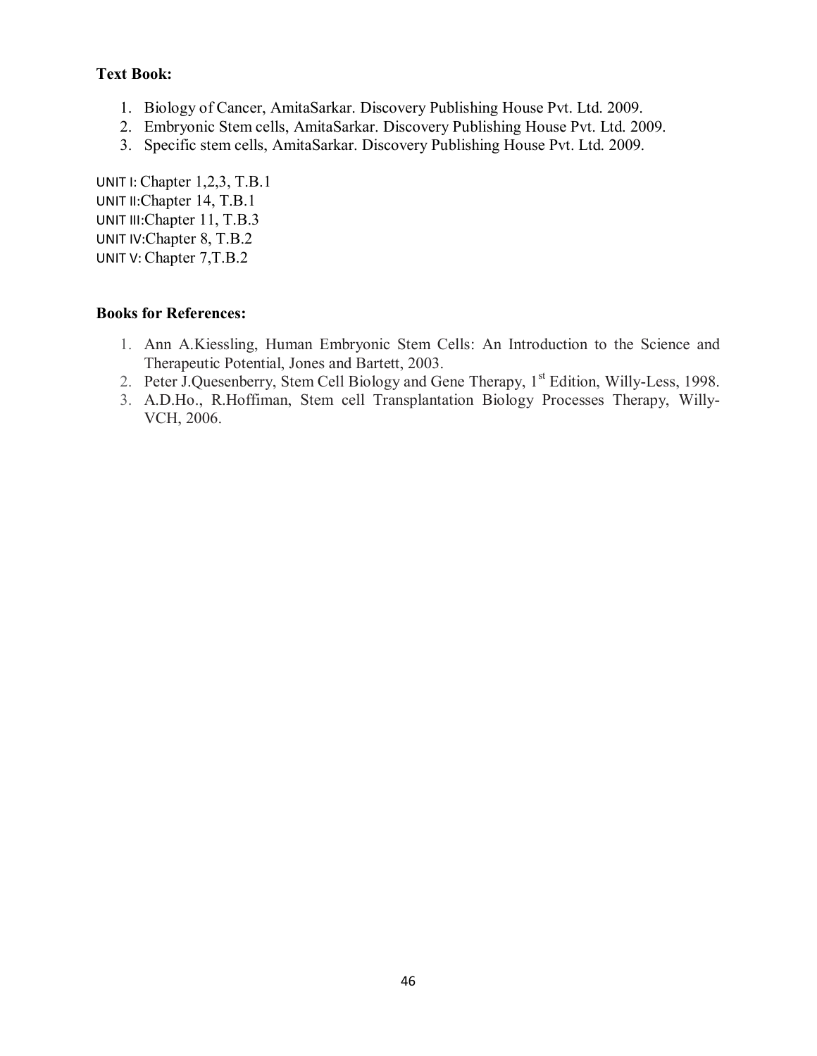### **Text Book:**

- 1. Biology of Cancer, AmitaSarkar. Discovery Publishing House Pvt. Ltd. 2009.
- 2. Embryonic Stem cells, AmitaSarkar. Discovery Publishing House Pvt. Ltd. 2009.
- 3. Specific stem cells, AmitaSarkar. Discovery Publishing House Pvt. Ltd. 2009.

UNIT I: Chapter 1,2,3, T.B.1 UNIT II: Chapter 14, T.B.1 UNIT III:Chapter 11, T.B.3 UNIT IV:Chapter 8, T.B.2 UNIT V: Chapter 7,T.B.2

- 1. Ann A.Kiessling, Human Embryonic Stem Cells: An Introduction to the Science and Therapeutic Potential, Jones and Bartett, 2003.
- 2. Peter J.Quesenberry, Stem Cell Biology and Gene Therapy, 1<sup>st</sup> Edition, Willy-Less, 1998.
- 3. A.D.Ho., R.Hoffiman, Stem cell Transplantation Biology Processes Therapy, Willy-VCH, 2006.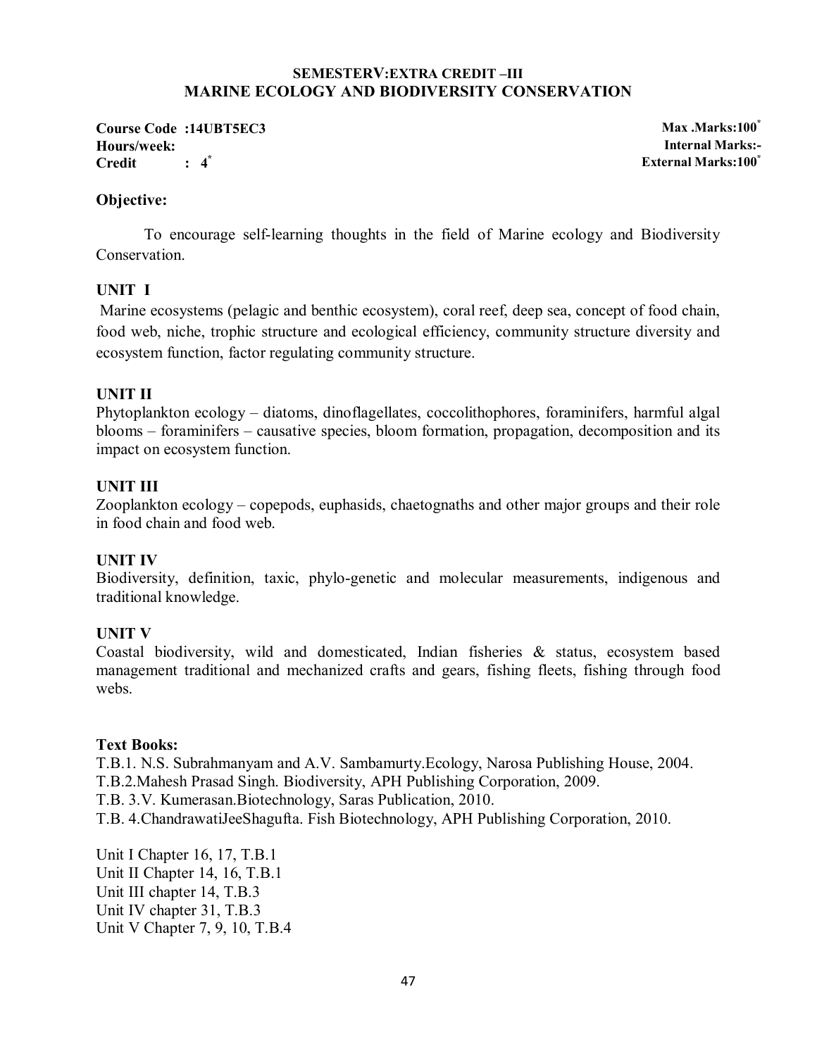#### **SEMESTERV:EXTRA CREDIT –III MARINE ECOLOGY AND BIODIVERSITY CONSERVATION**

**Course Code :14UBT5EC3 Max .Marks:100\* Hours/week: Internal Marks:- Credit : 4**

**\* External Marks:100\***

#### **Objective:**

To encourage self-learning thoughts in the field of Marine ecology and Biodiversity **Conservation** 

### **UNIT I**

 Marine ecosystems (pelagic and benthic ecosystem), coral reef, deep sea, concept of food chain, food web, niche, trophic structure and ecological efficiency, community structure diversity and ecosystem function, factor regulating community structure.

### **UNIT II**

Phytoplankton ecology – diatoms, dinoflagellates, coccolithophores, foraminifers, harmful algal blooms – foraminifers – causative species, bloom formation, propagation, decomposition and its impact on ecosystem function.

#### **UNIT III**

Zooplankton ecology – copepods, euphasids, chaetognaths and other major groups and their role in food chain and food web.

#### **UNIT IV**

Biodiversity, definition, taxic, phylo-genetic and molecular measurements, indigenous and traditional knowledge.

#### **UNIT V**

Coastal biodiversity, wild and domesticated, Indian fisheries & status, ecosystem based management traditional and mechanized crafts and gears, fishing fleets, fishing through food webs.

#### **Text Books:**

T.B.1. N.S. Subrahmanyam and A.V. Sambamurty.Ecology, Narosa Publishing House, 2004. T.B.2.Mahesh Prasad Singh. Biodiversity, APH Publishing Corporation, 2009. T.B. 3.V. Kumerasan.Biotechnology, Saras Publication, 2010. T.B. 4.ChandrawatiJeeShagufta. Fish Biotechnology, APH Publishing Corporation, 2010.

Unit I Chapter 16, 17, T.B.1 Unit II Chapter 14, 16, T.B.1 Unit III chapter 14, T.B.3 Unit IV chapter 31, T.B.3 Unit V Chapter 7, 9, 10, T.B.4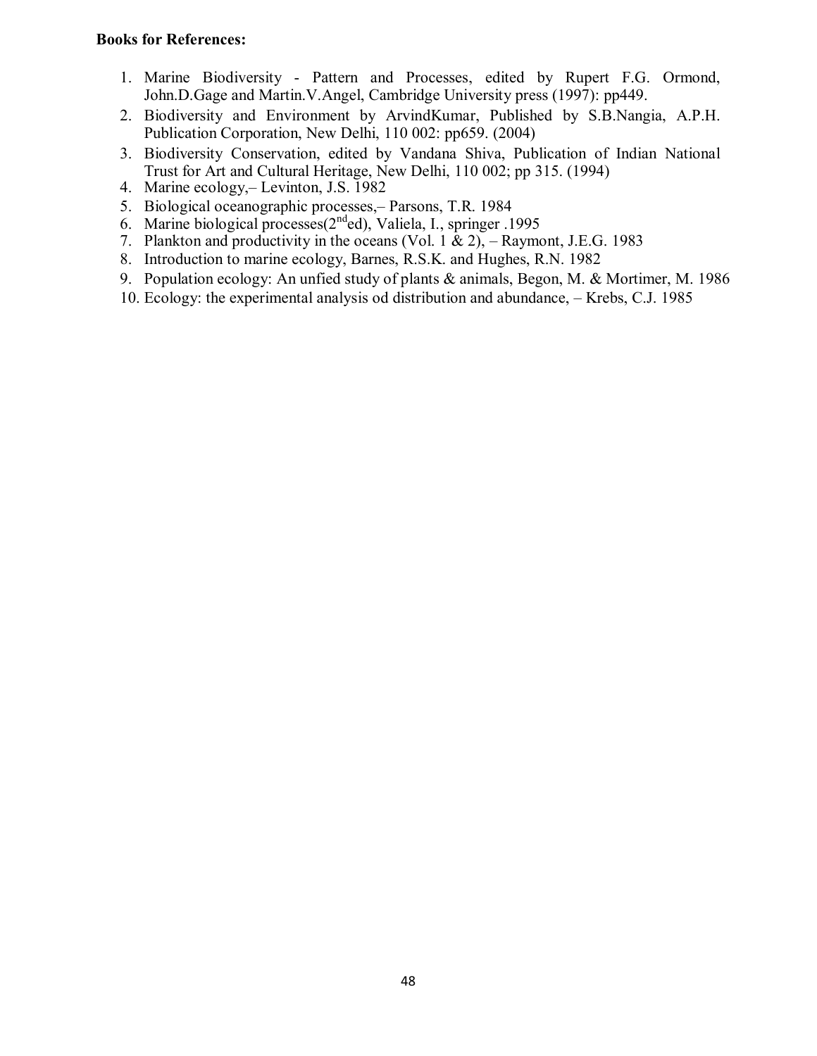- 1. Marine Biodiversity Pattern and Processes, edited by Rupert F.G. Ormond, John.D.Gage and Martin.V.Angel, Cambridge University press (1997): pp449.
- 2. Biodiversity and Environment by ArvindKumar, Published by S.B.Nangia, A.P.H. Publication Corporation, New Delhi, 110 002: pp659. (2004)
- 3. Biodiversity Conservation, edited by Vandana Shiva, Publication of Indian National Trust for Art and Cultural Heritage, New Delhi, 110 002; pp 315. (1994)
- 4. Marine ecology,– Levinton, J.S. 1982
- 5. Biological oceanographic processes,– Parsons, T.R. 1984
- 6. Marine biological processes(2<sup>nd</sup>ed), Valiela, I., springer .1995
- 7. Plankton and productivity in the oceans (Vol. 1  $\&$  2), Raymont, J.E.G. 1983
- 8. Introduction to marine ecology, Barnes, R.S.K. and Hughes, R.N. 1982
- 9. Population ecology: An unfied study of plants & animals, Begon, M. & Mortimer, M. 1986
- 10. Ecology: the experimental analysis od distribution and abundance, Krebs, C.J. 1985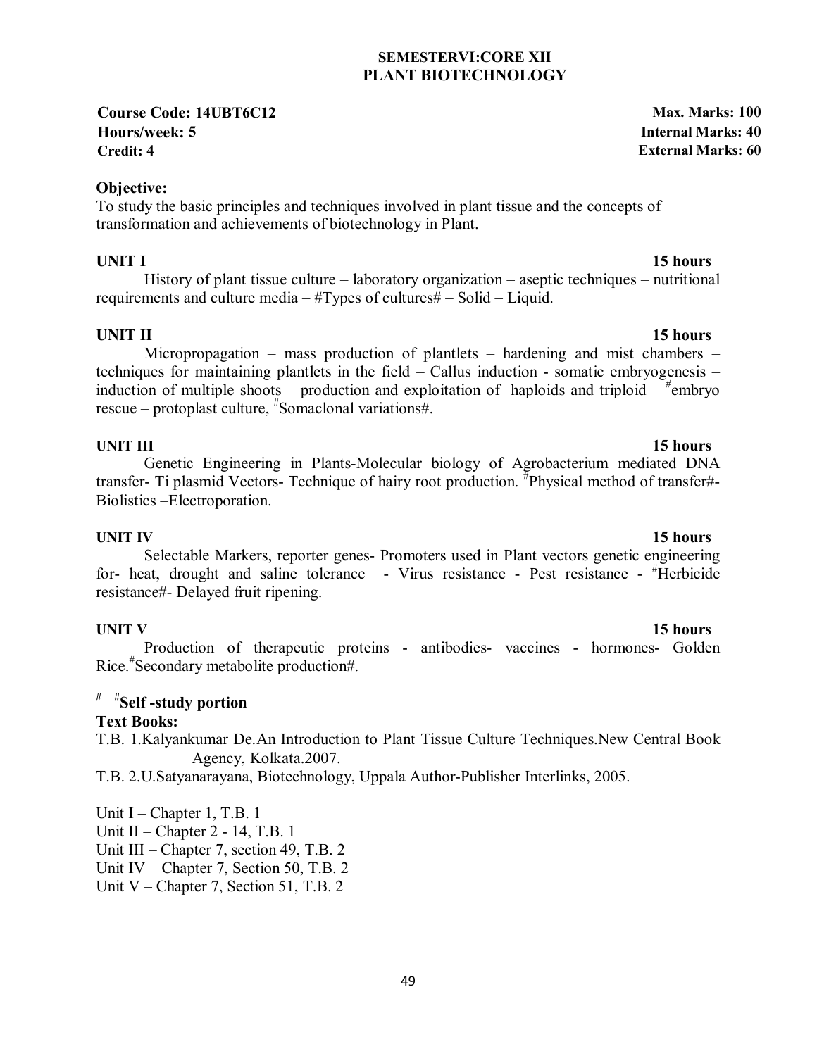### **SEMESTERVI:CORE XII PLANT BIOTECHNOLOGY**

**Course Code: 14UBT6C12 Max. Marks: 100 Hours/week: 5 Internal Marks: 40 Credit: 4 External Marks: 60**

### **Objective:**

To study the basic principles and techniques involved in plant tissue and the concepts of transformation and achievements of biotechnology in Plant.

### **UNIT I** 15 hours

History of plant tissue culture – laboratory organization – aseptic techniques – nutritional requirements and culture media – #Types of cultures# – Solid – Liquid.

### **UNIT II** 15 hours

Micropropagation – mass production of plantlets – hardening and mist chambers – techniques for maintaining plantlets in the field – Callus induction - somatic embryogenesis – induction of multiple shoots – production and exploitation of haploids and triploid  $-\pi$ <sup>#</sup>embryo rescue – protoplast culture, # Somaclonal variations#.

#### **UNIT III** 15 hours

### Genetic Engineering in Plants-Molecular biology of Agrobacterium mediated DNA transfer- Ti plasmid Vectors- Technique of hairy root production. <sup>#</sup>Physical method of transfer#-Biolistics –Electroporation.

**UNIT IV** 15 hours Selectable Markers, reporter genes- Promoters used in Plant vectors genetic engineering for- heat, drought and saline tolerance - Virus resistance - Pest resistance - #Herbicide resistance#- Delayed fruit ripening.

**UNIT V** 15 hours Production of therapeutic proteins - antibodies- vaccines - hormones- Golden Rice.# Secondary metabolite production#.

# **# #Self -study portion**

### **Text Books:**

T.B. 1.Kalyankumar De.An Introduction to Plant Tissue Culture Techniques.New Central Book Agency, Kolkata.2007.

T.B. 2.U.Satyanarayana, Biotechnology, Uppala Author-Publisher Interlinks, 2005.

Unit I – Chapter 1, T.B. 1 Unit II – Chapter 2 - 14, T.B. 1 Unit III – Chapter 7, section 49, T.B. 2 Unit IV – Chapter 7, Section 50, T.B. 2 Unit V – Chapter 7, Section 51, T.B. 2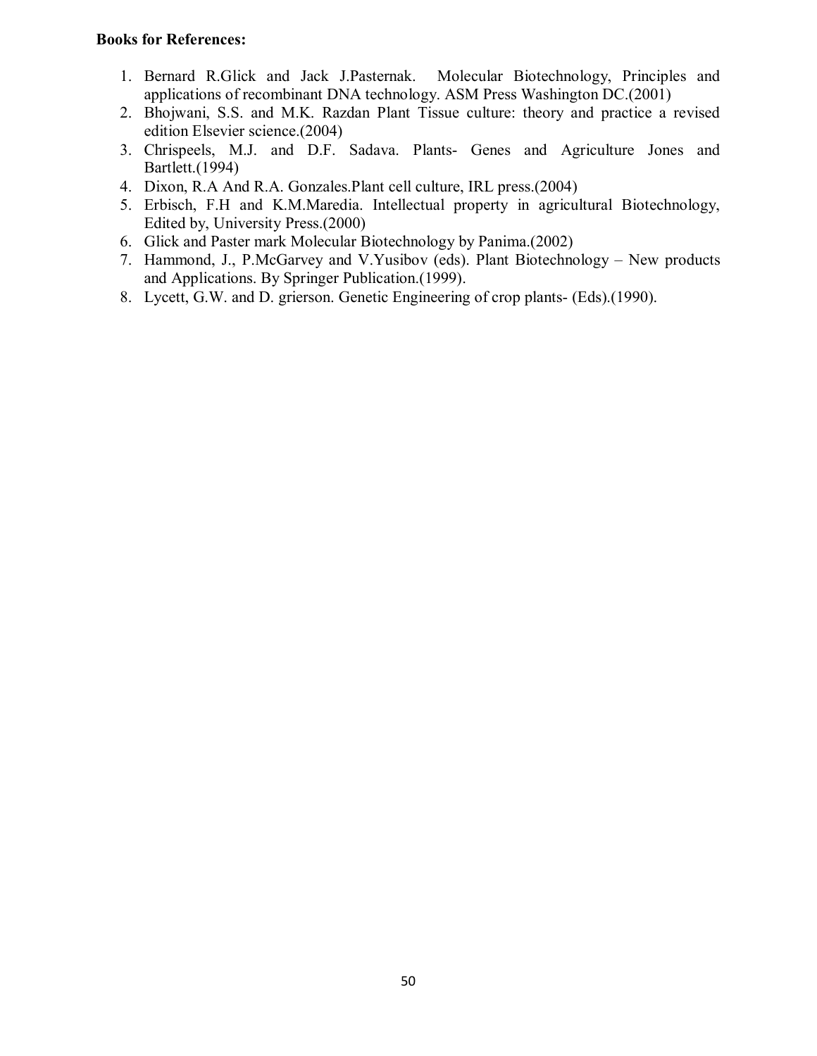- 1. Bernard R.Glick and Jack J.Pasternak. Molecular Biotechnology, Principles and applications of recombinant DNA technology. ASM Press Washington DC.(2001)
- 2. Bhojwani, S.S. and M.K. Razdan Plant Tissue culture: theory and practice a revised edition Elsevier science.(2004)
- 3. Chrispeels, M.J. and D.F. Sadava. Plants- Genes and Agriculture Jones and Bartlett.(1994)
- 4. Dixon, R.A And R.A. Gonzales.Plant cell culture, IRL press.(2004)
- 5. Erbisch, F.H and K.M.Maredia. Intellectual property in agricultural Biotechnology, Edited by, University Press.(2000)
- 6. Glick and Paster mark Molecular Biotechnology by Panima.(2002)
- 7. Hammond, J., P.McGarvey and V.Yusibov (eds). Plant Biotechnology New products and Applications. By Springer Publication.(1999).
- 8. Lycett, G.W. and D. grierson. Genetic Engineering of crop plants- (Eds).(1990).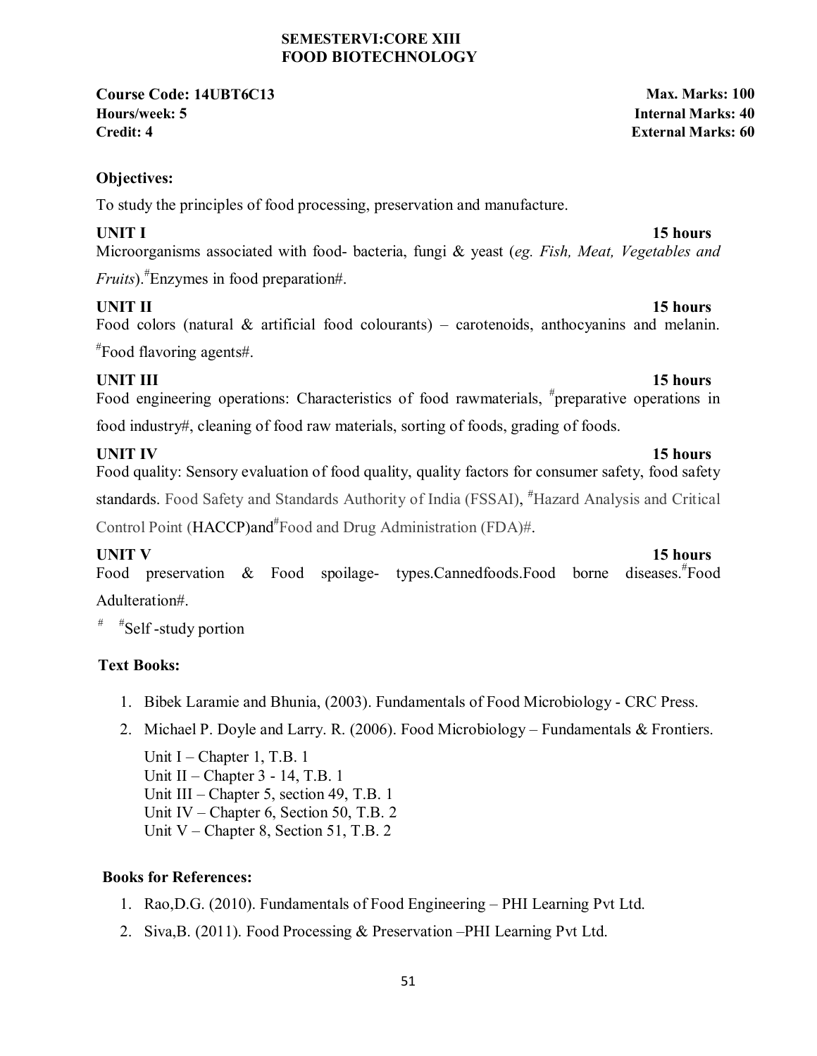#### **SEMESTERVI:CORE XIII FOOD BIOTECHNOLOGY**

**Course Code: 14UBT6C13 Max. Marks: 100 Hours/week: 5 Internal Marks: 40 Credit: 4 External Marks: 60**

**Objectives:** 

To study the principles of food processing, preservation and manufacture.

**UNIT I** 15 hours Microorganisms associated with food- bacteria, fungi & yeast (*eg. Fish, Meat, Vegetables and Fruits*).# Enzymes in food preparation#.

**UNIT II** 15 hours Food colors (natural  $\&$  artificial food colourants) – carotenoids, anthocyanins and melanin. # Food flavoring agents#.

# **UNIT III** 15 hours

Food engineering operations: Characteristics of food rawmaterials, #preparative operations in food industry#, cleaning of food raw materials, sorting of foods, grading of foods.

**UNIT IV** 15 hours Food quality: Sensory evaluation of food quality, quality factors for consumer safety, food safety standards. Food Safety and Standards Authority of India (FSSAI), "Hazard Analysis and Critical Control Point (HACCP)and<sup>#</sup>Food and Drug Administration (FDA)#.

**UNIT V** 15 hours Food preservation & Food spoilage- types.Cannedfoods.Food borne diseases.<sup>#</sup>Food Adulteration#.

 $*$ Self-study portion

# **Text Books:**

- 1. Bibek Laramie and Bhunia, (2003). Fundamentals of Food Microbiology CRC Press.
- 2. Michael P. Doyle and Larry. R. (2006). Food Microbiology Fundamentals & Frontiers.

Unit I – Chapter 1, T.B. 1 Unit II – Chapter 3 - 14, T.B. 1 Unit III – Chapter 5, section 49, T.B. 1 Unit IV – Chapter 6, Section 50, T.B. 2 Unit V – Chapter 8, Section 51, T.B. 2

- 1. Rao,D.G. (2010). Fundamentals of Food Engineering PHI Learning Pvt Ltd.
- 2. Siva,B. (2011). Food Processing & Preservation –PHI Learning Pvt Ltd.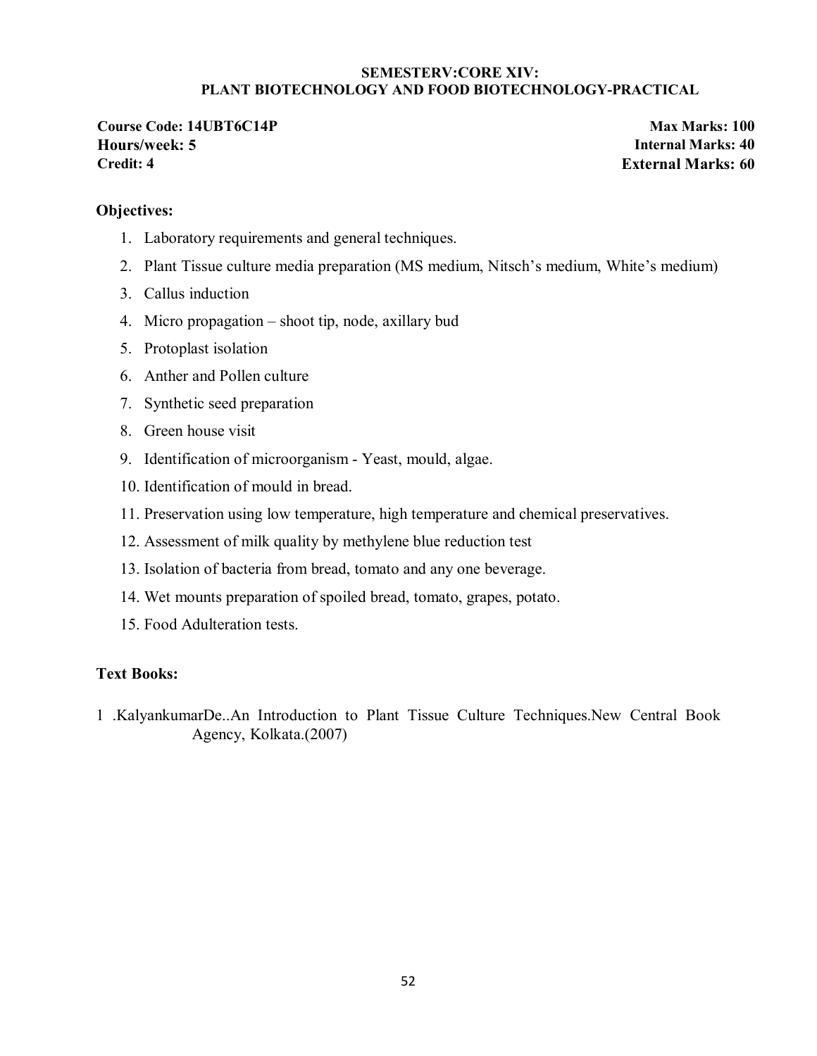#### **SEMESTERV:CORE XIV: PLANT BIOTECHNOLOGY AND FOOD BIOTECHNOLOGY-PRACTICAL**

**Course Code: 14UBT6C14P Max Marks: 100 Hours/week: 5 Internal Marks: 40 Credit: 4 External Marks: 60**

#### **Objectives:**

- 1. Laboratory requirements and general techniques.
- 2. Plant Tissue culture media preparation (MS medium, Nitsch's medium, White's medium)
- 3. Callus induction
- 4. Micro propagation shoot tip, node, axillary bud
- 5. Protoplast isolation
- 6. Anther and Pollen culture
- 7. Synthetic seed preparation
- 8. Green house visit
- 9. Identification of microorganism Yeast, mould, algae.
- 10. Identification of mould in bread.
- 11. Preservation using low temperature, high temperature and chemical preservatives.
- 12. Assessment of milk quality by methylene blue reduction test
- 13. Isolation of bacteria from bread, tomato and any one beverage.
- 14. Wet mounts preparation of spoiled bread, tomato, grapes, potato.
- 15. Food Adulteration tests.

#### **Text Books:**

1 .KalyankumarDe..An Introduction to Plant Tissue Culture Techniques.New Central Book Agency, Kolkata.(2007)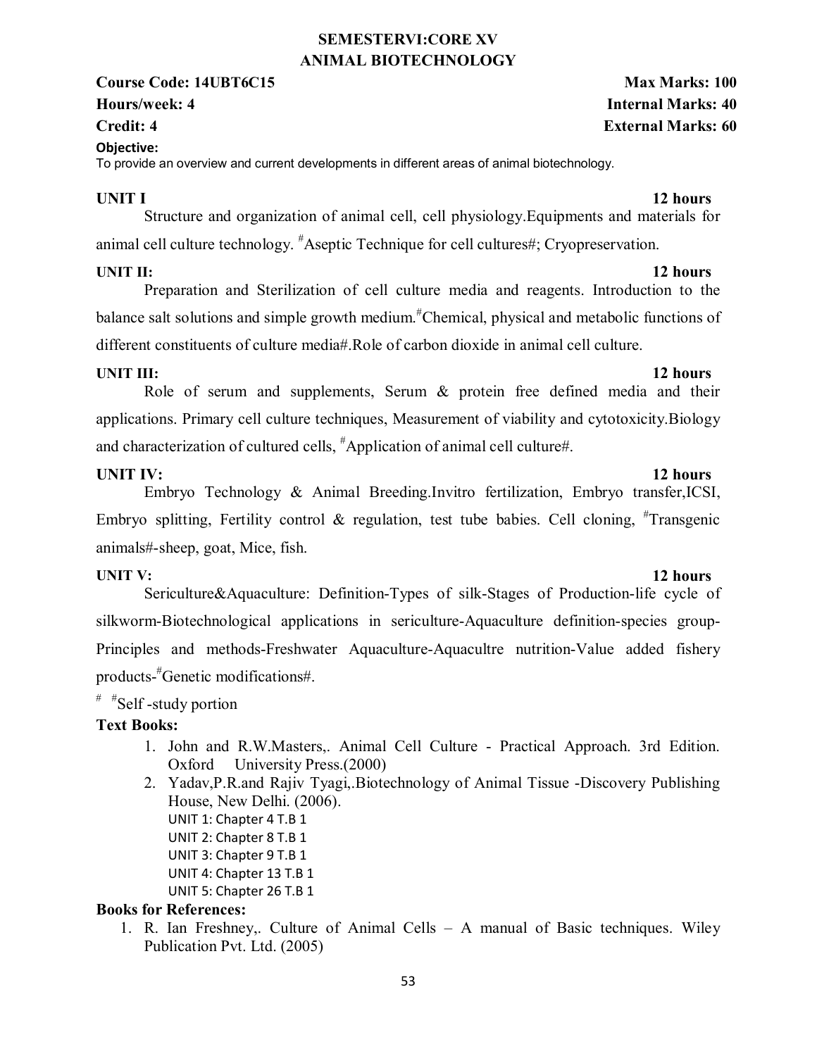### **SEMESTERVI:CORE XV ANIMAL BIOTECHNOLOGY**

### **Course Code: 14UBT6C15 Max Marks: 100 Hours/week: 4 Internal Marks: 40**

### **Objective:**

To provide an overview and current developments in different areas of animal biotechnology.

### **UNIT I** 12 hours

 Structure and organization of animal cell, cell physiology.Equipments and materials for animal cell culture technology. <sup>#</sup>Aseptic Technique for cell cultures#; Cryopreservation.

### **UNIT II:** 12 hours

Preparation and Sterilization of cell culture media and reagents. Introduction to the balance salt solutions and simple growth medium.<sup>#</sup>Chemical, physical and metabolic functions of different constituents of culture media#.Role of carbon dioxide in animal cell culture.

**UNIT III:** 12 hours Role of serum and supplements, Serum & protein free defined media and their applications. Primary cell culture techniques, Measurement of viability and cytotoxicity.Biology and characterization of cultured cells, # Application of animal cell culture#.

# **UNIT IV:** 12 hours

Embryo Technology & Animal Breeding.Invitro fertilization, Embryo transfer,ICSI, Embryo splitting, Fertility control & regulation, test tube babies. Cell cloning,  $*$ Transgenic animals#-sheep, goat, Mice, fish.

### **UNIT V:** 12 hours

Sericulture&Aquaculture: Definition-Types of silk-Stages of Production-life cycle of silkworm-Biotechnological applications in sericulture-Aquaculture definition-species group-Principles and methods-Freshwater Aquaculture-Aquacultre nutrition-Value added fishery products-# Genetic modifications#.

# # #Self -study portion

### **Text Books:**

- 1. John and R.W.Masters,. Animal Cell Culture Practical Approach. 3rd Edition. Oxford University Press.(2000)
- 2. Yadav,P.R.and Rajiv Tyagi,.Biotechnology of Animal Tissue -Discovery Publishing House, New Delhi. (2006). UNIT 1: Chapter 4 T.B 1 UNIT 2: Chapter 8 T.B 1 UNIT 3: Chapter 9 T.B 1 UNIT 4: Chapter 13 T.B 1 UNIT 5: Chapter 26 T.B 1

### **Books for References:**

1. R. Ian Freshney,. Culture of Animal Cells – A manual of Basic techniques. Wiley Publication Pvt. Ltd. (2005)

# **Credit: 4 External Marks: 60**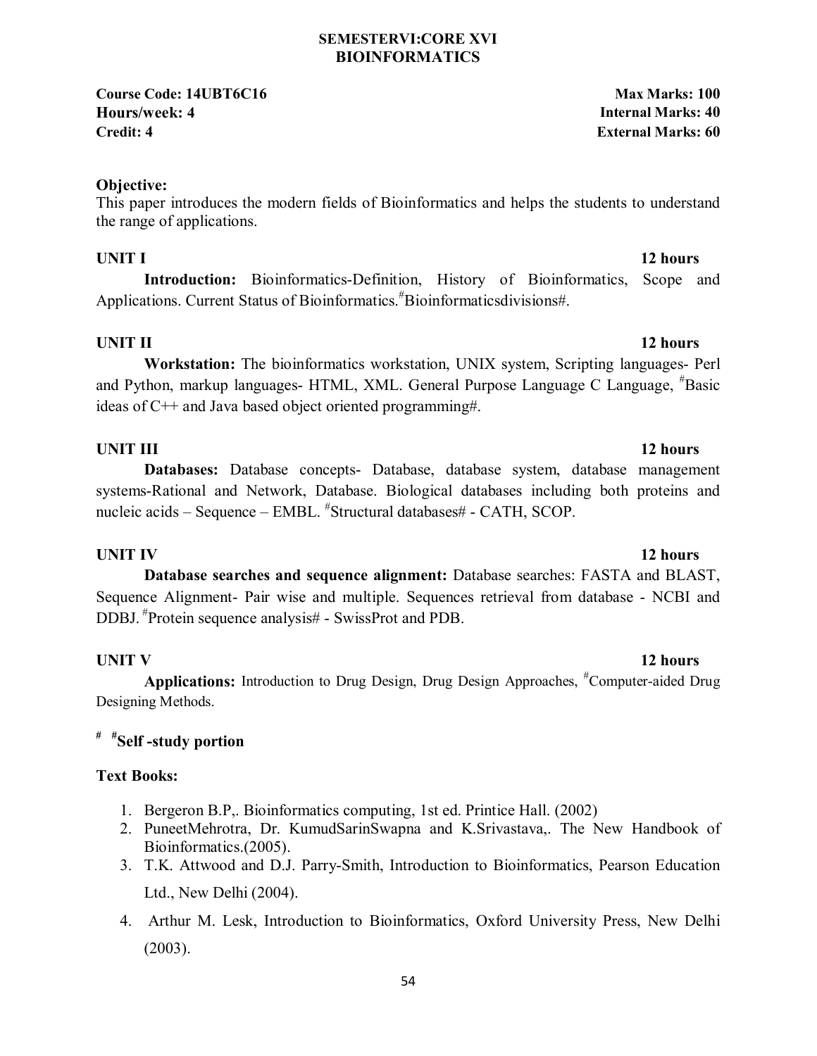#### **SEMESTERVI:CORE XVI BIOINFORMATICS**

**Course Code: 14UBT6C16 Max Marks: 100 Hours/week: 4 Internal Marks: 40 Credit: 4 External Marks: 60**

### **Objective:**

This paper introduces the modern fields of Bioinformatics and helps the students to understand the range of applications.

**Introduction:** Bioinformatics-Definition, History of Bioinformatics, Scope and Applications. Current Status of Bioinformatics.<sup>#</sup>Bioinformaticsdivisions#.

### **UNIT II** 12 hours

**Workstation:** The bioinformatics workstation, UNIX system, Scripting languages- Perl and Python, markup languages- HTML, XML. General Purpose Language C Language, # Basic ideas of C++ and Java based object oriented programming#.

### **UNIT III** 12 hours

**Databases:** Database concepts- Database, database system, database management systems-Rational and Network, Database. Biological databases including both proteins and nucleic acids – Sequence – EMBL. "Structural databases# - CATH, SCOP.

### **UNIT IV** 12 hours

**Database searches and sequence alignment:** Database searches: FASTA and BLAST, Sequence Alignment- Pair wise and multiple. Sequences retrieval from database - NCBI and DDBJ. #Protein sequence analysis# - SwissProt and PDB.

Applications: Introduction to Drug Design, Drug Design Approaches, <sup>#</sup>Computer-aided Drug Designing Methods.

### **# #Self -study portion**

### **Text Books:**

- 1. Bergeron B.P,. Bioinformatics computing, 1st ed. Printice Hall. (2002)
- 2. PuneetMehrotra, Dr. KumudSarinSwapna and K.Srivastava,. The New Handbook of Bioinformatics.(2005).
- 3. T.K. Attwood and D.J. Parry-Smith, Introduction to Bioinformatics, Pearson Education Ltd., New Delhi (2004).
- 4. Arthur M. Lesk, Introduction to Bioinformatics, Oxford University Press, New Delhi (2003).

# **UNIT V** 12 hours

# **UNIT I** 12 hours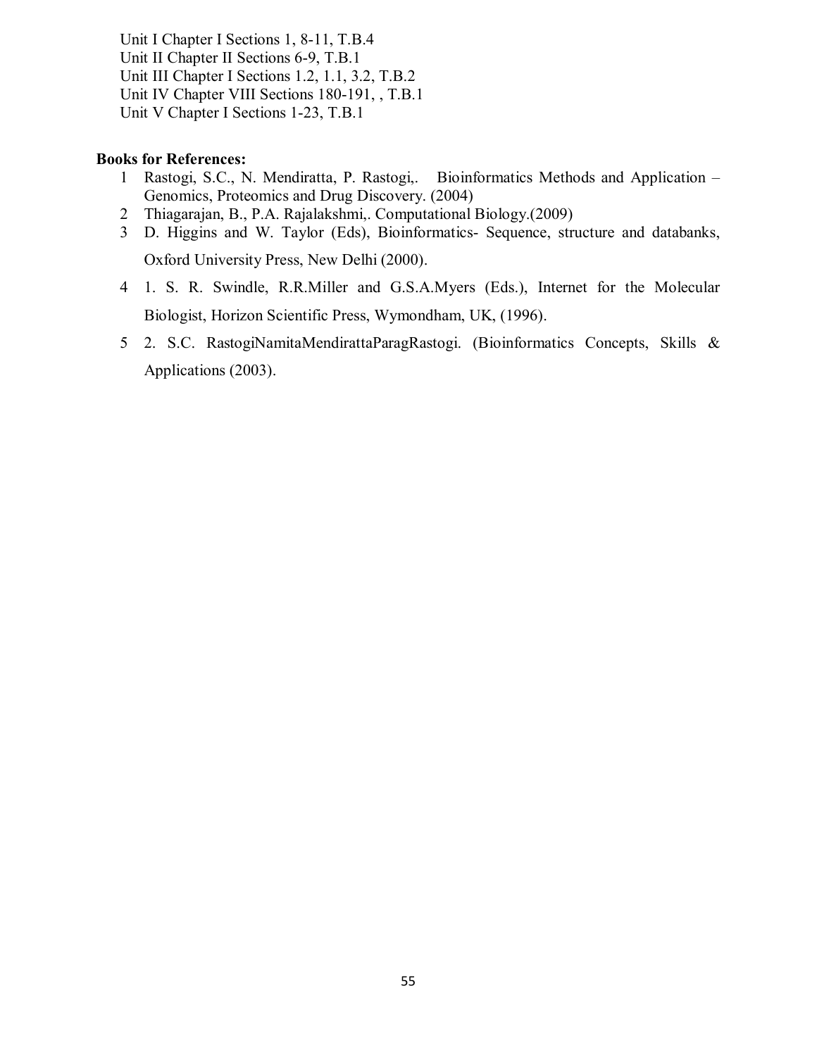Unit I Chapter I Sections 1, 8-11, T.B.4 Unit II Chapter II Sections 6-9, T.B.1 Unit III Chapter I Sections 1.2, 1.1, 3.2, T.B.2 Unit IV Chapter VIII Sections 180-191, , T.B.1 Unit V Chapter I Sections 1-23, T.B.1

- 1 Rastogi, S.C., N. Mendiratta, P. Rastogi,. Bioinformatics Methods and Application Genomics, Proteomics and Drug Discovery. (2004)
- 2 Thiagarajan, B., P.A. Rajalakshmi,. Computational Biology.(2009)
- 3 D. Higgins and W. Taylor (Eds), Bioinformatics- Sequence, structure and databanks, Oxford University Press, New Delhi (2000).
- 4 1. S. R. Swindle, R.R.Miller and G.S.A.Myers (Eds.), Internet for the Molecular Biologist, Horizon Scientific Press, Wymondham, UK, (1996).
- 5 2. S.C. RastogiNamitaMendirattaParagRastogi. (Bioinformatics Concepts, Skills & Applications (2003).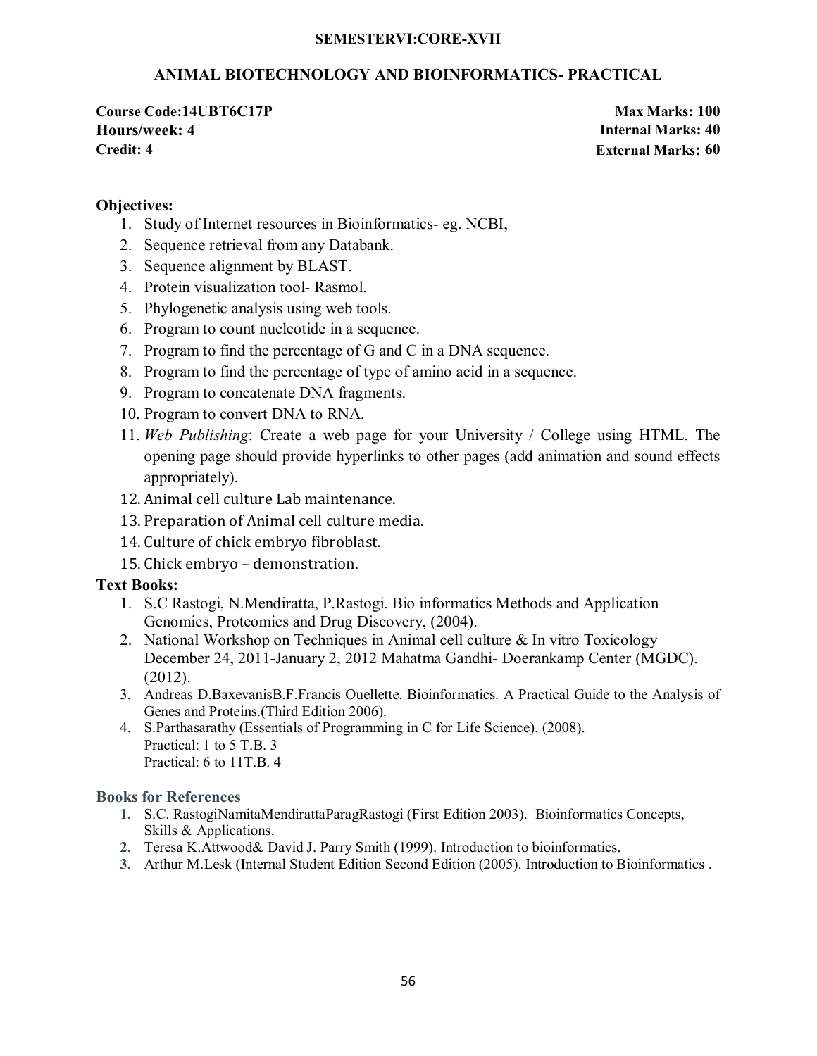#### **SEMESTERVI:CORE-XVII**

### **ANIMAL BIOTECHNOLOGY AND BIOINFORMATICS- PRACTICAL**

**Course Code:14UBT6C17P Max Marks: 100 Hours/week: 4 Internal Marks: 40 Credit: 4 External Marks: 60**

### **Objectives:**

- 1. Study of Internet resources in Bioinformatics- eg. NCBI,
- 2. Sequence retrieval from any Databank.
- 3. Sequence alignment by BLAST.
- 4. Protein visualization tool- Rasmol.
- 5. Phylogenetic analysis using web tools.
- 6. Program to count nucleotide in a sequence.
- 7. Program to find the percentage of G and C in a DNA sequence.
- 8. Program to find the percentage of type of amino acid in a sequence.
- 9. Program to concatenate DNA fragments.
- 10. Program to convert DNA to RNA.
- 11. *Web Publishing*: Create a web page for your University / College using HTML. The opening page should provide hyperlinks to other pages (add animation and sound effects appropriately).
- 12. Animal cell culture Lab maintenance.
- 13. Preparation of Animal cell culture media.
- 14. Culture of chick embryo fibroblast.
- 15. Chick embryo demonstration.

### **Text Books:**

- 1. S.C Rastogi, N.Mendiratta, P.Rastogi. Bio informatics Methods and Application Genomics, Proteomics and Drug Discovery, (2004).
- 2. National Workshop on Techniques in Animal cell culture & In vitro Toxicology December 24, 2011-January 2, 2012 Mahatma Gandhi- Doerankamp Center (MGDC). (2012).
- 3. Andreas D.BaxevanisB.F.Francis Ouellette. Bioinformatics. A Practical Guide to the Analysis of Genes and Proteins.(Third Edition 2006).
- 4. S.Parthasarathy (Essentials of Programming in C for Life Science). (2008). Practical: 1 to 5 T.B. 3 Practical: 6 to 11T.B. 4

- **1.** S.C. RastogiNamitaMendirattaParagRastogi (First Edition 2003). Bioinformatics Concepts, Skills & Applications.
- **2.** Teresa K.Attwood& David J. Parry Smith (1999). Introduction to bioinformatics.
- **3.** Arthur M.Lesk (Internal Student Edition Second Edition (2005). Introduction to Bioinformatics .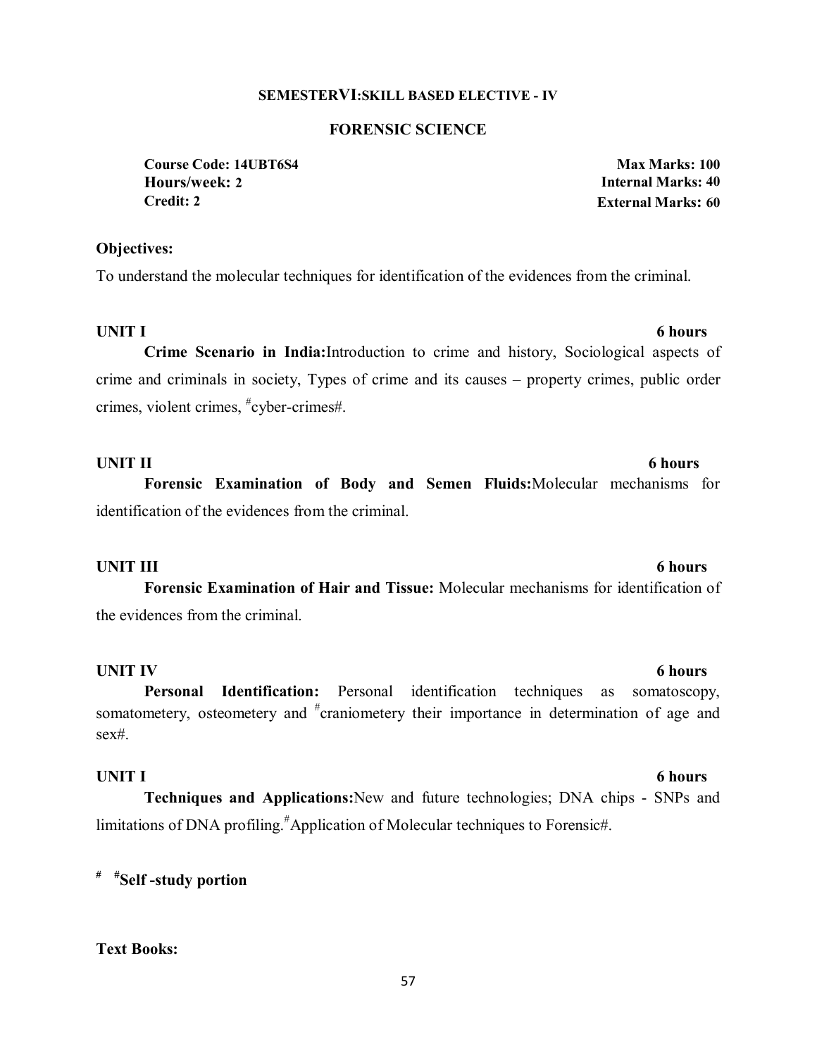#### **SEMESTERVI:SKILL BASED ELECTIVE - IV**

#### **FORENSIC SCIENCE**

**Course Code: 14UBT6S4 Max Marks: 100 Hours/week: 2 Internal Marks: 40 Credit: 2 External Marks: 60**

#### **Objectives:**

To understand the molecular techniques for identification of the evidences from the criminal.

### **UNIT I** 6 hours

**Crime Scenario in India:**Introduction to crime and history, Sociological aspects of crime and criminals in society, Types of crime and its causes – property crimes, public order crimes, violent crimes, # cyber-crimes#.

**UNIT II** 6 hours **Forensic Examination of Body and Semen Fluids:**Molecular mechanisms for identification of the evidences from the criminal.

#### **UNIT III** 6 hours

**Forensic Examination of Hair and Tissue:** Molecular mechanisms for identification of the evidences from the criminal.

### **UNIT IV** 6 hours

 **Personal Identification:** Personal identification techniques as somatoscopy, somatometery, osteometery and <sup>#</sup>craniometery their importance in determination of age and sex#.

**Techniques and Applications:**New and future technologies; DNA chips - SNPs and limitations of DNA profiling.<sup>#</sup>Application of Molecular techniques to Forensic#.

**# #Self -study portion** 

### **Text Books:**

#### 57

### **UNIT I** 6 hours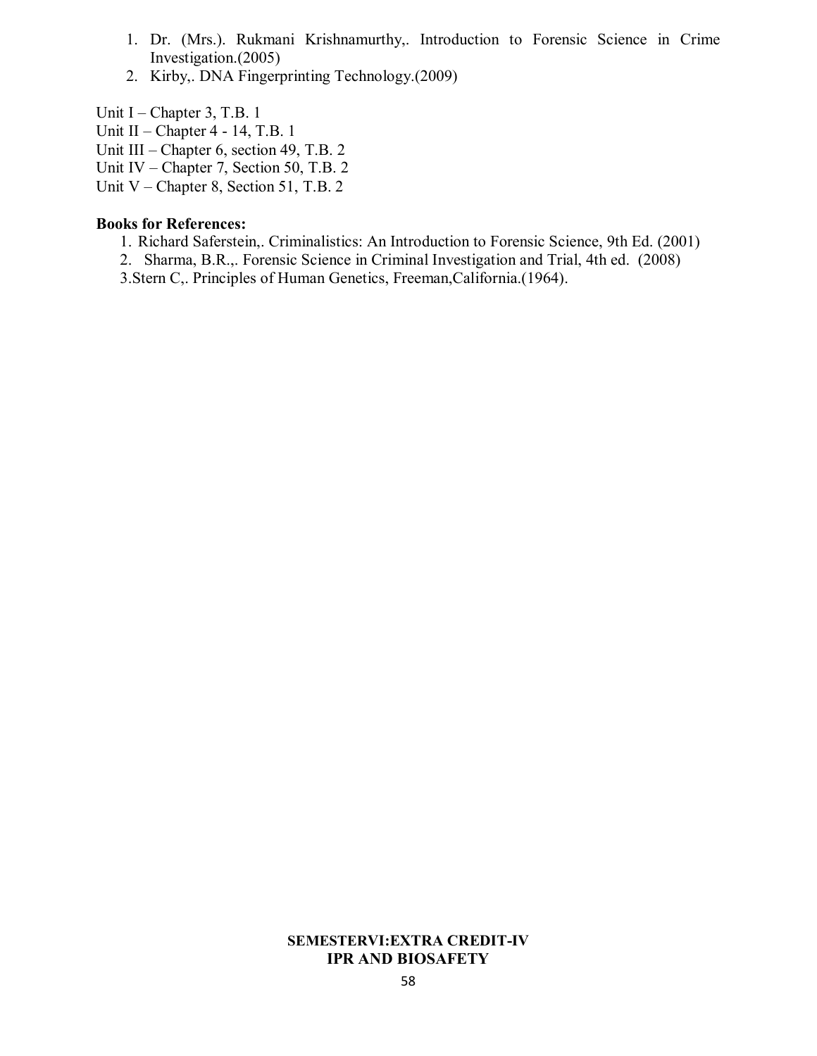- 1. Dr. (Mrs.). Rukmani Krishnamurthy,. Introduction to Forensic Science in Crime Investigation.(2005)
- 2. Kirby,. DNA Fingerprinting Technology.(2009)

Unit I – Chapter 3, T.B. 1

- Unit II Chapter 4 14, T.B. 1
- Unit III Chapter 6, section 49, T.B. 2
- Unit IV Chapter 7, Section 50, T.B. 2
- Unit V Chapter 8, Section 51, T.B. 2

#### **Books for References:**

- 1. Richard Saferstein,. Criminalistics: An Introduction to Forensic Science, 9th Ed. (2001)
- 2. Sharma, B.R.,. Forensic Science in Criminal Investigation and Trial, 4th ed. (2008)
- 3.Stern C,. Principles of Human Genetics, Freeman,California.(1964).

#### **SEMESTERVI:EXTRA CREDIT-IV IPR AND BIOSAFETY**